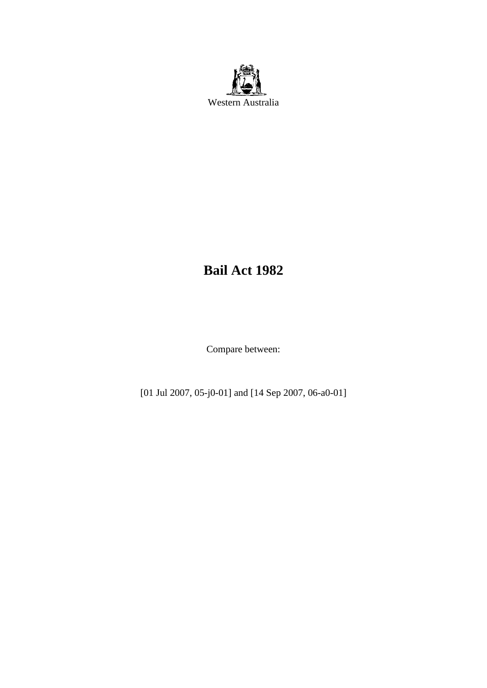

# **Bail Act 1982**

Compare between:

[01 Jul 2007, 05-j0-01] and [14 Sep 2007, 06-a0-01]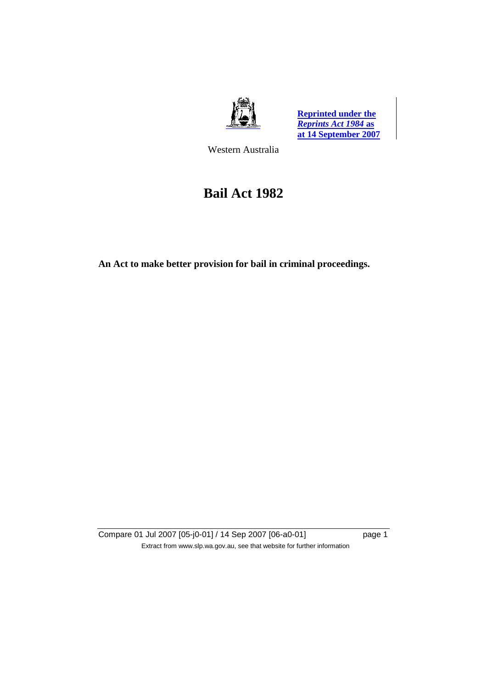



Western Australia

# **Bail Act 1982**

**An Act to make better provision for bail in criminal proceedings.** 

Compare 01 Jul 2007 [05-j0-01] / 14 Sep 2007 [06-a0-01] page 1 Extract from www.slp.wa.gov.au, see that website for further information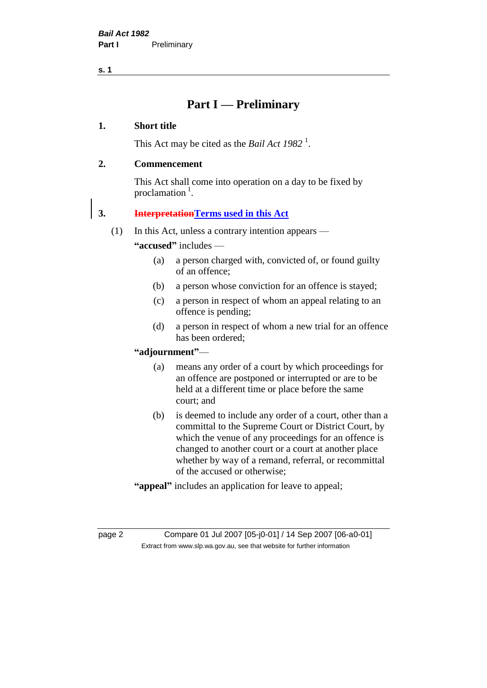# **Part I — Preliminary**

#### **1. Short title**

This Act may be cited as the *Bail Act* 1982<sup>1</sup>.

## **2. Commencement**

This Act shall come into operation on a day to be fixed by proclamation  $<sup>1</sup>$ .</sup>

# **3. InterpretationTerms used in this Act**

(1) In this Act, unless a contrary intention appears —

**"accused"** includes —

- (a) a person charged with, convicted of, or found guilty of an offence;
- (b) a person whose conviction for an offence is stayed;
- (c) a person in respect of whom an appeal relating to an offence is pending;
- (d) a person in respect of whom a new trial for an offence has been ordered;

#### **"adjournment"**—

- (a) means any order of a court by which proceedings for an offence are postponed or interrupted or are to be held at a different time or place before the same court; and
- (b) is deemed to include any order of a court, other than a committal to the Supreme Court or District Court, by which the venue of any proceedings for an offence is changed to another court or a court at another place whether by way of a remand, referral, or recommittal of the accused or otherwise;
- **"appeal"** includes an application for leave to appeal;

page 2 Compare 01 Jul 2007 [05-j0-01] / 14 Sep 2007 [06-a0-01] Extract from www.slp.wa.gov.au, see that website for further information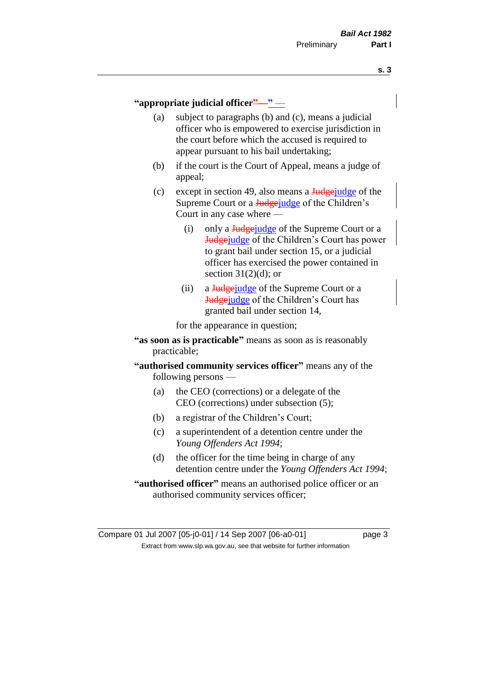#### **"appropriate judicial officer"**—**"** —

- (a) subject to paragraphs (b) and (c), means a judicial officer who is empowered to exercise jurisdiction in the court before which the accused is required to appear pursuant to his bail undertaking;
- (b) if the court is the Court of Appeal, means a judge of appeal;
- (c) except in section 49, also means a  $\frac{J_{\text{u}}}{J_{\text{u}}}\right)$  except in section 49, also means a  $\frac{J_{\text{u}}}{J_{\text{u}}}\right)$ Supreme Court or a **Judge** judge of the Children's Court in any case where —
	- (i) only a  $\frac{1}{4}$  vertex of the Supreme Court or a Judgejudge of the Children's Court has power to grant bail under section 15, or a judicial officer has exercised the power contained in section  $31(2)(d)$ ; or
	- (ii) a Judgejudge of the Supreme Court or a Judgejudge of the Children's Court has granted bail under section 14,

for the appearance in question;

- **"as soon as is practicable"** means as soon as is reasonably practicable;
- **"authorised community services officer"** means any of the following persons —
	- (a) the CEO (corrections) or a delegate of the CEO (corrections) under subsection (5);
	- (b) a registrar of the Children's Court;
	- (c) a superintendent of a detention centre under the *Young Offenders Act 1994*;
	- (d) the officer for the time being in charge of any detention centre under the *Young Offenders Act 1994*;
- **"authorised officer"** means an authorised police officer or an authorised community services officer;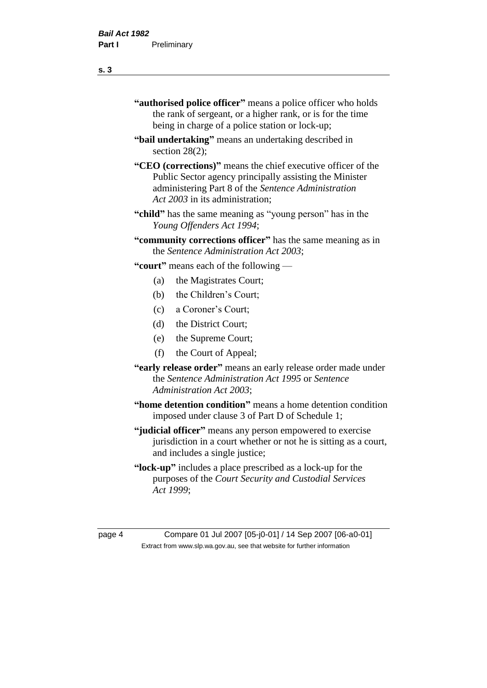- **"authorised police officer"** means a police officer who holds the rank of sergeant, or a higher rank, or is for the time being in charge of a police station or lock-up;
- **"bail undertaking"** means an undertaking described in section 28(2);
- **"CEO (corrections)"** means the chief executive officer of the Public Sector agency principally assisting the Minister administering Part 8 of the *Sentence Administration Act 2003* in its administration;
- **"child"** has the same meaning as "young person" has in the *Young Offenders Act 1994*;
- **"community corrections officer"** has the same meaning as in the *Sentence Administration Act 2003*;

**"court"** means each of the following —

- (a) the Magistrates Court;
- (b) the Children's Court;
- (c) a Coroner's Court;
- (d) the District Court;
- (e) the Supreme Court;
- (f) the Court of Appeal;
- **"early release order"** means an early release order made under the *Sentence Administration Act 1995* or *Sentence Administration Act 2003*;
- **"home detention condition"** means a home detention condition imposed under clause 3 of Part D of Schedule 1;
- **"judicial officer"** means any person empowered to exercise jurisdiction in a court whether or not he is sitting as a court, and includes a single justice;
- **"lock-up"** includes a place prescribed as a lock-up for the purposes of the *Court Security and Custodial Services Act 1999*;

page 4 Compare 01 Jul 2007 [05-j0-01] / 14 Sep 2007 [06-a0-01] Extract from www.slp.wa.gov.au, see that website for further information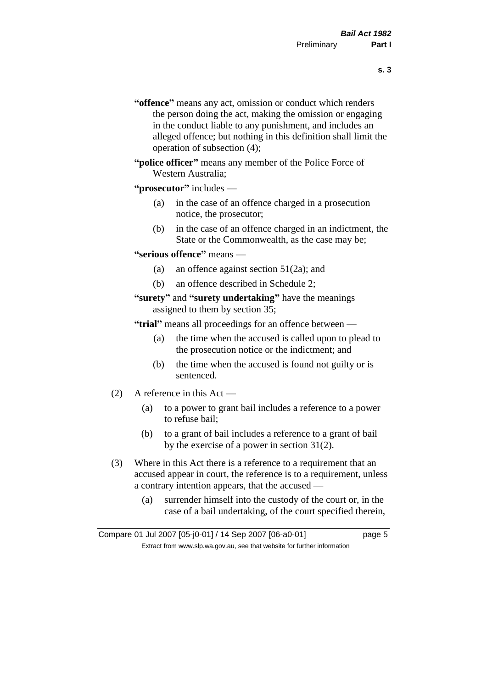- **s. 3**
- **"offence"** means any act, omission or conduct which renders the person doing the act, making the omission or engaging in the conduct liable to any punishment, and includes an alleged offence; but nothing in this definition shall limit the operation of subsection (4);
- **"police officer"** means any member of the Police Force of Western Australia;

#### **"prosecutor"** includes —

- (a) in the case of an offence charged in a prosecution notice, the prosecutor;
- (b) in the case of an offence charged in an indictment, the State or the Commonwealth, as the case may be;

#### **"serious offence"** means —

- (a) an offence against section 51(2a); and
- (b) an offence described in Schedule 2;

#### **"surety"** and **"surety undertaking"** have the meanings assigned to them by section 35;

**"trial"** means all proceedings for an offence between —

- (a) the time when the accused is called upon to plead to the prosecution notice or the indictment; and
- (b) the time when the accused is found not guilty or is sentenced.
- (2) A reference in this Act
	- (a) to a power to grant bail includes a reference to a power to refuse bail;
	- (b) to a grant of bail includes a reference to a grant of bail by the exercise of a power in section 31(2).
- (3) Where in this Act there is a reference to a requirement that an accused appear in court, the reference is to a requirement, unless a contrary intention appears, that the accused —
	- (a) surrender himself into the custody of the court or, in the case of a bail undertaking, of the court specified therein,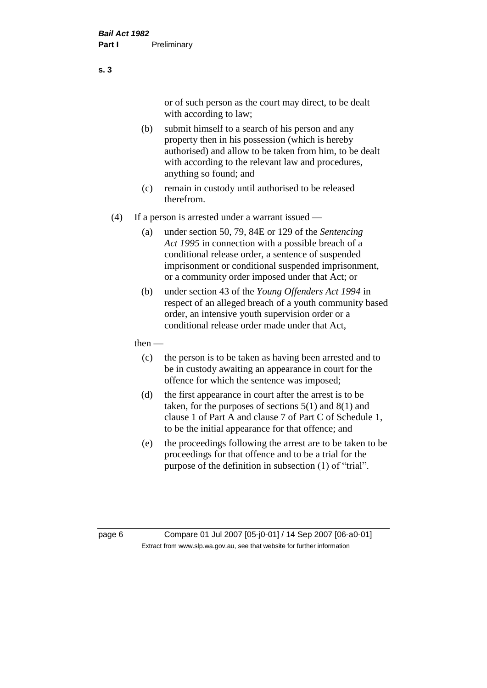or of such person as the court may direct, to be dealt with according to law;

(b) submit himself to a search of his person and any property then in his possession (which is hereby authorised) and allow to be taken from him, to be dealt with according to the relevant law and procedures, anything so found; and

- (c) remain in custody until authorised to be released therefrom.
- (4) If a person is arrested under a warrant issued
	- (a) under section 50, 79, 84E or 129 of the *Sentencing Act 1995* in connection with a possible breach of a conditional release order, a sentence of suspended imprisonment or conditional suspended imprisonment, or a community order imposed under that Act; or
	- (b) under section 43 of the *Young Offenders Act 1994* in respect of an alleged breach of a youth community based order, an intensive youth supervision order or a conditional release order made under that Act,
	- then
		- (c) the person is to be taken as having been arrested and to be in custody awaiting an appearance in court for the offence for which the sentence was imposed;
		- (d) the first appearance in court after the arrest is to be taken, for the purposes of sections  $5(1)$  and  $8(1)$  and clause 1 of Part A and clause 7 of Part C of Schedule 1, to be the initial appearance for that offence; and
		- (e) the proceedings following the arrest are to be taken to be proceedings for that offence and to be a trial for the purpose of the definition in subsection (1) of "trial".

page 6 Compare 01 Jul 2007 [05-j0-01] / 14 Sep 2007 [06-a0-01] Extract from www.slp.wa.gov.au, see that website for further information

**s. 3**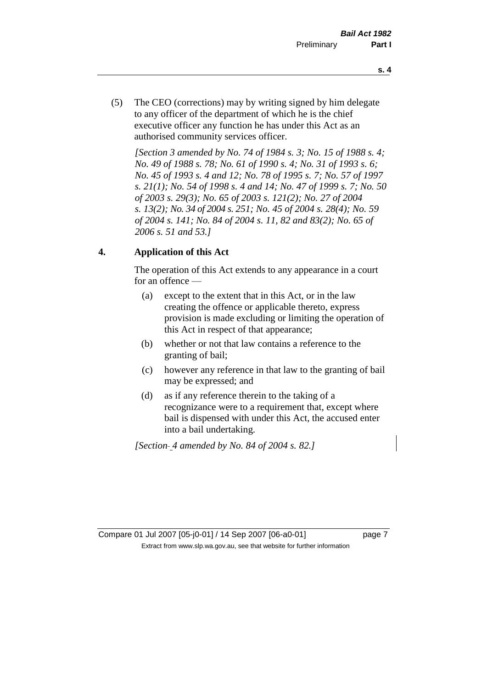- **s. 4**
- (5) The CEO (corrections) may by writing signed by him delegate to any officer of the department of which he is the chief executive officer any function he has under this Act as an authorised community services officer.

*[Section 3 amended by No. 74 of 1984 s. 3; No. 15 of 1988 s. 4; No. 49 of 1988 s. 78; No. 61 of 1990 s. 4; No. 31 of 1993 s. 6; No. 45 of 1993 s. 4 and 12; No. 78 of 1995 s. 7; No. 57 of 1997 s. 21(1); No. 54 of 1998 s. 4 and 14; No. 47 of 1999 s. 7; No. 50 of 2003 s. 29(3); No. 65 of 2003 s. 121(2); No. 27 of 2004 s. 13(2); No. 34 of 2004 s. 251; No. 45 of 2004 s. 28(4); No. 59 of 2004 s. 141; No. 84 of 2004 s. 11, 82 and 83(2); No. 65 of 2006 s. 51 and 53.]* 

# **4. Application of this Act**

The operation of this Act extends to any appearance in a court for an offence —

- (a) except to the extent that in this Act, or in the law creating the offence or applicable thereto, express provision is made excluding or limiting the operation of this Act in respect of that appearance;
- (b) whether or not that law contains a reference to the granting of bail;
- (c) however any reference in that law to the granting of bail may be expressed; and
- (d) as if any reference therein to the taking of a recognizance were to a requirement that, except where bail is dispensed with under this Act, the accused enter into a bail undertaking.

*[Section 4 amended by No. 84 of 2004 s. 82.]*

Compare 01 Jul 2007 [05-j0-01] / 14 Sep 2007 [06-a0-01] page 7 Extract from www.slp.wa.gov.au, see that website for further information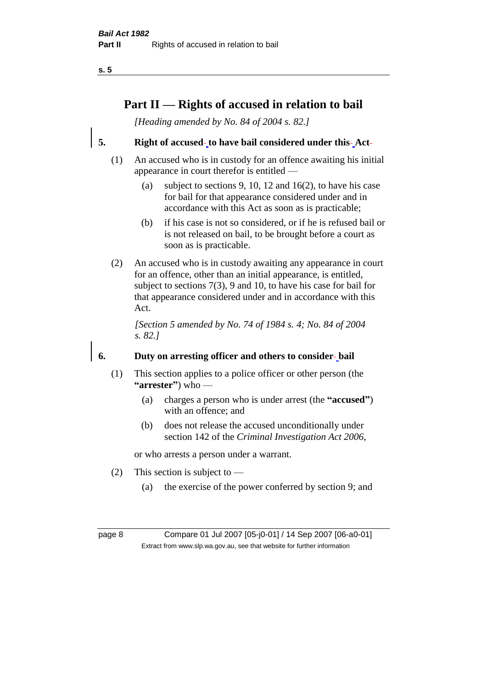# **Part II — Rights of accused in relation to bail**

*[Heading amended by No. 84 of 2004 s. 82.]* 

**5. Right of accused to have bail considered under this Act**

- (1) An accused who is in custody for an offence awaiting his initial appearance in court therefor is entitled —
	- (a) subject to sections 9, 10, 12 and 16(2), to have his case for bail for that appearance considered under and in accordance with this Act as soon as is practicable;
	- (b) if his case is not so considered, or if he is refused bail or is not released on bail, to be brought before a court as soon as is practicable.
- (2) An accused who is in custody awaiting any appearance in court for an offence, other than an initial appearance, is entitled, subject to sections 7(3), 9 and 10, to have his case for bail for that appearance considered under and in accordance with this Act.

*[Section 5 amended by No. 74 of 1984 s. 4; No. 84 of 2004 s. 82.]* 

# **6. Duty on arresting officer and others to consider bail**

- (1) This section applies to a police officer or other person (the **"arrester"**) who —
	- (a) charges a person who is under arrest (the **"accused"**) with an offence; and
	- (b) does not release the accused unconditionally under section 142 of the *Criminal Investigation Act 2006*,

or who arrests a person under a warrant.

- (2) This section is subject to
	- (a) the exercise of the power conferred by section 9; and

page 8 Compare 01 Jul 2007 [05-j0-01] / 14 Sep 2007 [06-a0-01] Extract from www.slp.wa.gov.au, see that website for further information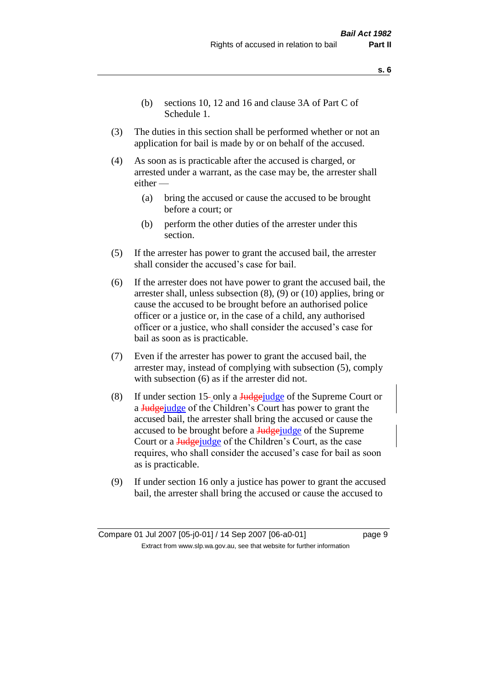- **s. 6**
- (b) sections 10, 12 and 16 and clause 3A of Part C of Schedule 1.
- (3) The duties in this section shall be performed whether or not an application for bail is made by or on behalf of the accused.
- (4) As soon as is practicable after the accused is charged, or arrested under a warrant, as the case may be, the arrester shall either —
	- (a) bring the accused or cause the accused to be brought before a court; or
	- (b) perform the other duties of the arrester under this section.
- (5) If the arrester has power to grant the accused bail, the arrester shall consider the accused's case for bail.
- (6) If the arrester does not have power to grant the accused bail, the arrester shall, unless subsection (8), (9) or (10) applies, bring or cause the accused to be brought before an authorised police officer or a justice or, in the case of a child, any authorised officer or a justice, who shall consider the accused's case for bail as soon as is practicable.
- (7) Even if the arrester has power to grant the accused bail, the arrester may, instead of complying with subsection (5), comply with subsection  $(6)$  as if the arrester did not.
- (8) If under section 15-only a  $\frac{\text{Hedgei}}{\text{Hedgei}}$  of the Supreme Court or a **Judge** judge of the Children's Court has power to grant the accused bail, the arrester shall bring the accused or cause the accused to be brought before a Judgejudge of the Supreme Court or a **Judge** judge of the Children's Court, as the case requires, who shall consider the accused's case for bail as soon as is practicable.
- (9) If under section 16 only a justice has power to grant the accused bail, the arrester shall bring the accused or cause the accused to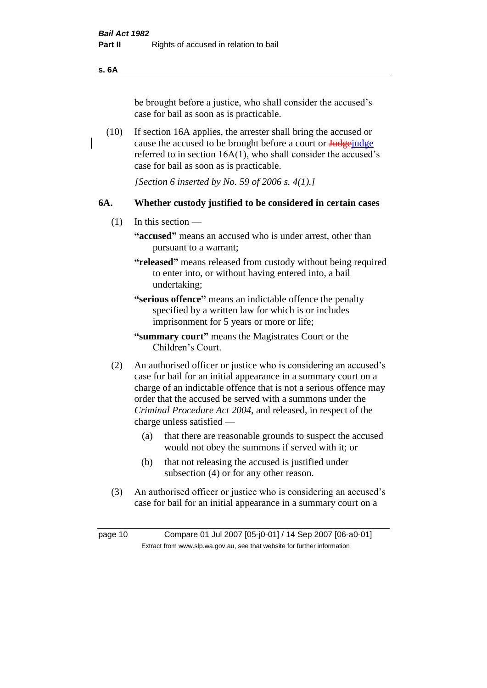**s. 6A**

be brought before a justice, who shall consider the accused's case for bail as soon as is practicable.

(10) If section 16A applies, the arrester shall bring the accused or cause the accused to be brought before a court or **Judge** judge referred to in section 16A(1), who shall consider the accused's case for bail as soon as is practicable.

*[Section 6 inserted by No. 59 of 2006 s. 4(1).]* 

## **6A. Whether custody justified to be considered in certain cases**

(1) In this section —

**"accused"** means an accused who is under arrest, other than pursuant to a warrant;

**"released"** means released from custody without being required to enter into, or without having entered into, a bail undertaking;

**"serious offence"** means an indictable offence the penalty specified by a written law for which is or includes imprisonment for 5 years or more or life;

**"summary court"** means the Magistrates Court or the Children's Court.

- (2) An authorised officer or justice who is considering an accused's case for bail for an initial appearance in a summary court on a charge of an indictable offence that is not a serious offence may order that the accused be served with a summons under the *Criminal Procedure Act 2004*, and released, in respect of the charge unless satisfied —
	- (a) that there are reasonable grounds to suspect the accused would not obey the summons if served with it; or
	- (b) that not releasing the accused is justified under subsection (4) or for any other reason.
- (3) An authorised officer or justice who is considering an accused's case for bail for an initial appearance in a summary court on a

page 10 Compare 01 Jul 2007 [05-j0-01] / 14 Sep 2007 [06-a0-01] Extract from www.slp.wa.gov.au, see that website for further information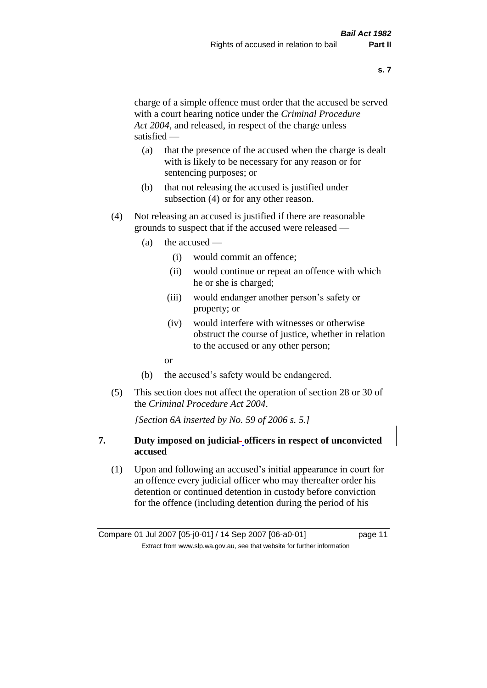charge of a simple offence must order that the accused be served with a court hearing notice under the *Criminal Procedure Act 2004*, and released, in respect of the charge unless satisfied —

- (a) that the presence of the accused when the charge is dealt with is likely to be necessary for any reason or for sentencing purposes; or
- (b) that not releasing the accused is justified under subsection (4) or for any other reason.
- (4) Not releasing an accused is justified if there are reasonable grounds to suspect that if the accused were released —
	- (a) the accused
		- (i) would commit an offence;
		- (ii) would continue or repeat an offence with which he or she is charged;
		- (iii) would endanger another person's safety or property; or
		- (iv) would interfere with witnesses or otherwise obstruct the course of justice, whether in relation to the accused or any other person;
		- or
	- (b) the accused's safety would be endangered.
- (5) This section does not affect the operation of section 28 or 30 of the *Criminal Procedure Act 2004*.

*[Section 6A inserted by No. 59 of 2006 s. 5.]* 

## **7. Duty imposed on judicial officers in respect of unconvicted accused**

(1) Upon and following an accused's initial appearance in court for an offence every judicial officer who may thereafter order his detention or continued detention in custody before conviction for the offence (including detention during the period of his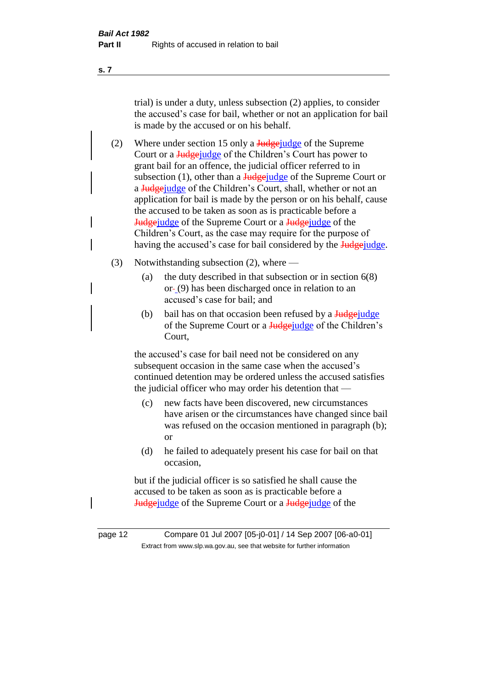trial) is under a duty, unless subsection (2) applies, to consider the accused's case for bail, whether or not an application for bail is made by the accused or on his behalf.

(2) Where under section 15 only a  $\frac{Jud\pi}{Jud\pi}$  where under section 15 only a  $\frac{Jud\pi}{Jud\pi}$  of the Supreme Court or a **Judge** judge of the Children's Court has power to grant bail for an offence, the judicial officer referred to in subsection  $(1)$ , other than a Judgejudge of the Supreme Court or a Judgejudge of the Children's Court, shall, whether or not an application for bail is made by the person or on his behalf, cause the accused to be taken as soon as is practicable before a Judgejudge of the Supreme Court or a Judgejudge of the Children's Court, as the case may require for the purpose of having the accused's case for bail considered by the **Judge** judge.

- (3) Notwithstanding subsection (2), where
	- (a) the duty described in that subsection or in section  $6(8)$ or (9) has been discharged once in relation to an accused's case for bail; and
	- (b) bail has on that occasion been refused by a  $\frac{Judgejude}{Judgejude}$ of the Supreme Court or a **Judge** judge of the Children's Court,

the accused's case for bail need not be considered on any subsequent occasion in the same case when the accused's continued detention may be ordered unless the accused satisfies the judicial officer who may order his detention that —

- (c) new facts have been discovered, new circumstances have arisen or the circumstances have changed since bail was refused on the occasion mentioned in paragraph (b); or
- (d) he failed to adequately present his case for bail on that occasion,

but if the judicial officer is so satisfied he shall cause the accused to be taken as soon as is practicable before a Judgejudge of the Supreme Court or a Judgejudge of the

**s. 7**

page 12 Compare 01 Jul 2007 [05-j0-01] / 14 Sep 2007 [06-a0-01] Extract from www.slp.wa.gov.au, see that website for further information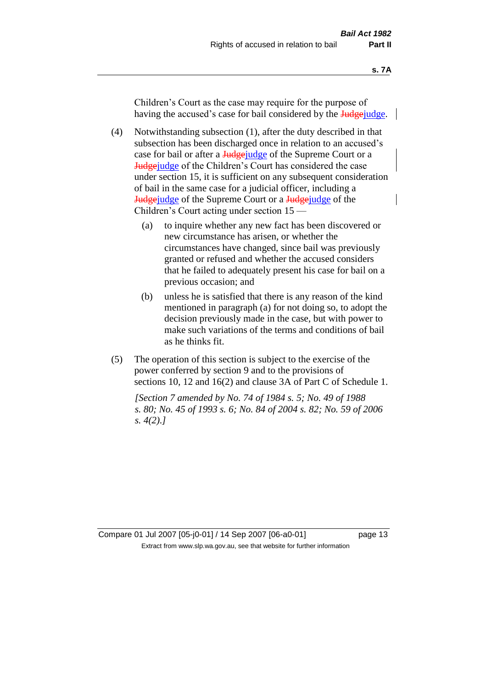Children's Court as the case may require for the purpose of having the accused's case for bail considered by the Judge-

- (4) Notwithstanding subsection (1), after the duty described in that subsection has been discharged once in relation to an accused's case for bail or after a **Judge** judge of the Supreme Court or a Judgejudge of the Children's Court has considered the case under section 15, it is sufficient on any subsequent consideration of bail in the same case for a judicial officer, including a **Judge** judge of the Supreme Court or a Judge judge of the Children's Court acting under section 15 —
	- (a) to inquire whether any new fact has been discovered or new circumstance has arisen, or whether the circumstances have changed, since bail was previously granted or refused and whether the accused considers that he failed to adequately present his case for bail on a previous occasion; and
	- (b) unless he is satisfied that there is any reason of the kind mentioned in paragraph (a) for not doing so, to adopt the decision previously made in the case, but with power to make such variations of the terms and conditions of bail as he thinks fit.
- (5) The operation of this section is subject to the exercise of the power conferred by section 9 and to the provisions of sections 10, 12 and 16(2) and clause 3A of Part C of Schedule 1.

*[Section 7 amended by No. 74 of 1984 s. 5; No. 49 of 1988 s. 80; No. 45 of 1993 s. 6; No. 84 of 2004 s. 82; No. 59 of 2006 s. 4(2).]*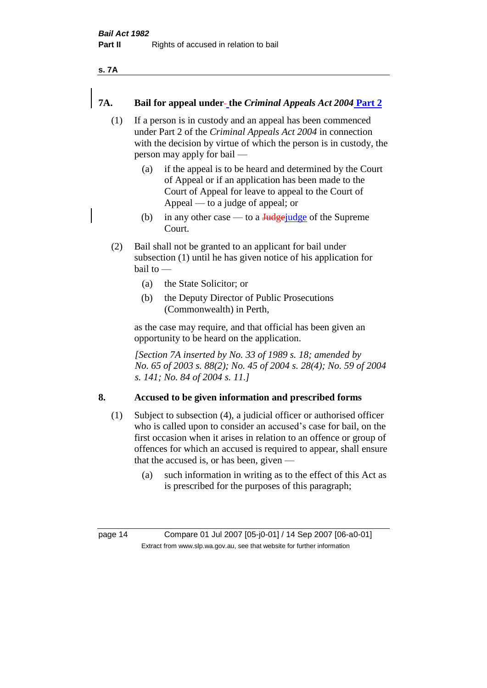**s. 7A**

## **7A. Bail for appeal under the** *Criminal Appeals Act 2004* **Part 2**

- (1) If a person is in custody and an appeal has been commenced under Part 2 of the *Criminal Appeals Act 2004* in connection with the decision by virtue of which the person is in custody, the person may apply for bail —
	- (a) if the appeal is to be heard and determined by the Court of Appeal or if an application has been made to the Court of Appeal for leave to appeal to the Court of Appeal — to a judge of appeal; or
	- (b) in any other case to a  $\frac{Jud\pi}{Jud\pi}$  of the Supreme Court.
- (2) Bail shall not be granted to an applicant for bail under subsection (1) until he has given notice of his application for bail to —
	- (a) the State Solicitor; or
	- (b) the Deputy Director of Public Prosecutions (Commonwealth) in Perth,

as the case may require, and that official has been given an opportunity to be heard on the application.

*[Section 7A inserted by No. 33 of 1989 s. 18; amended by No. 65 of 2003 s. 88(2); No. 45 of 2004 s. 28(4); No. 59 of 2004 s. 141; No. 84 of 2004 s. 11.]* 

## **8. Accused to be given information and prescribed forms**

- (1) Subject to subsection (4), a judicial officer or authorised officer who is called upon to consider an accused's case for bail, on the first occasion when it arises in relation to an offence or group of offences for which an accused is required to appear, shall ensure that the accused is, or has been, given —
	- (a) such information in writing as to the effect of this Act as is prescribed for the purposes of this paragraph;

page 14 Compare 01 Jul 2007 [05-j0-01] / 14 Sep 2007 [06-a0-01] Extract from www.slp.wa.gov.au, see that website for further information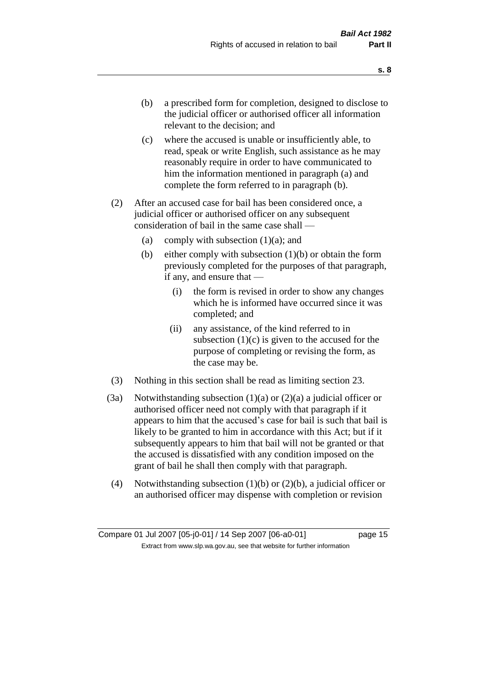- (b) a prescribed form for completion, designed to disclose to the judicial officer or authorised officer all information relevant to the decision; and
- (c) where the accused is unable or insufficiently able, to read, speak or write English, such assistance as he may reasonably require in order to have communicated to him the information mentioned in paragraph (a) and complete the form referred to in paragraph (b).
- (2) After an accused case for bail has been considered once, a judicial officer or authorised officer on any subsequent consideration of bail in the same case shall —
	- (a) comply with subsection  $(1)(a)$ ; and
	- (b) either comply with subsection  $(1)(b)$  or obtain the form previously completed for the purposes of that paragraph, if any, and ensure that —
		- (i) the form is revised in order to show any changes which he is informed have occurred since it was completed; and
		- (ii) any assistance, of the kind referred to in subsection  $(1)(c)$  is given to the accused for the purpose of completing or revising the form, as the case may be.
- (3) Nothing in this section shall be read as limiting section 23.
- (3a) Notwithstanding subsection  $(1)(a)$  or  $(2)(a)$  a judicial officer or authorised officer need not comply with that paragraph if it appears to him that the accused's case for bail is such that bail is likely to be granted to him in accordance with this Act; but if it subsequently appears to him that bail will not be granted or that the accused is dissatisfied with any condition imposed on the grant of bail he shall then comply with that paragraph.
- (4) Notwithstanding subsection (1)(b) or (2)(b), a judicial officer or an authorised officer may dispense with completion or revision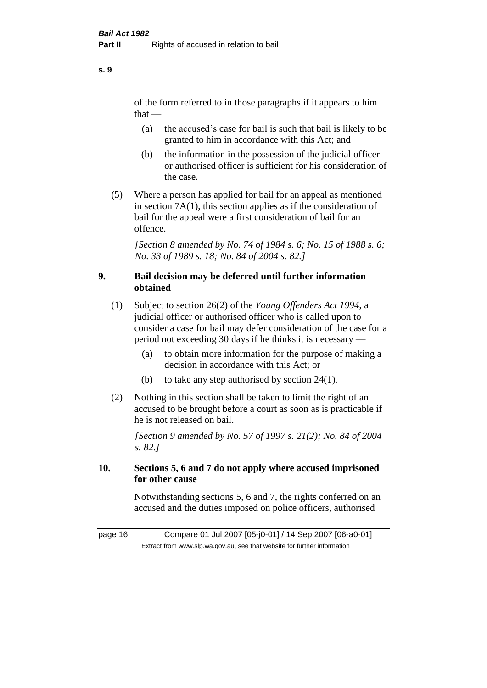of the form referred to in those paragraphs if it appears to him  $that -$ 

- (a) the accused's case for bail is such that bail is likely to be granted to him in accordance with this Act; and
- (b) the information in the possession of the judicial officer or authorised officer is sufficient for his consideration of the case.
- (5) Where a person has applied for bail for an appeal as mentioned in section 7A(1), this section applies as if the consideration of bail for the appeal were a first consideration of bail for an offence.

*[Section 8 amended by No. 74 of 1984 s. 6; No. 15 of 1988 s. 6; No. 33 of 1989 s. 18; No. 84 of 2004 s. 82.]* 

## **9. Bail decision may be deferred until further information obtained**

- (1) Subject to section 26(2) of the *Young Offenders Act 1994*, a judicial officer or authorised officer who is called upon to consider a case for bail may defer consideration of the case for a period not exceeding 30 days if he thinks it is necessary —
	- (a) to obtain more information for the purpose of making a decision in accordance with this Act; or
	- (b) to take any step authorised by section 24(1).
- (2) Nothing in this section shall be taken to limit the right of an accused to be brought before a court as soon as is practicable if he is not released on bail.

*[Section 9 amended by No. 57 of 1997 s. 21(2); No. 84 of 2004 s. 82.]*

# **10. Sections 5, 6 and 7 do not apply where accused imprisoned for other cause**

Notwithstanding sections 5, 6 and 7, the rights conferred on an accused and the duties imposed on police officers, authorised

page 16 Compare 01 Jul 2007 [05-j0-01] / 14 Sep 2007 [06-a0-01] Extract from www.slp.wa.gov.au, see that website for further information

**s. 9**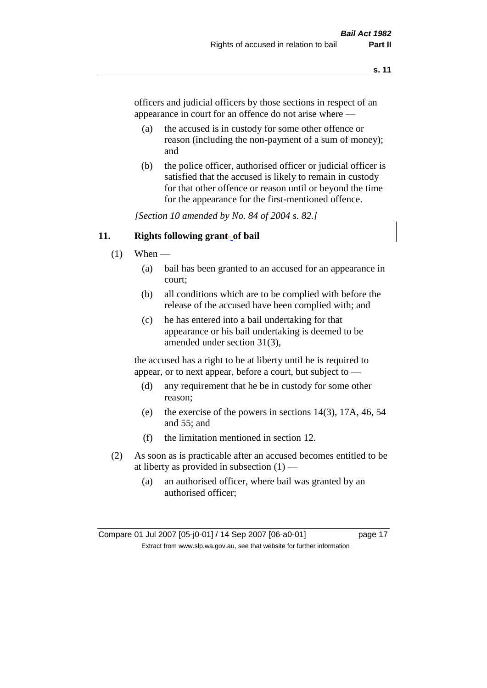officers and judicial officers by those sections in respect of an appearance in court for an offence do not arise where —

- (a) the accused is in custody for some other offence or reason (including the non-payment of a sum of money); and
- (b) the police officer, authorised officer or judicial officer is satisfied that the accused is likely to remain in custody for that other offence or reason until or beyond the time for the appearance for the first-mentioned offence.

*[Section 10 amended by No. 84 of 2004 s. 82.]*

#### **11. Rights following grant of bail**

- $(1)$  When
	- (a) bail has been granted to an accused for an appearance in court;
	- (b) all conditions which are to be complied with before the release of the accused have been complied with; and
	- (c) he has entered into a bail undertaking for that appearance or his bail undertaking is deemed to be amended under section 31(3),

the accused has a right to be at liberty until he is required to appear, or to next appear, before a court, but subject to —

- (d) any requirement that he be in custody for some other reason;
- (e) the exercise of the powers in sections 14(3), 17A, 46, 54 and 55; and
- (f) the limitation mentioned in section 12.
- (2) As soon as is practicable after an accused becomes entitled to be at liberty as provided in subsection  $(1)$  —
	- (a) an authorised officer, where bail was granted by an authorised officer;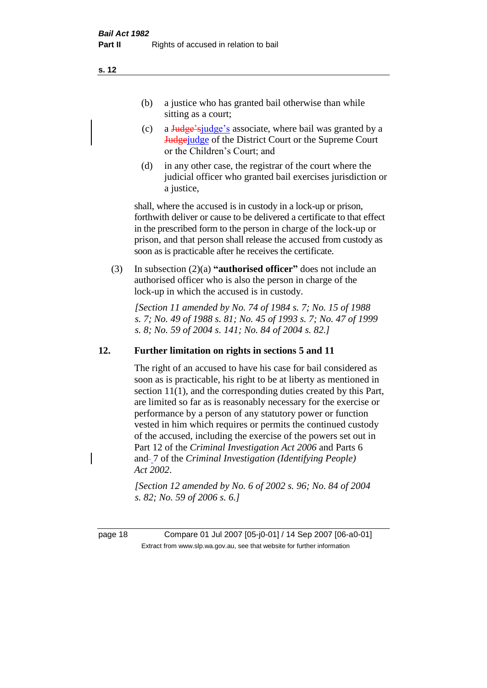(b) a justice who has granted bail otherwise than while sitting as a court:

- (c) a Judge'sjudge's associate, where bail was granted by a **Judge** of the District Court or the Supreme Court or the Children's Court; and
- (d) in any other case, the registrar of the court where the judicial officer who granted bail exercises jurisdiction or a justice,

shall, where the accused is in custody in a lock-up or prison, forthwith deliver or cause to be delivered a certificate to that effect in the prescribed form to the person in charge of the lock-up or prison, and that person shall release the accused from custody as soon as is practicable after he receives the certificate.

(3) In subsection (2)(a) **"authorised officer"** does not include an authorised officer who is also the person in charge of the lock-up in which the accused is in custody.

*[Section 11 amended by No. 74 of 1984 s. 7; No. 15 of 1988 s. 7; No. 49 of 1988 s. 81; No. 45 of 1993 s. 7; No. 47 of 1999 s. 8; No. 59 of 2004 s. 141; No. 84 of 2004 s. 82.]* 

#### **12. Further limitation on rights in sections 5 and 11**

The right of an accused to have his case for bail considered as soon as is practicable, his right to be at liberty as mentioned in section 11(1), and the corresponding duties created by this Part, are limited so far as is reasonably necessary for the exercise or performance by a person of any statutory power or function vested in him which requires or permits the continued custody of the accused, including the exercise of the powers set out in Part 12 of the *Criminal Investigation Act 2006* and Parts 6 and 7 of the *Criminal Investigation (Identifying People) Act 2002*.

*[Section 12 amended by No. 6 of 2002 s. 96; No. 84 of 2004 s. 82; No. 59 of 2006 s. 6.]*

page 18 Compare 01 Jul 2007 [05-j0-01] / 14 Sep 2007 [06-a0-01] Extract from www.slp.wa.gov.au, see that website for further information

**s. 12**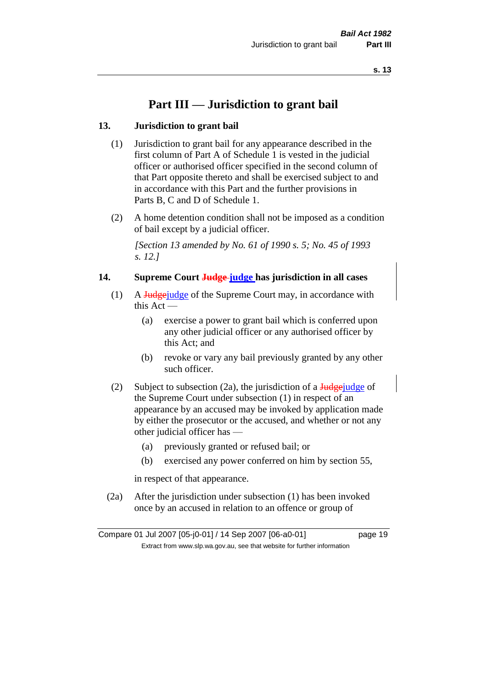# **Part III — Jurisdiction to grant bail**

#### **13. Jurisdiction to grant bail**

- (1) Jurisdiction to grant bail for any appearance described in the first column of Part A of Schedule 1 is vested in the judicial officer or authorised officer specified in the second column of that Part opposite thereto and shall be exercised subject to and in accordance with this Part and the further provisions in Parts B, C and D of Schedule 1.
- (2) A home detention condition shall not be imposed as a condition of bail except by a judicial officer.

*[Section 13 amended by No. 61 of 1990 s. 5; No. 45 of 1993 s. 12.]* 

#### **14. Supreme Court Judge judge has jurisdiction in all cases**

- (1) A Judgejudge of the Supreme Court may, in accordance with this Act —
	- (a) exercise a power to grant bail which is conferred upon any other judicial officer or any authorised officer by this Act; and
	- (b) revoke or vary any bail previously granted by any other such officer.
- (2) Subject to subsection (2a), the jurisdiction of a  $\frac{\text{Hodge}\cdot \text{uedge}}{\text{Hodge}}$ the Supreme Court under subsection (1) in respect of an appearance by an accused may be invoked by application made by either the prosecutor or the accused, and whether or not any other judicial officer has —
	- (a) previously granted or refused bail; or
	- (b) exercised any power conferred on him by section 55,

in respect of that appearance.

(2a) After the jurisdiction under subsection (1) has been invoked once by an accused in relation to an offence or group of

Compare 01 Jul 2007 [05-j0-01] / 14 Sep 2007 [06-a0-01] page 19 Extract from www.slp.wa.gov.au, see that website for further information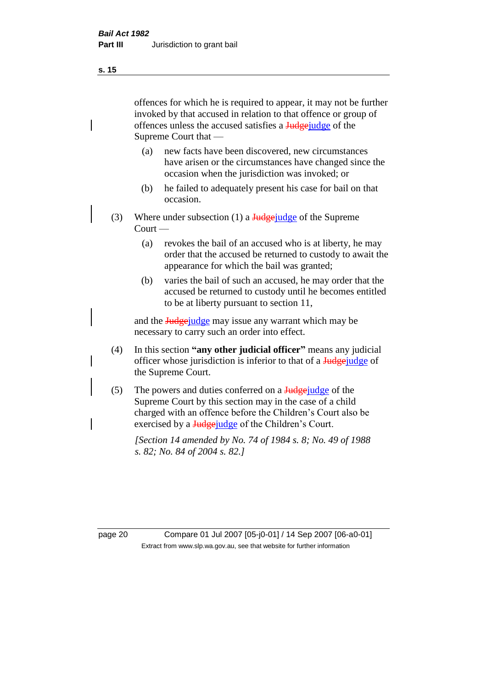offences for which he is required to appear, it may not be further invoked by that accused in relation to that offence or group of offences unless the accused satisfies a Judgejudge of the Supreme Court that —

- (a) new facts have been discovered, new circumstances have arisen or the circumstances have changed since the occasion when the jurisdiction was invoked; or
- (b) he failed to adequately present his case for bail on that occasion.
- (3) Where under subsection (1) a  $\frac{1}{\text{Hodge}}$  where under subsection (1) a  $\frac{1}{\text{Hodge}}$  of the Supreme Court —
	- (a) revokes the bail of an accused who is at liberty, he may order that the accused be returned to custody to await the appearance for which the bail was granted;
	- (b) varies the bail of such an accused, he may order that the accused be returned to custody until he becomes entitled to be at liberty pursuant to section 11,

and the **Judge** judge may issue any warrant which may be necessary to carry such an order into effect.

- (4) In this section **"any other judicial officer"** means any judicial officer whose jurisdiction is inferior to that of a **Judgejudge** of the Supreme Court.
- (5) The powers and duties conferred on a  $\frac{J_{\text{u}}}{J_{\text{u}}}\right)$  and  $\frac{J_{\text{u}}}{J_{\text{u}}}\right)$ Supreme Court by this section may in the case of a child charged with an offence before the Children's Court also be exercised by a Judgejudge of the Children's Court.

*[Section 14 amended by No. 74 of 1984 s. 8; No. 49 of 1988 s. 82; No. 84 of 2004 s. 82.]* 

page 20 Compare 01 Jul 2007 [05-j0-01] / 14 Sep 2007 [06-a0-01] Extract from www.slp.wa.gov.au, see that website for further information

**s. 15**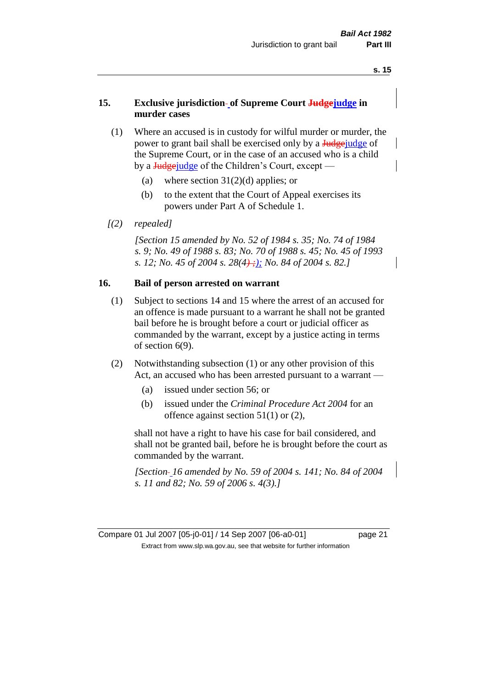#### **15. Exclusive jurisdiction of Supreme Court Judgejudge in murder cases**

- (1) Where an accused is in custody for wilful murder or murder, the power to grant bail shall be exercised only by a **Judge** judge of the Supreme Court, or in the case of an accused who is a child by a  $\frac{Jud\gamma}{Jud\gamma}$  of the Children's Court, except —
	- (a) where section  $31(2)(d)$  applies; or
	- (b) to the extent that the Court of Appeal exercises its powers under Part A of Schedule 1.
- *[(2) repealed]*

*[Section 15 amended by No. 52 of 1984 s. 35; No. 74 of 1984 s. 9; No. 49 of 1988 s. 83; No. 70 of 1988 s. 45; No. 45 of 1993 s. 12; No. 45 of 2004 s. 28(4) ;); No. 84 of 2004 s. 82.]* 

## **16. Bail of person arrested on warrant**

- (1) Subject to sections 14 and 15 where the arrest of an accused for an offence is made pursuant to a warrant he shall not be granted bail before he is brought before a court or judicial officer as commanded by the warrant, except by a justice acting in terms of section 6(9).
- (2) Notwithstanding subsection (1) or any other provision of this Act, an accused who has been arrested pursuant to a warrant —
	- (a) issued under section 56; or
	- (b) issued under the *Criminal Procedure Act 2004* for an offence against section 51(1) or (2),

shall not have a right to have his case for bail considered, and shall not be granted bail, before he is brought before the court as commanded by the warrant.

*[Section 16 amended by No. 59 of 2004 s. 141; No. 84 of 2004 s. 11 and 82; No. 59 of 2006 s. 4(3).]*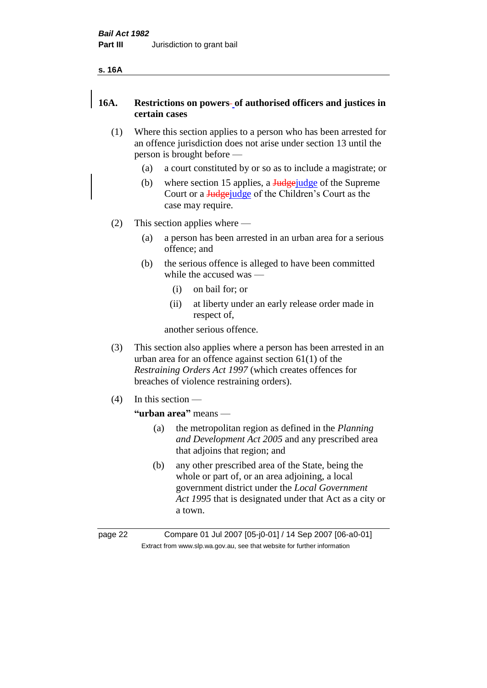#### **s. 16A**

## **16A. Restrictions on powers of authorised officers and justices in certain cases**

- (1) Where this section applies to a person who has been arrested for an offence jurisdiction does not arise under section 13 until the person is brought before —
	- (a) a court constituted by or so as to include a magistrate; or
	- (b) where section 15 applies, a  $\frac{\text{Hedgei}}{\text{Hedgei}}$  of the Supreme Court or a **Judge** judge of the Children's Court as the case may require.
- (2) This section applies where
	- (a) a person has been arrested in an urban area for a serious offence; and
	- (b) the serious offence is alleged to have been committed while the accused was —
		- (i) on bail for; or
		- (ii) at liberty under an early release order made in respect of,

another serious offence.

- (3) This section also applies where a person has been arrested in an urban area for an offence against section 61(1) of the *Restraining Orders Act 1997* (which creates offences for breaches of violence restraining orders).
- (4) In this section —

# **"urban area"** means —

- (a) the metropolitan region as defined in the *Planning and Development Act 2005* and any prescribed area that adjoins that region; and
- (b) any other prescribed area of the State, being the whole or part of, or an area adjoining, a local government district under the *Local Government Act 1995* that is designated under that Act as a city or a town.

page 22 Compare 01 Jul 2007 [05-j0-01] / 14 Sep 2007 [06-a0-01] Extract from www.slp.wa.gov.au, see that website for further information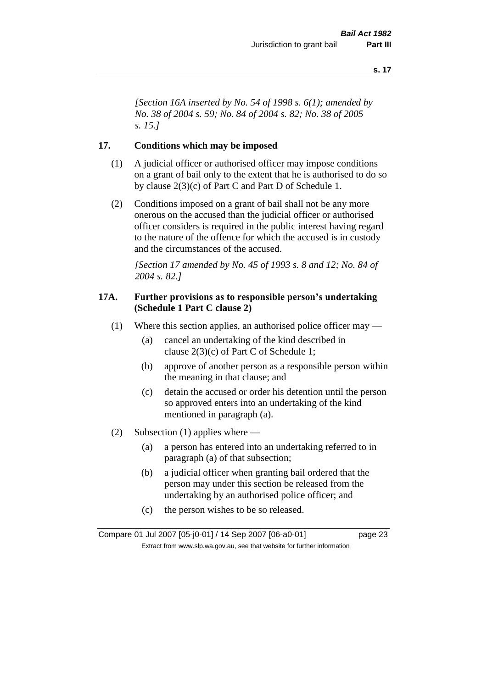*[Section 16A inserted by No. 54 of 1998 s. 6(1); amended by No. 38 of 2004 s. 59; No. 84 of 2004 s. 82; No. 38 of 2005 s. 15.]*

#### **17. Conditions which may be imposed**

- (1) A judicial officer or authorised officer may impose conditions on a grant of bail only to the extent that he is authorised to do so by clause 2(3)(c) of Part C and Part D of Schedule 1.
- (2) Conditions imposed on a grant of bail shall not be any more onerous on the accused than the judicial officer or authorised officer considers is required in the public interest having regard to the nature of the offence for which the accused is in custody and the circumstances of the accused.

*[Section 17 amended by No. 45 of 1993 s. 8 and 12; No. 84 of 2004 s. 82.]* 

#### **17A. Further provisions as to responsible person's undertaking (Schedule 1 Part C clause 2)**

- (1) Where this section applies, an authorised police officer may
	- (a) cancel an undertaking of the kind described in clause 2(3)(c) of Part C of Schedule 1;
	- (b) approve of another person as a responsible person within the meaning in that clause; and
	- (c) detain the accused or order his detention until the person so approved enters into an undertaking of the kind mentioned in paragraph (a).
- (2) Subsection (1) applies where
	- (a) a person has entered into an undertaking referred to in paragraph (a) of that subsection;
	- (b) a judicial officer when granting bail ordered that the person may under this section be released from the undertaking by an authorised police officer; and
	- (c) the person wishes to be so released.

Compare 01 Jul 2007 [05-j0-01] / 14 Sep 2007 [06-a0-01] page 23 Extract from www.slp.wa.gov.au, see that website for further information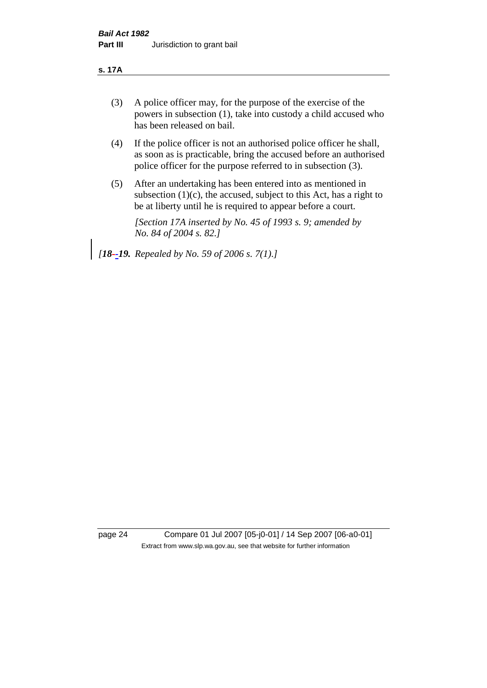#### **s. 17A**

- (3) A police officer may, for the purpose of the exercise of the powers in subsection (1), take into custody a child accused who has been released on bail.
- (4) If the police officer is not an authorised police officer he shall, as soon as is practicable, bring the accused before an authorised police officer for the purpose referred to in subsection (3).
- (5) After an undertaking has been entered into as mentioned in subsection  $(1)(c)$ , the accused, subject to this Act, has a right to be at liberty until he is required to appear before a court.

*[Section 17A inserted by No. 45 of 1993 s. 9; amended by No. 84 of 2004 s. 82.]* 

*[18--19. Repealed by No. 59 of 2006 s. 7(1).]*

page 24 Compare 01 Jul 2007 [05-j0-01] / 14 Sep 2007 [06-a0-01] Extract from www.slp.wa.gov.au, see that website for further information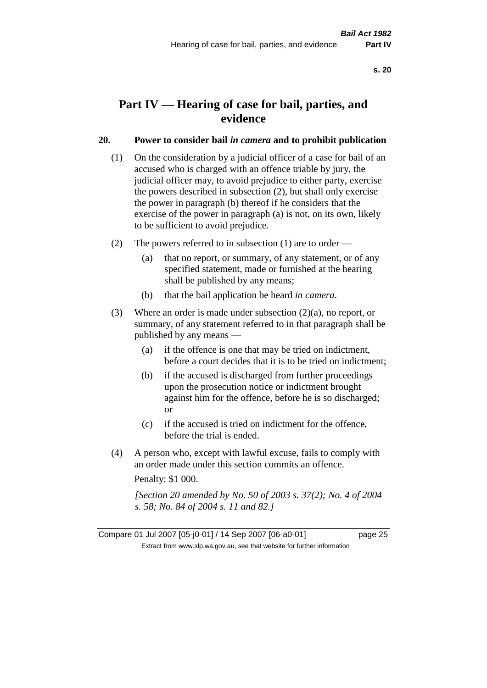# **Part IV — Hearing of case for bail, parties, and evidence**

#### **20. Power to consider bail** *in camera* **and to prohibit publication**

- (1) On the consideration by a judicial officer of a case for bail of an accused who is charged with an offence triable by jury, the judicial officer may, to avoid prejudice to either party, exercise the powers described in subsection (2), but shall only exercise the power in paragraph (b) thereof if he considers that the exercise of the power in paragraph (a) is not, on its own, likely to be sufficient to avoid prejudice.
- (2) The powers referred to in subsection (1) are to order
	- (a) that no report, or summary, of any statement, or of any specified statement, made or furnished at the hearing shall be published by any means;
	- (b) that the bail application be heard *in camera*.
- (3) Where an order is made under subsection (2)(a), no report, or summary, of any statement referred to in that paragraph shall be published by any means —
	- (a) if the offence is one that may be tried on indictment, before a court decides that it is to be tried on indictment;
	- (b) if the accused is discharged from further proceedings upon the prosecution notice or indictment brought against him for the offence, before he is so discharged; or
	- (c) if the accused is tried on indictment for the offence, before the trial is ended.
- (4) A person who, except with lawful excuse, fails to comply with an order made under this section commits an offence.

Penalty: \$1 000.

*[Section 20 amended by No. 50 of 2003 s. 37(2); No. 4 of 2004 s. 58; No. 84 of 2004 s. 11 and 82.]*

Compare 01 Jul 2007 [05-j0-01] / 14 Sep 2007 [06-a0-01] page 25 Extract from www.slp.wa.gov.au, see that website for further information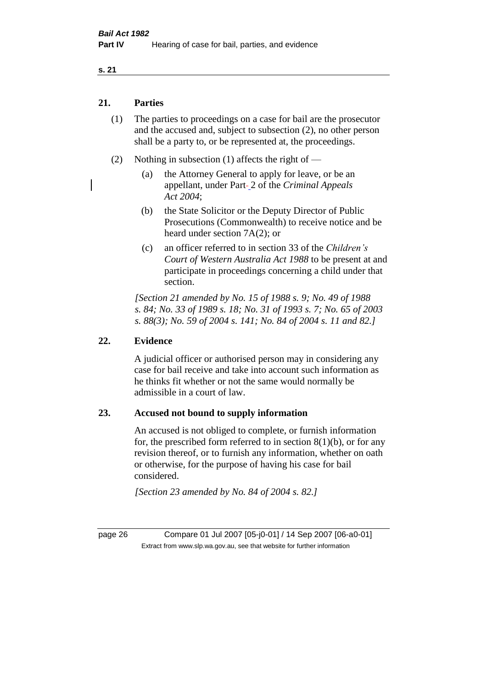#### **21. Parties**

- (1) The parties to proceedings on a case for bail are the prosecutor and the accused and, subject to subsection (2), no other person shall be a party to, or be represented at, the proceedings.
- (2) Nothing in subsection (1) affects the right of
	- (a) the Attorney General to apply for leave, or be an appellant, under Part 2 of the *Criminal Appeals Act 2004*;
	- (b) the State Solicitor or the Deputy Director of Public Prosecutions (Commonwealth) to receive notice and be heard under section 7A(2); or
	- (c) an officer referred to in section 33 of the *Children's Court of Western Australia Act 1988* to be present at and participate in proceedings concerning a child under that section.

*[Section 21 amended by No. 15 of 1988 s. 9; No. 49 of 1988 s. 84; No. 33 of 1989 s. 18; No. 31 of 1993 s. 7; No. 65 of 2003 s. 88(3); No. 59 of 2004 s. 141; No. 84 of 2004 s. 11 and 82.]* 

## **22. Evidence**

A judicial officer or authorised person may in considering any case for bail receive and take into account such information as he thinks fit whether or not the same would normally be admissible in a court of law.

#### **23. Accused not bound to supply information**

An accused is not obliged to complete, or furnish information for, the prescribed form referred to in section  $8(1)(b)$ , or for any revision thereof, or to furnish any information, whether on oath or otherwise, for the purpose of having his case for bail considered.

*[Section 23 amended by No. 84 of 2004 s. 82.]* 

page 26 Compare 01 Jul 2007 [05-j0-01] / 14 Sep 2007 [06-a0-01] Extract from www.slp.wa.gov.au, see that website for further information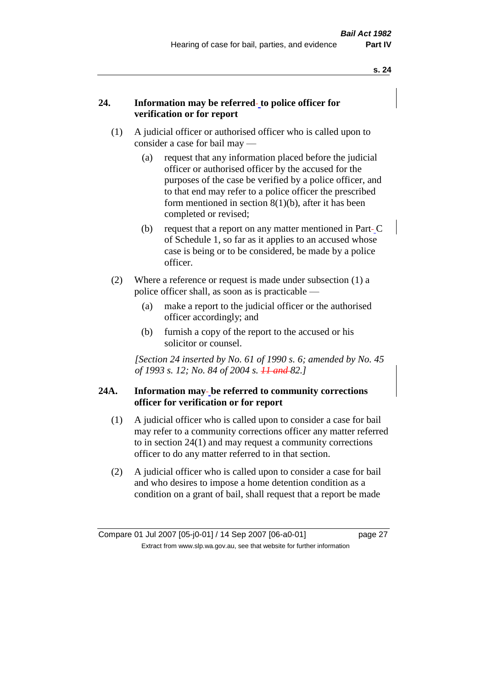#### **24. Information may be referred to police officer for verification or for report**

- (1) A judicial officer or authorised officer who is called upon to consider a case for bail may —
	- (a) request that any information placed before the judicial officer or authorised officer by the accused for the purposes of the case be verified by a police officer, and to that end may refer to a police officer the prescribed form mentioned in section 8(1)(b), after it has been completed or revised;
	- (b) request that a report on any matter mentioned in Part-C of Schedule 1, so far as it applies to an accused whose case is being or to be considered, be made by a police officer.
- (2) Where a reference or request is made under subsection (1) a police officer shall, as soon as is practicable —
	- (a) make a report to the judicial officer or the authorised officer accordingly; and
	- (b) furnish a copy of the report to the accused or his solicitor or counsel.

*[Section 24 inserted by No. 61 of 1990 s. 6; amended by No. 45 of 1993 s. 12; No. 84 of 2004 s. 11 and 82.]* 

#### **24A. Information may be referred to community corrections officer for verification or for report**

- (1) A judicial officer who is called upon to consider a case for bail may refer to a community corrections officer any matter referred to in section 24(1) and may request a community corrections officer to do any matter referred to in that section.
- (2) A judicial officer who is called upon to consider a case for bail and who desires to impose a home detention condition as a condition on a grant of bail, shall request that a report be made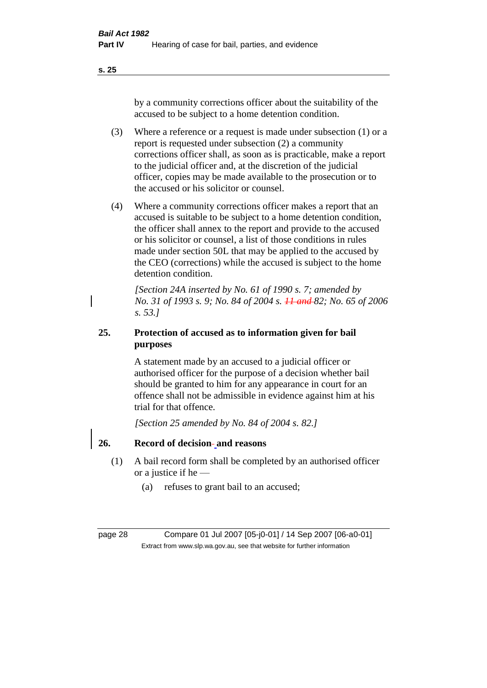by a community corrections officer about the suitability of the accused to be subject to a home detention condition.

- (3) Where a reference or a request is made under subsection (1) or a report is requested under subsection (2) a community corrections officer shall, as soon as is practicable, make a report to the judicial officer and, at the discretion of the judicial officer, copies may be made available to the prosecution or to the accused or his solicitor or counsel.
- (4) Where a community corrections officer makes a report that an accused is suitable to be subject to a home detention condition, the officer shall annex to the report and provide to the accused or his solicitor or counsel, a list of those conditions in rules made under section 50L that may be applied to the accused by the CEO (corrections) while the accused is subject to the home detention condition.

*[Section 24A inserted by No. 61 of 1990 s. 7; amended by No. 31 of 1993 s. 9; No. 84 of 2004 s. 11 and 82; No. 65 of 2006 s. 53.]* 

# **25. Protection of accused as to information given for bail purposes**

A statement made by an accused to a judicial officer or authorised officer for the purpose of a decision whether bail should be granted to him for any appearance in court for an offence shall not be admissible in evidence against him at his trial for that offence.

*[Section 25 amended by No. 84 of 2004 s. 82.]* 

# **26. Record of decision and reasons**

- (1) A bail record form shall be completed by an authorised officer or a justice if he —
	- (a) refuses to grant bail to an accused;

page 28 Compare 01 Jul 2007 [05-j0-01] / 14 Sep 2007 [06-a0-01] Extract from www.slp.wa.gov.au, see that website for further information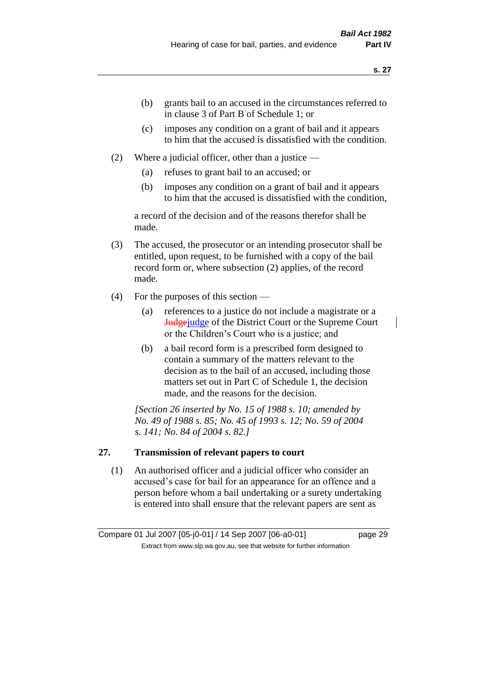- (b) grants bail to an accused in the circumstances referred to in clause 3 of Part B of Schedule 1; or
- (c) imposes any condition on a grant of bail and it appears to him that the accused is dissatisfied with the condition.
- (2) Where a judicial officer, other than a justice
	- (a) refuses to grant bail to an accused; or
	- (b) imposes any condition on a grant of bail and it appears to him that the accused is dissatisfied with the condition,

a record of the decision and of the reasons therefor shall be made.

- (3) The accused, the prosecutor or an intending prosecutor shall be entitled, upon request, to be furnished with a copy of the bail record form or, where subsection (2) applies, of the record made.
- (4) For the purposes of this section
	- (a) references to a justice do not include a magistrate or a Judgejudge of the District Court or the Supreme Court or the Children's Court who is a justice; and
	- (b) a bail record form is a prescribed form designed to contain a summary of the matters relevant to the decision as to the bail of an accused, including those matters set out in Part C of Schedule 1, the decision made, and the reasons for the decision.

*[Section 26 inserted by No. 15 of 1988 s. 10; amended by No. 49 of 1988 s. 85; No. 45 of 1993 s. 12; No. 59 of 2004 s. 141; No. 84 of 2004 s. 82.]* 

## **27. Transmission of relevant papers to court**

(1) An authorised officer and a judicial officer who consider an accused's case for bail for an appearance for an offence and a person before whom a bail undertaking or a surety undertaking is entered into shall ensure that the relevant papers are sent as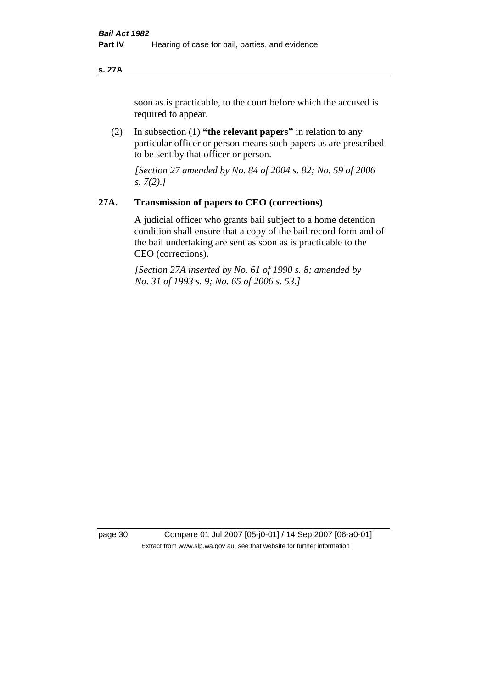#### **s. 27A**

soon as is practicable, to the court before which the accused is required to appear.

(2) In subsection (1) **"the relevant papers"** in relation to any particular officer or person means such papers as are prescribed to be sent by that officer or person.

*[Section 27 amended by No. 84 of 2004 s. 82; No. 59 of 2006 s. 7(2).]* 

#### **27A. Transmission of papers to CEO (corrections)**

A judicial officer who grants bail subject to a home detention condition shall ensure that a copy of the bail record form and of the bail undertaking are sent as soon as is practicable to the CEO (corrections).

*[Section 27A inserted by No. 61 of 1990 s. 8; amended by No. 31 of 1993 s. 9; No. 65 of 2006 s. 53.]* 

page 30 Compare 01 Jul 2007 [05-j0-01] / 14 Sep 2007 [06-a0-01] Extract from www.slp.wa.gov.au, see that website for further information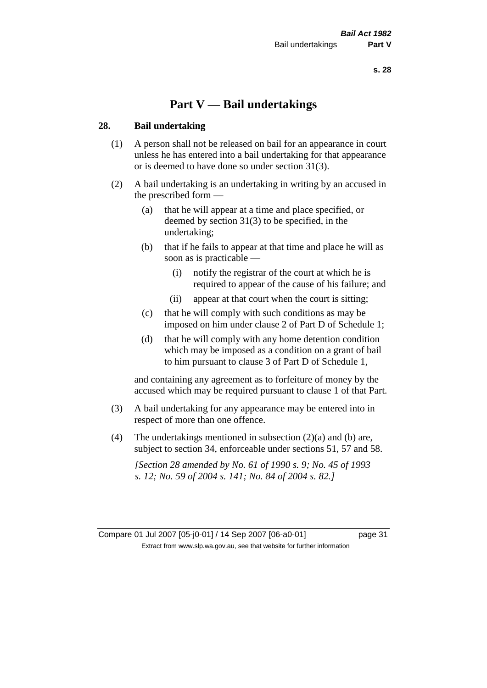# **Part V — Bail undertakings**

#### **28. Bail undertaking**

- (1) A person shall not be released on bail for an appearance in court unless he has entered into a bail undertaking for that appearance or is deemed to have done so under section 31(3).
- (2) A bail undertaking is an undertaking in writing by an accused in the prescribed form —
	- (a) that he will appear at a time and place specified, or deemed by section 31(3) to be specified, in the undertaking;
	- (b) that if he fails to appear at that time and place he will as soon as is practicable —
		- (i) notify the registrar of the court at which he is required to appear of the cause of his failure; and
		- (ii) appear at that court when the court is sitting;
	- (c) that he will comply with such conditions as may be imposed on him under clause 2 of Part D of Schedule 1;
	- (d) that he will comply with any home detention condition which may be imposed as a condition on a grant of bail to him pursuant to clause 3 of Part D of Schedule 1,

and containing any agreement as to forfeiture of money by the accused which may be required pursuant to clause 1 of that Part.

- (3) A bail undertaking for any appearance may be entered into in respect of more than one offence.
- (4) The undertakings mentioned in subsection  $(2)(a)$  and (b) are, subject to section 34, enforceable under sections 51, 57 and 58.

*[Section 28 amended by No. 61 of 1990 s. 9; No. 45 of 1993 s. 12; No. 59 of 2004 s. 141; No. 84 of 2004 s. 82.]* 

Compare 01 Jul 2007 [05-j0-01] / 14 Sep 2007 [06-a0-01] page 31 Extract from www.slp.wa.gov.au, see that website for further information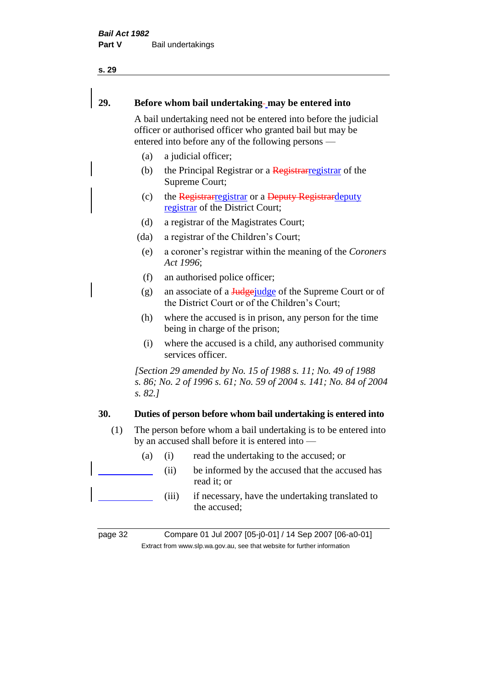#### 29. **Before whom bail undertaking-may be entered into**

A bail undertaking need not be entered into before the judicial officer or authorised officer who granted bail but may be entered into before any of the following persons —

- (a) a judicial officer;
- (b) the Principal Registrar or a  $\frac{1}{\text{Registrar}}$  registrar of the Supreme Court;
- (c) the Registrarregistrar or a Deputy Registrardeputy registrar of the District Court;
- (d) a registrar of the Magistrates Court;
- (da) a registrar of the Children's Court;
- (e) a coroner's registrar within the meaning of the *Coroners Act 1996*;
- (f) an authorised police officer;
- (g) an associate of a  $\frac{\text{Hedge}\text{d}q}{\text{Hedge}}$  of the Supreme Court or of the District Court or of the Children's Court;
- (h) where the accused is in prison, any person for the time being in charge of the prison;
- (i) where the accused is a child, any authorised community services officer.

*[Section 29 amended by No. 15 of 1988 s. 11; No. 49 of 1988 s. 86; No. 2 of 1996 s. 61; No. 59 of 2004 s. 141; No. 84 of 2004 s. 82.]* 

# **30. Duties of person before whom bail undertaking is entered into**

- (1) The person before whom a bail undertaking is to be entered into by an accused shall before it is entered into —
	- (a) (i) read the undertaking to the accused; or
		- (ii) be informed by the accused that the accused has read it; or
		- (iii) if necessary, have the undertaking translated to the accused;

page 32 Compare 01 Jul 2007 [05-j0-01] / 14 Sep 2007 [06-a0-01] Extract from www.slp.wa.gov.au, see that website for further information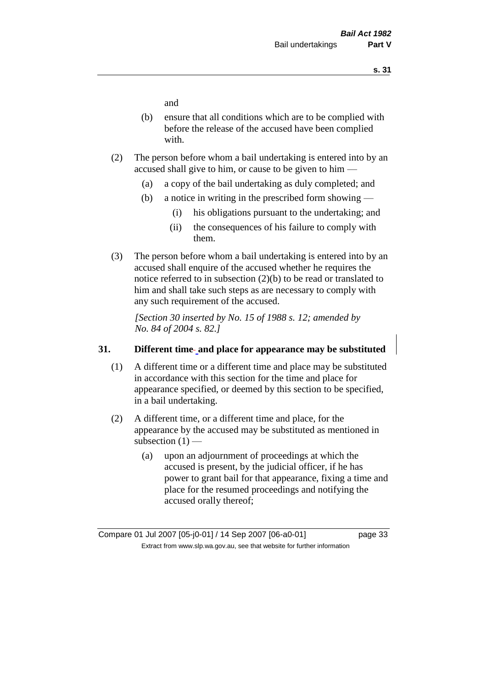and

- (b) ensure that all conditions which are to be complied with before the release of the accused have been complied with.
- (2) The person before whom a bail undertaking is entered into by an accused shall give to him, or cause to be given to him —
	- (a) a copy of the bail undertaking as duly completed; and
	- (b) a notice in writing in the prescribed form showing
		- (i) his obligations pursuant to the undertaking; and
		- (ii) the consequences of his failure to comply with them.
- (3) The person before whom a bail undertaking is entered into by an accused shall enquire of the accused whether he requires the notice referred to in subsection (2)(b) to be read or translated to him and shall take such steps as are necessary to comply with any such requirement of the accused.

*[Section 30 inserted by No. 15 of 1988 s. 12; amended by No. 84 of 2004 s. 82.]* 

#### **31. Different time and place for appearance may be substituted**

- (1) A different time or a different time and place may be substituted in accordance with this section for the time and place for appearance specified, or deemed by this section to be specified, in a bail undertaking.
- (2) A different time, or a different time and place, for the appearance by the accused may be substituted as mentioned in subsection  $(1)$  —
	- (a) upon an adjournment of proceedings at which the accused is present, by the judicial officer, if he has power to grant bail for that appearance, fixing a time and place for the resumed proceedings and notifying the accused orally thereof;

Compare 01 Jul 2007 [05-j0-01] / 14 Sep 2007 [06-a0-01] page 33 Extract from www.slp.wa.gov.au, see that website for further information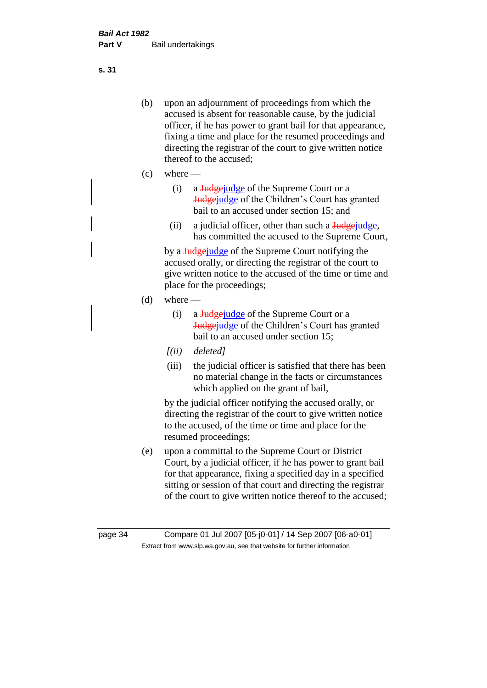(b) upon an adjournment of proceedings from which the accused is absent for reasonable cause, by the judicial officer, if he has power to grant bail for that appearance, fixing a time and place for the resumed proceedings and directing the registrar of the court to give written notice thereof to the accused;

- (c) where
	- (i) a Judgejudge of the Supreme Court or a **Judge** judge of the Children's Court has granted bail to an accused under section 15; and
	- (ii) a judicial officer, other than such a Judgejudge, has committed the accused to the Supreme Court,

by a Judgejudge of the Supreme Court notifying the accused orally, or directing the registrar of the court to give written notice to the accused of the time or time and place for the proceedings;

- (d) where
	- (i) a Judge judge of the Supreme Court or a Judgejudge of the Children's Court has granted bail to an accused under section 15;
	- *[(ii) deleted]*
	- (iii) the judicial officer is satisfied that there has been no material change in the facts or circumstances which applied on the grant of bail,

by the judicial officer notifying the accused orally, or directing the registrar of the court to give written notice to the accused, of the time or time and place for the resumed proceedings;

(e) upon a committal to the Supreme Court or District Court, by a judicial officer, if he has power to grant bail for that appearance, fixing a specified day in a specified sitting or session of that court and directing the registrar of the court to give written notice thereof to the accused;

**s. 31**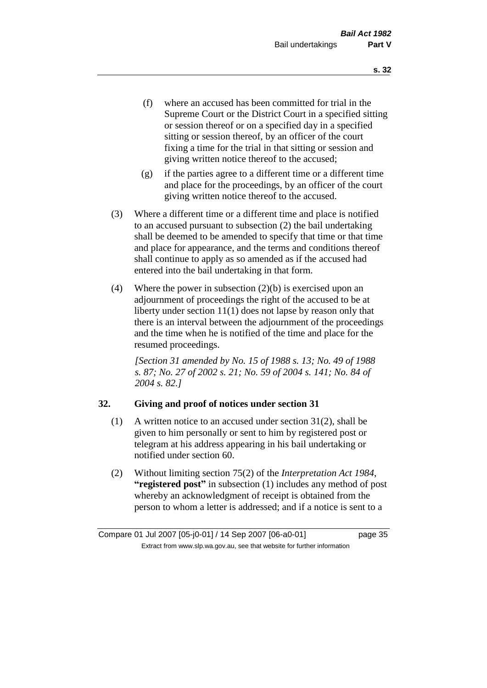- (f) where an accused has been committed for trial in the Supreme Court or the District Court in a specified sitting or session thereof or on a specified day in a specified sitting or session thereof, by an officer of the court fixing a time for the trial in that sitting or session and giving written notice thereof to the accused;
- (g) if the parties agree to a different time or a different time and place for the proceedings, by an officer of the court giving written notice thereof to the accused.
- (3) Where a different time or a different time and place is notified to an accused pursuant to subsection (2) the bail undertaking shall be deemed to be amended to specify that time or that time and place for appearance, and the terms and conditions thereof shall continue to apply as so amended as if the accused had entered into the bail undertaking in that form.
- (4) Where the power in subsection  $(2)(b)$  is exercised upon an adjournment of proceedings the right of the accused to be at liberty under section 11(1) does not lapse by reason only that there is an interval between the adjournment of the proceedings and the time when he is notified of the time and place for the resumed proceedings.

*[Section 31 amended by No. 15 of 1988 s. 13; No. 49 of 1988 s. 87; No. 27 of 2002 s. 21; No. 59 of 2004 s. 141; No. 84 of 2004 s. 82.]* 

### **32. Giving and proof of notices under section 31**

- (1) A written notice to an accused under section 31(2), shall be given to him personally or sent to him by registered post or telegram at his address appearing in his bail undertaking or notified under section 60.
- (2) Without limiting section 75(2) of the *Interpretation Act 1984*, **"registered post"** in subsection (1) includes any method of post whereby an acknowledgment of receipt is obtained from the person to whom a letter is addressed; and if a notice is sent to a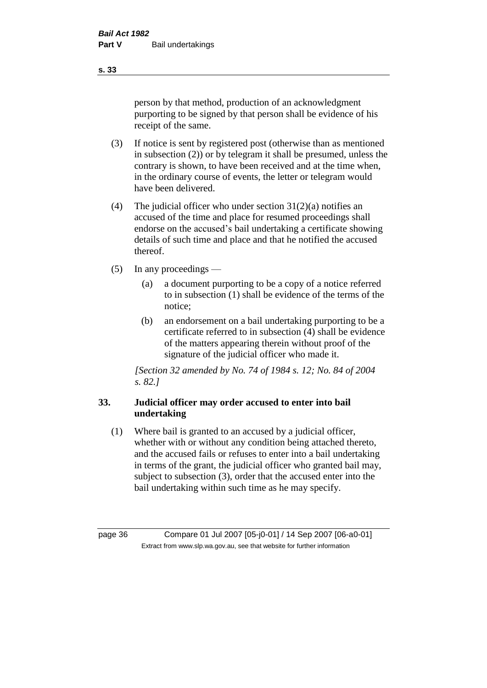person by that method, production of an acknowledgment purporting to be signed by that person shall be evidence of his receipt of the same.

- (3) If notice is sent by registered post (otherwise than as mentioned in subsection (2)) or by telegram it shall be presumed, unless the contrary is shown, to have been received and at the time when, in the ordinary course of events, the letter or telegram would have been delivered.
- (4) The judicial officer who under section  $31(2)(a)$  notifies an accused of the time and place for resumed proceedings shall endorse on the accused's bail undertaking a certificate showing details of such time and place and that he notified the accused thereof.
- (5) In any proceedings
	- (a) a document purporting to be a copy of a notice referred to in subsection (1) shall be evidence of the terms of the notice;
	- (b) an endorsement on a bail undertaking purporting to be a certificate referred to in subsection (4) shall be evidence of the matters appearing therein without proof of the signature of the judicial officer who made it.

*[Section 32 amended by No. 74 of 1984 s. 12; No. 84 of 2004 s. 82.]* 

# **33. Judicial officer may order accused to enter into bail undertaking**

(1) Where bail is granted to an accused by a judicial officer, whether with or without any condition being attached thereto, and the accused fails or refuses to enter into a bail undertaking in terms of the grant, the judicial officer who granted bail may, subject to subsection (3), order that the accused enter into the bail undertaking within such time as he may specify.

page 36 Compare 01 Jul 2007 [05-j0-01] / 14 Sep 2007 [06-a0-01] Extract from www.slp.wa.gov.au, see that website for further information

**s. 33**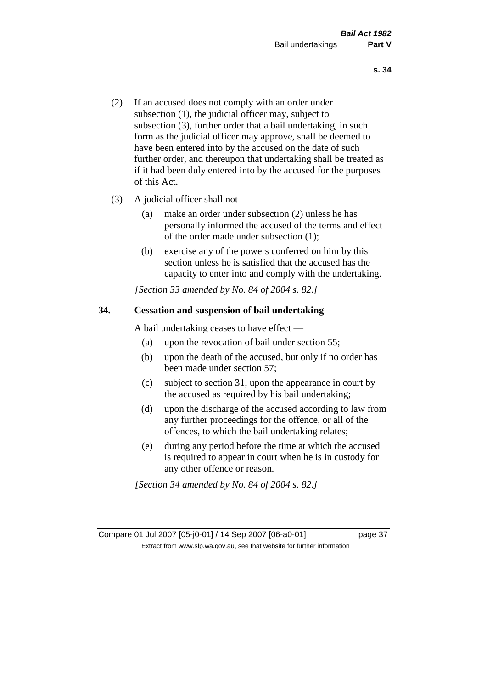- (2) If an accused does not comply with an order under subsection (1), the judicial officer may, subject to subsection (3), further order that a bail undertaking, in such form as the judicial officer may approve, shall be deemed to have been entered into by the accused on the date of such further order, and thereupon that undertaking shall be treated as if it had been duly entered into by the accused for the purposes of this Act.
- (3) A judicial officer shall not
	- (a) make an order under subsection (2) unless he has personally informed the accused of the terms and effect of the order made under subsection (1);
	- (b) exercise any of the powers conferred on him by this section unless he is satisfied that the accused has the capacity to enter into and comply with the undertaking.

*[Section 33 amended by No. 84 of 2004 s. 82.]* 

### **34. Cessation and suspension of bail undertaking**

A bail undertaking ceases to have effect —

- (a) upon the revocation of bail under section 55;
- (b) upon the death of the accused, but only if no order has been made under section 57;
- (c) subject to section 31, upon the appearance in court by the accused as required by his bail undertaking;
- (d) upon the discharge of the accused according to law from any further proceedings for the offence, or all of the offences, to which the bail undertaking relates;
- (e) during any period before the time at which the accused is required to appear in court when he is in custody for any other offence or reason.

*[Section 34 amended by No. 84 of 2004 s. 82.]* 

Compare 01 Jul 2007 [05-j0-01] / 14 Sep 2007 [06-a0-01] page 37 Extract from www.slp.wa.gov.au, see that website for further information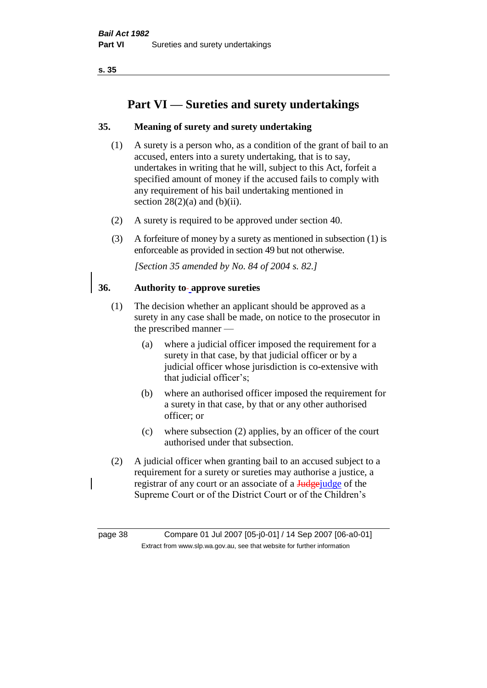**s. 35**

# **Part VI — Sureties and surety undertakings**

# **35. Meaning of surety and surety undertaking**

- (1) A surety is a person who, as a condition of the grant of bail to an accused, enters into a surety undertaking, that is to say, undertakes in writing that he will, subject to this Act, forfeit a specified amount of money if the accused fails to comply with any requirement of his bail undertaking mentioned in section  $28(2)(a)$  and  $(b)(ii)$ .
- (2) A surety is required to be approved under section 40.
- (3) A forfeiture of money by a surety as mentioned in subsection (1) is enforceable as provided in section 49 but not otherwise.

*[Section 35 amended by No. 84 of 2004 s. 82.]* 

### **36. Authority to approve sureties**

- (1) The decision whether an applicant should be approved as a surety in any case shall be made, on notice to the prosecutor in the prescribed manner —
	- (a) where a judicial officer imposed the requirement for a surety in that case, by that judicial officer or by a judicial officer whose jurisdiction is co-extensive with that judicial officer's;
	- (b) where an authorised officer imposed the requirement for a surety in that case, by that or any other authorised officer; or
	- (c) where subsection (2) applies, by an officer of the court authorised under that subsection.
- (2) A judicial officer when granting bail to an accused subject to a requirement for a surety or sureties may authorise a justice, a registrar of any court or an associate of a **Judge** judge of the Supreme Court or of the District Court or of the Children's

page 38 Compare 01 Jul 2007 [05-j0-01] / 14 Sep 2007 [06-a0-01] Extract from www.slp.wa.gov.au, see that website for further information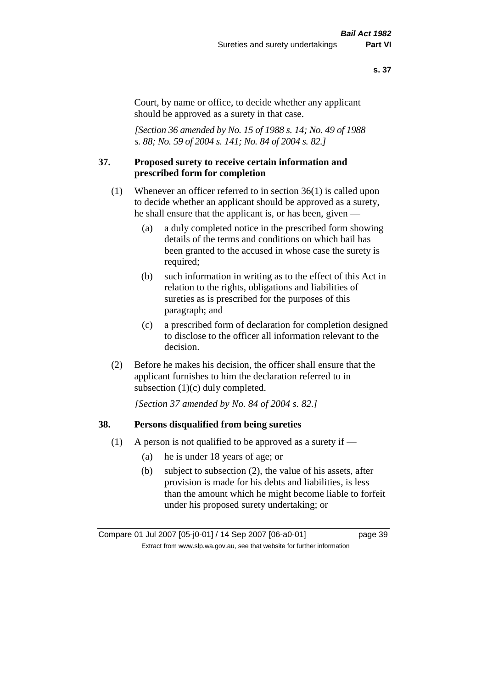#### **s. 37**

Court, by name or office, to decide whether any applicant should be approved as a surety in that case.

*[Section 36 amended by No. 15 of 1988 s. 14; No. 49 of 1988 s. 88; No. 59 of 2004 s. 141; No. 84 of 2004 s. 82.]* 

#### **37. Proposed surety to receive certain information and prescribed form for completion**

- (1) Whenever an officer referred to in section 36(1) is called upon to decide whether an applicant should be approved as a surety, he shall ensure that the applicant is, or has been, given —
	- (a) a duly completed notice in the prescribed form showing details of the terms and conditions on which bail has been granted to the accused in whose case the surety is required;
	- (b) such information in writing as to the effect of this Act in relation to the rights, obligations and liabilities of sureties as is prescribed for the purposes of this paragraph; and
	- (c) a prescribed form of declaration for completion designed to disclose to the officer all information relevant to the decision.
- (2) Before he makes his decision, the officer shall ensure that the applicant furnishes to him the declaration referred to in subsection (1)(c) duly completed.

*[Section 37 amended by No. 84 of 2004 s. 82.]* 

### **38. Persons disqualified from being sureties**

- (1) A person is not qualified to be approved as a surety if  $-$ 
	- (a) he is under 18 years of age; or
	- (b) subject to subsection (2), the value of his assets, after provision is made for his debts and liabilities, is less than the amount which he might become liable to forfeit under his proposed surety undertaking; or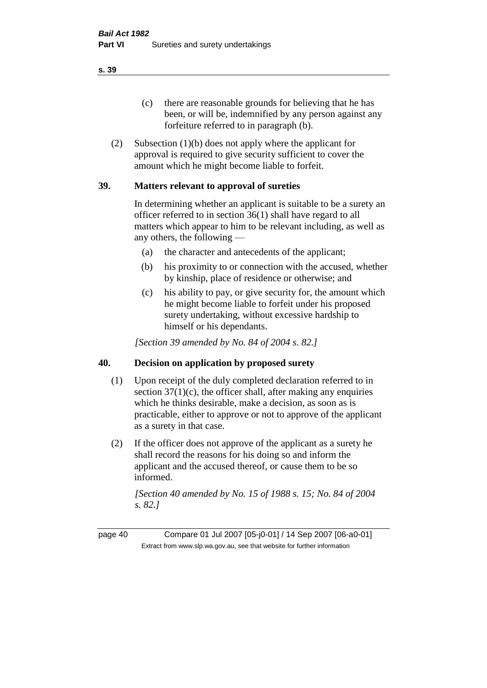(c) there are reasonable grounds for believing that he has been, or will be, indemnified by any person against any forfeiture referred to in paragraph (b).

(2) Subsection (1)(b) does not apply where the applicant for approval is required to give security sufficient to cover the amount which he might become liable to forfeit.

### **39. Matters relevant to approval of sureties**

In determining whether an applicant is suitable to be a surety an officer referred to in section 36(1) shall have regard to all matters which appear to him to be relevant including, as well as any others, the following —

- (a) the character and antecedents of the applicant;
- (b) his proximity to or connection with the accused, whether by kinship, place of residence or otherwise; and
- (c) his ability to pay, or give security for, the amount which he might become liable to forfeit under his proposed surety undertaking, without excessive hardship to himself or his dependants.

*[Section 39 amended by No. 84 of 2004 s. 82.]* 

### **40. Decision on application by proposed surety**

- (1) Upon receipt of the duly completed declaration referred to in section  $37(1)(c)$ , the officer shall, after making any enquiries which he thinks desirable, make a decision, as soon as is practicable, either to approve or not to approve of the applicant as a surety in that case.
- (2) If the officer does not approve of the applicant as a surety he shall record the reasons for his doing so and inform the applicant and the accused thereof, or cause them to be so informed.

*[Section 40 amended by No. 15 of 1988 s. 15; No. 84 of 2004 s. 82.]* 

page 40 Compare 01 Jul 2007 [05-j0-01] / 14 Sep 2007 [06-a0-01] Extract from www.slp.wa.gov.au, see that website for further information

**s. 39**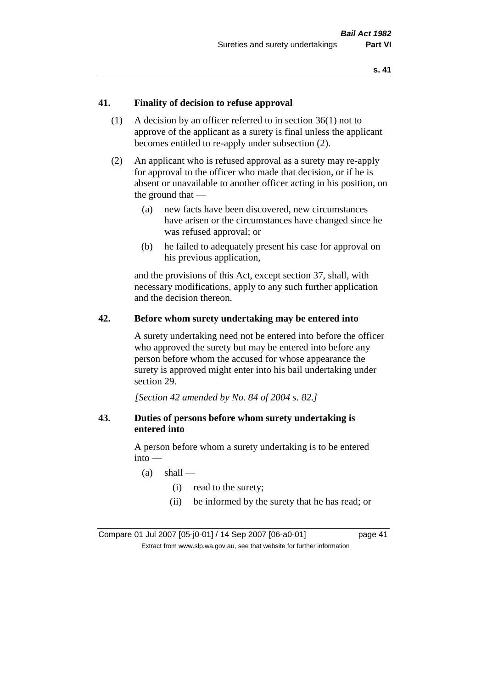### **41. Finality of decision to refuse approval**

- (1) A decision by an officer referred to in section 36(1) not to approve of the applicant as a surety is final unless the applicant becomes entitled to re-apply under subsection (2).
- (2) An applicant who is refused approval as a surety may re-apply for approval to the officer who made that decision, or if he is absent or unavailable to another officer acting in his position, on the ground that —
	- (a) new facts have been discovered, new circumstances have arisen or the circumstances have changed since he was refused approval; or
	- (b) he failed to adequately present his case for approval on his previous application,

and the provisions of this Act, except section 37, shall, with necessary modifications, apply to any such further application and the decision thereon.

#### **42. Before whom surety undertaking may be entered into**

A surety undertaking need not be entered into before the officer who approved the surety but may be entered into before any person before whom the accused for whose appearance the surety is approved might enter into his bail undertaking under section 29.

*[Section 42 amended by No. 84 of 2004 s. 82.]* 

### **43. Duties of persons before whom surety undertaking is entered into**

A person before whom a surety undertaking is to be entered into —

- $(a)$  shall
	- (i) read to the surety;
	- (ii) be informed by the surety that he has read; or

Compare 01 Jul 2007 [05-j0-01] / 14 Sep 2007 [06-a0-01] page 41 Extract from www.slp.wa.gov.au, see that website for further information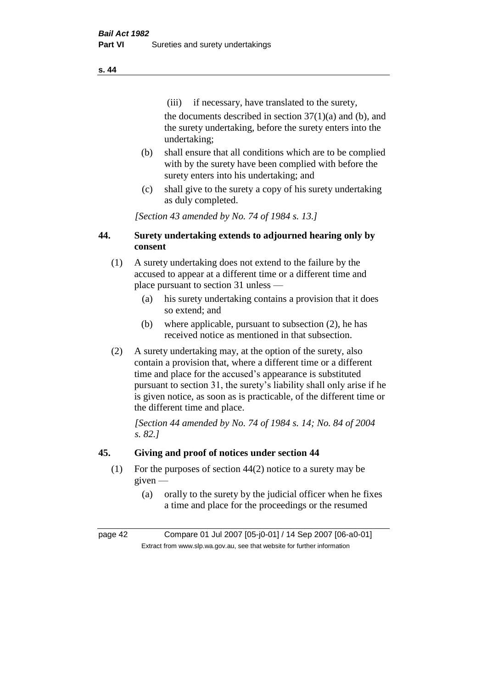(iii) if necessary, have translated to the surety, the documents described in section  $37(1)(a)$  and (b), and the surety undertaking, before the surety enters into the undertaking;

- (b) shall ensure that all conditions which are to be complied with by the surety have been complied with before the surety enters into his undertaking; and
- (c) shall give to the surety a copy of his surety undertaking as duly completed.

*[Section 43 amended by No. 74 of 1984 s. 13.]* 

# **44. Surety undertaking extends to adjourned hearing only by consent**

- (1) A surety undertaking does not extend to the failure by the accused to appear at a different time or a different time and place pursuant to section 31 unless —
	- (a) his surety undertaking contains a provision that it does so extend; and
	- (b) where applicable, pursuant to subsection (2), he has received notice as mentioned in that subsection.
- (2) A surety undertaking may, at the option of the surety, also contain a provision that, where a different time or a different time and place for the accused's appearance is substituted pursuant to section 31, the surety's liability shall only arise if he is given notice, as soon as is practicable, of the different time or the different time and place.

*[Section 44 amended by No. 74 of 1984 s. 14; No. 84 of 2004 s. 82.]* 

# **45. Giving and proof of notices under section 44**

- (1) For the purposes of section 44(2) notice to a surety may be given —
	- (a) orally to the surety by the judicial officer when he fixes a time and place for the proceedings or the resumed

page 42 Compare 01 Jul 2007 [05-j0-01] / 14 Sep 2007 [06-a0-01] Extract from www.slp.wa.gov.au, see that website for further information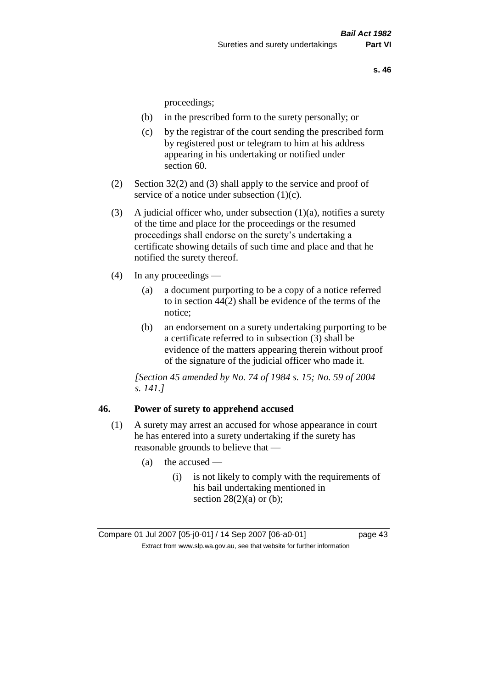proceedings;

- (b) in the prescribed form to the surety personally; or
- (c) by the registrar of the court sending the prescribed form by registered post or telegram to him at his address appearing in his undertaking or notified under section 60.
- (2) Section 32(2) and (3) shall apply to the service and proof of service of a notice under subsection (1)(c).
- (3) A judicial officer who, under subsection  $(1)(a)$ , notifies a surety of the time and place for the proceedings or the resumed proceedings shall endorse on the surety's undertaking a certificate showing details of such time and place and that he notified the surety thereof.
- (4) In any proceedings
	- (a) a document purporting to be a copy of a notice referred to in section 44(2) shall be evidence of the terms of the notice;
	- (b) an endorsement on a surety undertaking purporting to be a certificate referred to in subsection (3) shall be evidence of the matters appearing therein without proof of the signature of the judicial officer who made it.

*[Section 45 amended by No. 74 of 1984 s. 15; No. 59 of 2004 s. 141.]* 

#### **46. Power of surety to apprehend accused**

- (1) A surety may arrest an accused for whose appearance in court he has entered into a surety undertaking if the surety has reasonable grounds to believe that —
	- $(a)$  the accused
		- (i) is not likely to comply with the requirements of his bail undertaking mentioned in section  $28(2)(a)$  or (b);

Compare 01 Jul 2007 [05-j0-01] / 14 Sep 2007 [06-a0-01] page 43 Extract from www.slp.wa.gov.au, see that website for further information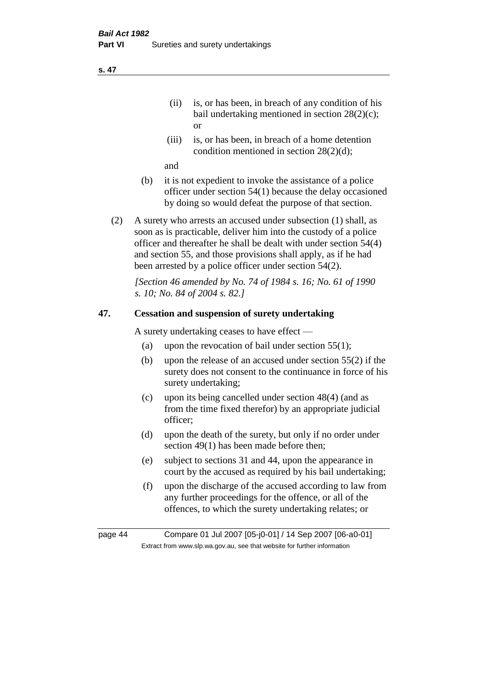- (ii) is, or has been, in breach of any condition of his bail undertaking mentioned in section 28(2)(c); or
- (iii) is, or has been, in breach of a home detention condition mentioned in section 28(2)(d);

and

- (b) it is not expedient to invoke the assistance of a police officer under section 54(1) because the delay occasioned by doing so would defeat the purpose of that section.
- (2) A surety who arrests an accused under subsection (1) shall, as soon as is practicable, deliver him into the custody of a police officer and thereafter he shall be dealt with under section 54(4) and section 55, and those provisions shall apply, as if he had been arrested by a police officer under section 54(2).

*[Section 46 amended by No. 74 of 1984 s. 16; No. 61 of 1990 s. 10; No. 84 of 2004 s. 82.]* 

# **47. Cessation and suspension of surety undertaking**

A surety undertaking ceases to have effect —

- (a) upon the revocation of bail under section  $55(1)$ ;
- (b) upon the release of an accused under section 55(2) if the surety does not consent to the continuance in force of his surety undertaking;
- (c) upon its being cancelled under section 48(4) (and as from the time fixed therefor) by an appropriate judicial officer;
- (d) upon the death of the surety, but only if no order under section 49(1) has been made before then;
- (e) subject to sections 31 and 44, upon the appearance in court by the accused as required by his bail undertaking;
- (f) upon the discharge of the accused according to law from any further proceedings for the offence, or all of the offences, to which the surety undertaking relates; or

page 44 Compare 01 Jul 2007 [05-j0-01] / 14 Sep 2007 [06-a0-01] Extract from www.slp.wa.gov.au, see that website for further information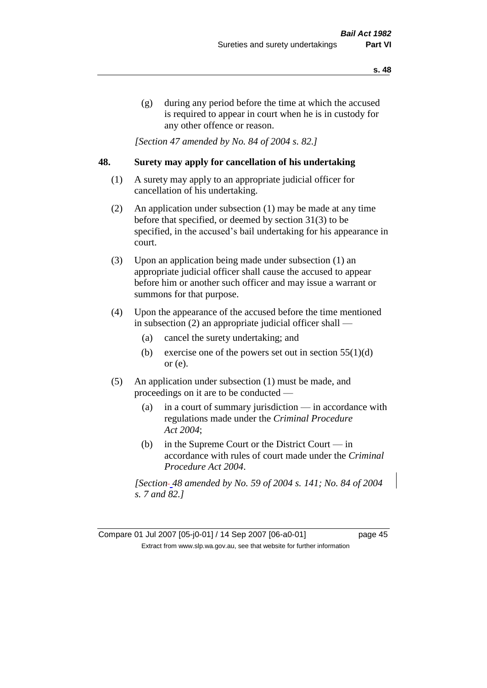(g) during any period before the time at which the accused is required to appear in court when he is in custody for any other offence or reason.

*[Section 47 amended by No. 84 of 2004 s. 82.]* 

### **48. Surety may apply for cancellation of his undertaking**

- (1) A surety may apply to an appropriate judicial officer for cancellation of his undertaking.
- (2) An application under subsection (1) may be made at any time before that specified, or deemed by section 31(3) to be specified, in the accused's bail undertaking for his appearance in court.
- (3) Upon an application being made under subsection (1) an appropriate judicial officer shall cause the accused to appear before him or another such officer and may issue a warrant or summons for that purpose.
- (4) Upon the appearance of the accused before the time mentioned in subsection (2) an appropriate judicial officer shall —
	- (a) cancel the surety undertaking; and
	- (b) exercise one of the powers set out in section  $55(1)(d)$ or (e).
- (5) An application under subsection (1) must be made, and proceedings on it are to be conducted —
	- (a) in a court of summary jurisdiction in accordance with regulations made under the *Criminal Procedure Act 2004*;
	- (b) in the Supreme Court or the District Court  $-\text{in}$ accordance with rules of court made under the *Criminal Procedure Act 2004*.

*[Section 48 amended by No. 59 of 2004 s. 141; No. 84 of 2004 s. 7 and 82.]* 

Compare 01 Jul 2007 [05-j0-01] / 14 Sep 2007 [06-a0-01] page 45 Extract from www.slp.wa.gov.au, see that website for further information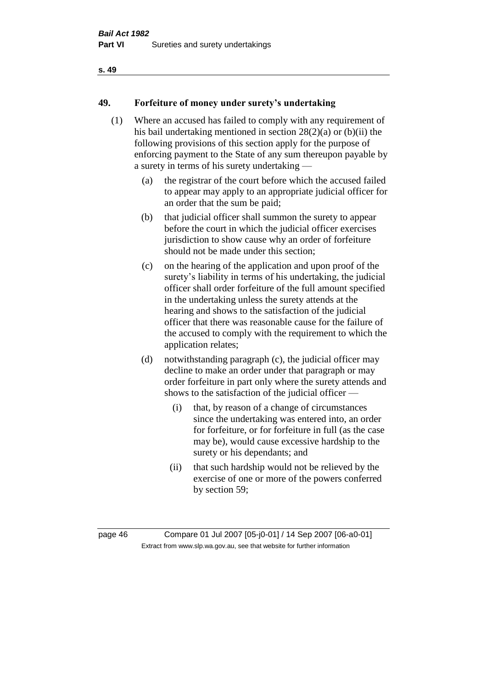#### **s. 49**

## **49. Forfeiture of money under surety's undertaking**

- (1) Where an accused has failed to comply with any requirement of his bail undertaking mentioned in section 28(2)(a) or (b)(ii) the following provisions of this section apply for the purpose of enforcing payment to the State of any sum thereupon payable by a surety in terms of his surety undertaking —
	- (a) the registrar of the court before which the accused failed to appear may apply to an appropriate judicial officer for an order that the sum be paid;
	- (b) that judicial officer shall summon the surety to appear before the court in which the judicial officer exercises jurisdiction to show cause why an order of forfeiture should not be made under this section;
	- (c) on the hearing of the application and upon proof of the surety's liability in terms of his undertaking, the judicial officer shall order forfeiture of the full amount specified in the undertaking unless the surety attends at the hearing and shows to the satisfaction of the judicial officer that there was reasonable cause for the failure of the accused to comply with the requirement to which the application relates;
	- (d) notwithstanding paragraph (c), the judicial officer may decline to make an order under that paragraph or may order forfeiture in part only where the surety attends and shows to the satisfaction of the judicial officer —
		- (i) that, by reason of a change of circumstances since the undertaking was entered into, an order for forfeiture, or for forfeiture in full (as the case may be), would cause excessive hardship to the surety or his dependants; and
		- (ii) that such hardship would not be relieved by the exercise of one or more of the powers conferred by section 59;

page 46 Compare 01 Jul 2007 [05-j0-01] / 14 Sep 2007 [06-a0-01] Extract from www.slp.wa.gov.au, see that website for further information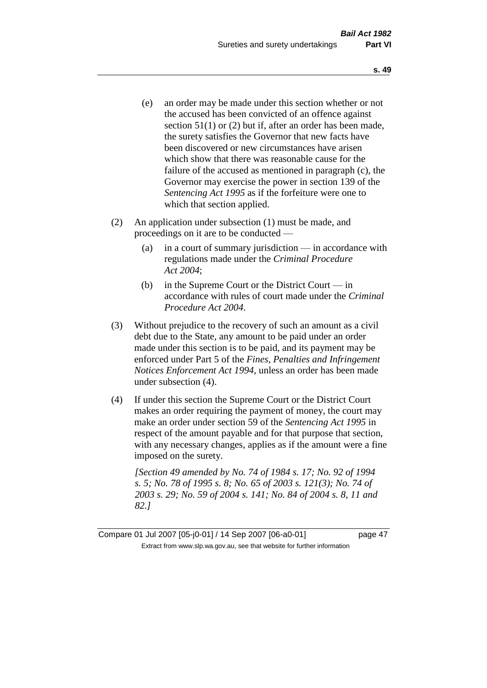- (e) an order may be made under this section whether or not the accused has been convicted of an offence against section 51(1) or (2) but if, after an order has been made, the surety satisfies the Governor that new facts have been discovered or new circumstances have arisen which show that there was reasonable cause for the failure of the accused as mentioned in paragraph (c), the Governor may exercise the power in section 139 of the *Sentencing Act 1995* as if the forfeiture were one to which that section applied.
- (2) An application under subsection (1) must be made, and proceedings on it are to be conducted —
	- (a) in a court of summary jurisdiction in accordance with regulations made under the *Criminal Procedure Act 2004*;
	- (b) in the Supreme Court or the District Court in accordance with rules of court made under the *Criminal Procedure Act 2004*.
- (3) Without prejudice to the recovery of such an amount as a civil debt due to the State, any amount to be paid under an order made under this section is to be paid, and its payment may be enforced under Part 5 of the *Fines, Penalties and Infringement Notices Enforcement Act 1994*, unless an order has been made under subsection (4).
- (4) If under this section the Supreme Court or the District Court makes an order requiring the payment of money, the court may make an order under section 59 of the *Sentencing Act 1995* in respect of the amount payable and for that purpose that section, with any necessary changes, applies as if the amount were a fine imposed on the surety.

*[Section 49 amended by No. 74 of 1984 s. 17; No. 92 of 1994 s. 5; No. 78 of 1995 s. 8; No. 65 of 2003 s. 121(3); No. 74 of 2003 s. 29; No. 59 of 2004 s. 141; No. 84 of 2004 s. 8, 11 and 82.]* 

Compare 01 Jul 2007 [05-j0-01] / 14 Sep 2007 [06-a0-01] page 47 Extract from www.slp.wa.gov.au, see that website for further information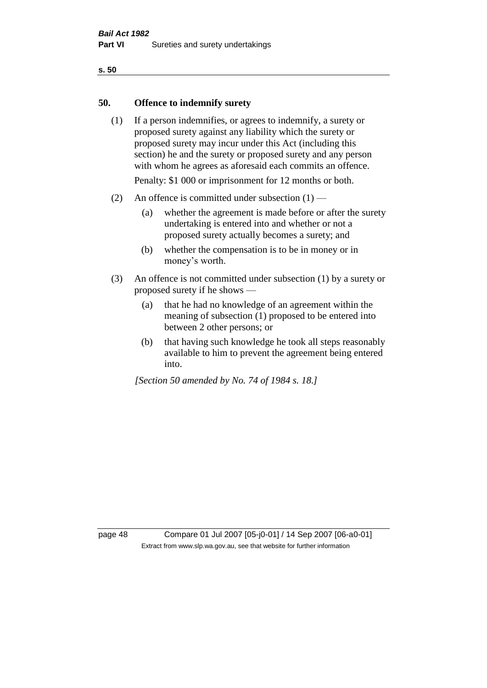#### **s. 50**

### **50. Offence to indemnify surety**

(1) If a person indemnifies, or agrees to indemnify, a surety or proposed surety against any liability which the surety or proposed surety may incur under this Act (including this section) he and the surety or proposed surety and any person with whom he agrees as aforesaid each commits an offence.

Penalty: \$1 000 or imprisonment for 12 months or both.

- (2) An offence is committed under subsection  $(1)$ 
	- (a) whether the agreement is made before or after the surety undertaking is entered into and whether or not a proposed surety actually becomes a surety; and
	- (b) whether the compensation is to be in money or in money's worth.
- (3) An offence is not committed under subsection (1) by a surety or proposed surety if he shows —
	- (a) that he had no knowledge of an agreement within the meaning of subsection (1) proposed to be entered into between 2 other persons; or
	- (b) that having such knowledge he took all steps reasonably available to him to prevent the agreement being entered into.

*[Section 50 amended by No. 74 of 1984 s. 18.]* 

page 48 Compare 01 Jul 2007 [05-j0-01] / 14 Sep 2007 [06-a0-01] Extract from www.slp.wa.gov.au, see that website for further information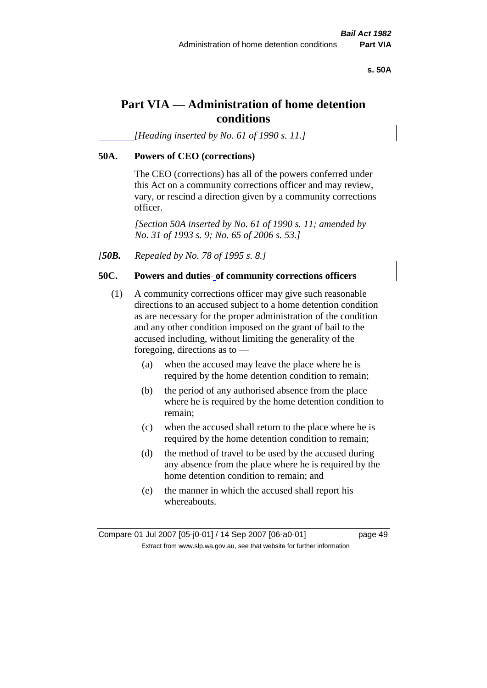**s. 50A**

# **Part VIA — Administration of home detention conditions**

*[Heading inserted by No. 61 of 1990 s. 11.]* 

# **50A. Powers of CEO (corrections)**

The CEO (corrections) has all of the powers conferred under this Act on a community corrections officer and may review, vary, or rescind a direction given by a community corrections officer.

*[Section 50A inserted by No. 61 of 1990 s. 11; amended by No. 31 of 1993 s. 9; No. 65 of 2006 s. 53.]* 

*[50B. Repealed by No. 78 of 1995 s. 8.]* 

# **50C. Powers and duties of community corrections officers**

- (1) A community corrections officer may give such reasonable directions to an accused subject to a home detention condition as are necessary for the proper administration of the condition and any other condition imposed on the grant of bail to the accused including, without limiting the generality of the foregoing, directions as to —
	- (a) when the accused may leave the place where he is required by the home detention condition to remain;
	- (b) the period of any authorised absence from the place where he is required by the home detention condition to remain;
	- (c) when the accused shall return to the place where he is required by the home detention condition to remain;
	- (d) the method of travel to be used by the accused during any absence from the place where he is required by the home detention condition to remain; and
	- (e) the manner in which the accused shall report his whereabouts.

Compare 01 Jul 2007 [05-j0-01] / 14 Sep 2007 [06-a0-01] page 49 Extract from www.slp.wa.gov.au, see that website for further information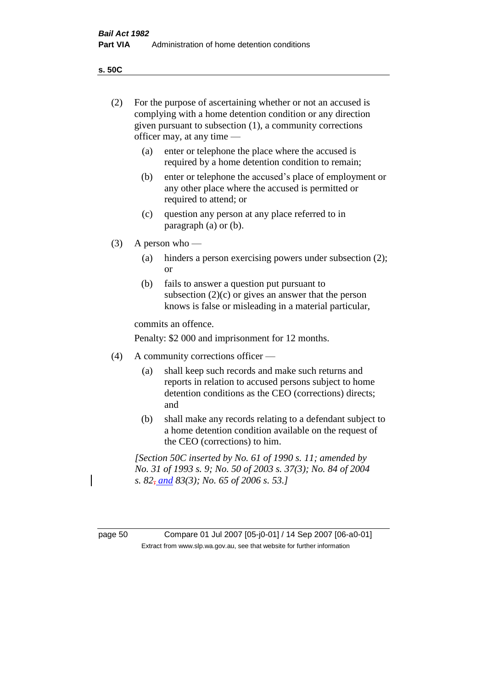**s. 50C**

| (2)     | For the purpose of ascertaining whether or not an accused is<br>complying with a home detention condition or any direction<br>given pursuant to subsection $(1)$ , a community corrections<br>officer may, at any time $-$ |                                                                                                                                                                              |  |
|---------|----------------------------------------------------------------------------------------------------------------------------------------------------------------------------------------------------------------------------|------------------------------------------------------------------------------------------------------------------------------------------------------------------------------|--|
|         | (a)                                                                                                                                                                                                                        | enter or telephone the place where the accused is<br>required by a home detention condition to remain;                                                                       |  |
|         | (b)                                                                                                                                                                                                                        | enter or telephone the accused's place of employment or<br>any other place where the accused is permitted or<br>required to attend; or                                       |  |
|         | (c)                                                                                                                                                                                                                        | question any person at any place referred to in<br>paragraph $(a)$ or $(b)$ .                                                                                                |  |
| (3)     |                                                                                                                                                                                                                            | A person who $-$                                                                                                                                                             |  |
|         | (a)                                                                                                                                                                                                                        | hinders a person exercising powers under subsection (2);<br><sub>or</sub>                                                                                                    |  |
|         | (b)                                                                                                                                                                                                                        | fails to answer a question put pursuant to<br>subsection $(2)(c)$ or gives an answer that the person<br>knows is false or misleading in a material particular,               |  |
|         |                                                                                                                                                                                                                            | commits an offence.                                                                                                                                                          |  |
|         |                                                                                                                                                                                                                            | Penalty: \$2 000 and imprisonment for 12 months.                                                                                                                             |  |
| (4)     | A community corrections officer -                                                                                                                                                                                          |                                                                                                                                                                              |  |
|         | (a)                                                                                                                                                                                                                        | shall keep such records and make such returns and<br>reports in relation to accused persons subject to home<br>detention conditions as the CEO (corrections) directs;<br>and |  |
|         | (b)                                                                                                                                                                                                                        | shall make any records relating to a defendant subject to<br>a home detention condition available on the request of<br>the CEO (corrections) to him.                         |  |
|         | [Section 50C inserted by No. 61 of 1990 s. 11; amended by<br>No. 31 of 1993 s. 9; No. 50 of 2003 s. 37(3); No. 84 of 2004<br>s. 82 <sub>7</sub> and 83(3); No. 65 of 2006 s. 53.]                                          |                                                                                                                                                                              |  |
|         |                                                                                                                                                                                                                            |                                                                                                                                                                              |  |
| page 50 |                                                                                                                                                                                                                            | Compare 01 Jul 2007 [05-j0-01] / 14 Sep 2007 [06-a0-01]                                                                                                                      |  |

Extract from www.slp.wa.gov.au, see that website for further information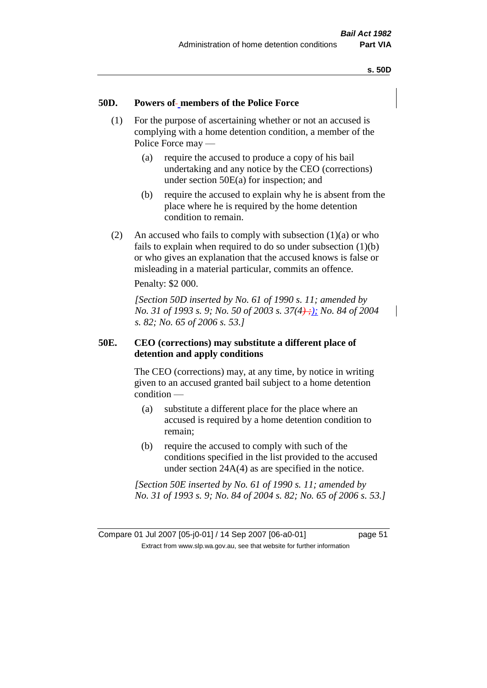#### **50D. Powers of members of the Police Force**

- (1) For the purpose of ascertaining whether or not an accused is complying with a home detention condition, a member of the Police Force may —
	- (a) require the accused to produce a copy of his bail undertaking and any notice by the CEO (corrections) under section 50E(a) for inspection; and
	- (b) require the accused to explain why he is absent from the place where he is required by the home detention condition to remain.
- (2) An accused who fails to comply with subsection  $(1)(a)$  or who fails to explain when required to do so under subsection  $(1)(b)$ or who gives an explanation that the accused knows is false or misleading in a material particular, commits an offence.

Penalty: \$2 000.

*[Section 50D inserted by No. 61 of 1990 s. 11; amended by No.* 31 of 1993 s. 9; *No.* 50 of 2003 s. 37(4);); *No.* 84 of 2004 *s. 82; No. 65 of 2006 s. 53.]* 

### **50E. CEO (corrections) may substitute a different place of detention and apply conditions**

The CEO (corrections) may, at any time, by notice in writing given to an accused granted bail subject to a home detention condition —

- (a) substitute a different place for the place where an accused is required by a home detention condition to remain;
- (b) require the accused to comply with such of the conditions specified in the list provided to the accused under section 24A(4) as are specified in the notice.

*[Section 50E inserted by No. 61 of 1990 s. 11; amended by No. 31 of 1993 s. 9; No. 84 of 2004 s. 82; No. 65 of 2006 s. 53.]*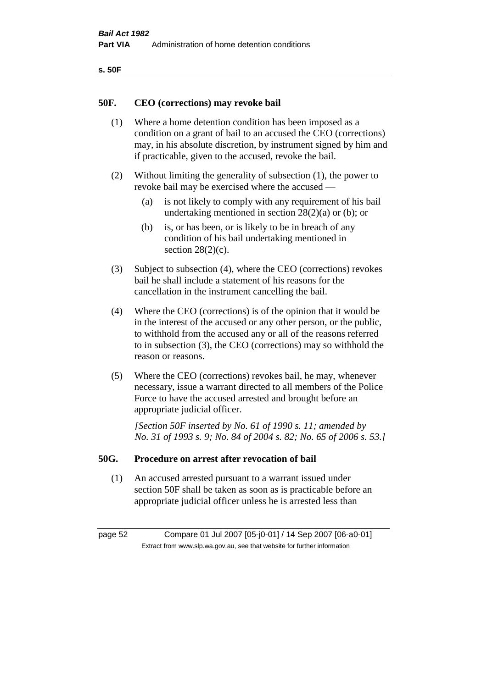| ۰.<br>×<br>-<br>۰.<br>× |  |
|-------------------------|--|
|-------------------------|--|

#### **50F. CEO (corrections) may revoke bail**

- (1) Where a home detention condition has been imposed as a condition on a grant of bail to an accused the CEO (corrections) may, in his absolute discretion, by instrument signed by him and if practicable, given to the accused, revoke the bail.
- (2) Without limiting the generality of subsection (1), the power to revoke bail may be exercised where the accused —
	- (a) is not likely to comply with any requirement of his bail undertaking mentioned in section  $28(2)(a)$  or (b); or
	- (b) is, or has been, or is likely to be in breach of any condition of his bail undertaking mentioned in section  $28(2)(c)$ .
- (3) Subject to subsection (4), where the CEO (corrections) revokes bail he shall include a statement of his reasons for the cancellation in the instrument cancelling the bail.
- (4) Where the CEO (corrections) is of the opinion that it would be in the interest of the accused or any other person, or the public, to withhold from the accused any or all of the reasons referred to in subsection (3), the CEO (corrections) may so withhold the reason or reasons.
- (5) Where the CEO (corrections) revokes bail, he may, whenever necessary, issue a warrant directed to all members of the Police Force to have the accused arrested and brought before an appropriate judicial officer.

*[Section 50F inserted by No. 61 of 1990 s. 11; amended by No. 31 of 1993 s. 9; No. 84 of 2004 s. 82; No. 65 of 2006 s. 53.]* 

#### **50G. Procedure on arrest after revocation of bail**

(1) An accused arrested pursuant to a warrant issued under section 50F shall be taken as soon as is practicable before an appropriate judicial officer unless he is arrested less than

page 52 Compare 01 Jul 2007 [05-j0-01] / 14 Sep 2007 [06-a0-01] Extract from www.slp.wa.gov.au, see that website for further information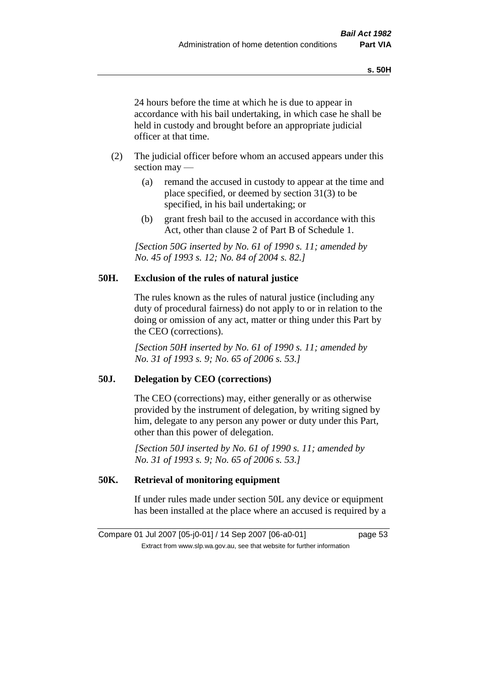24 hours before the time at which he is due to appear in accordance with his bail undertaking, in which case he shall be held in custody and brought before an appropriate judicial officer at that time.

- (2) The judicial officer before whom an accused appears under this section may —
	- (a) remand the accused in custody to appear at the time and place specified, or deemed by section 31(3) to be specified, in his bail undertaking; or
	- (b) grant fresh bail to the accused in accordance with this Act, other than clause 2 of Part B of Schedule 1.

*[Section 50G inserted by No. 61 of 1990 s. 11; amended by No. 45 of 1993 s. 12; No. 84 of 2004 s. 82.]* 

### **50H. Exclusion of the rules of natural justice**

The rules known as the rules of natural justice (including any duty of procedural fairness) do not apply to or in relation to the doing or omission of any act, matter or thing under this Part by the CEO (corrections).

*[Section 50H inserted by No. 61 of 1990 s. 11; amended by No. 31 of 1993 s. 9; No. 65 of 2006 s. 53.]* 

### **50J. Delegation by CEO (corrections)**

The CEO (corrections) may, either generally or as otherwise provided by the instrument of delegation, by writing signed by him, delegate to any person any power or duty under this Part, other than this power of delegation.

*[Section 50J inserted by No. 61 of 1990 s. 11; amended by No. 31 of 1993 s. 9; No. 65 of 2006 s. 53.]* 

## **50K. Retrieval of monitoring equipment**

If under rules made under section 50L any device or equipment has been installed at the place where an accused is required by a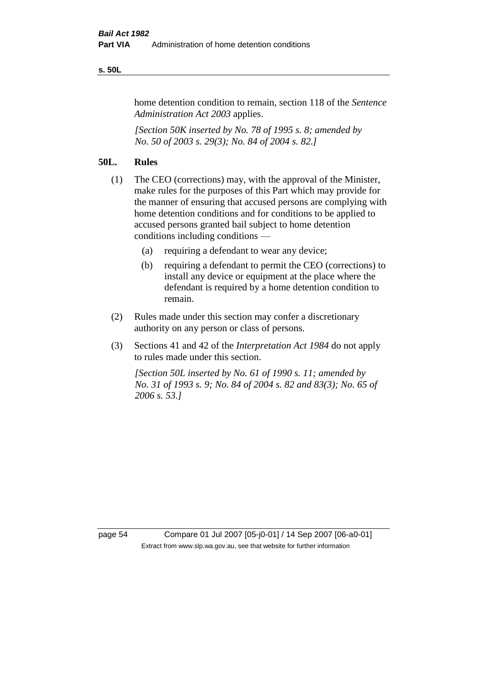#### **s. 50L**

home detention condition to remain, section 118 of the *Sentence Administration Act 2003* applies.

*[Section 50K inserted by No. 78 of 1995 s. 8; amended by No. 50 of 2003 s. 29(3); No. 84 of 2004 s. 82.]* 

### **50L. Rules**

- (1) The CEO (corrections) may, with the approval of the Minister, make rules for the purposes of this Part which may provide for the manner of ensuring that accused persons are complying with home detention conditions and for conditions to be applied to accused persons granted bail subject to home detention conditions including conditions —
	- (a) requiring a defendant to wear any device;
	- (b) requiring a defendant to permit the CEO (corrections) to install any device or equipment at the place where the defendant is required by a home detention condition to remain.
- (2) Rules made under this section may confer a discretionary authority on any person or class of persons.
- (3) Sections 41 and 42 of the *Interpretation Act 1984* do not apply to rules made under this section.

*[Section 50L inserted by No. 61 of 1990 s. 11; amended by No. 31 of 1993 s. 9; No. 84 of 2004 s. 82 and 83(3); No. 65 of 2006 s. 53.]* 

page 54 Compare 01 Jul 2007 [05-j0-01] / 14 Sep 2007 [06-a0-01] Extract from www.slp.wa.gov.au, see that website for further information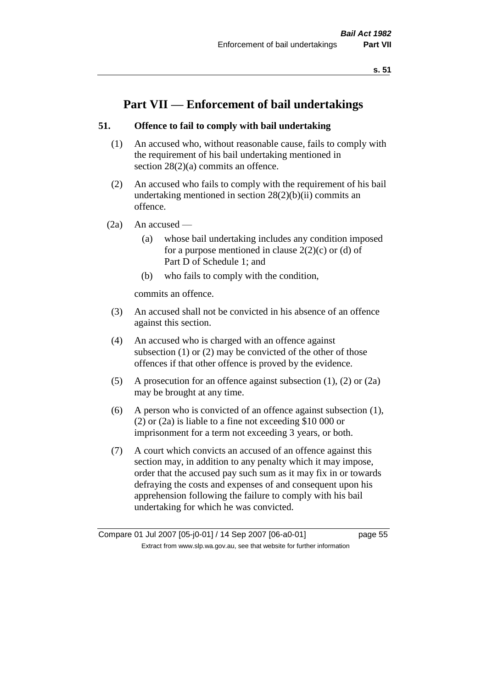# **Part VII — Enforcement of bail undertakings**

## **51. Offence to fail to comply with bail undertaking**

- (1) An accused who, without reasonable cause, fails to comply with the requirement of his bail undertaking mentioned in section 28(2)(a) commits an offence.
- (2) An accused who fails to comply with the requirement of his bail undertaking mentioned in section  $28(2)(b)(ii)$  commits an offence.
- $(2a)$  An accused
	- (a) whose bail undertaking includes any condition imposed for a purpose mentioned in clause  $2(2)(c)$  or (d) of Part D of Schedule 1; and
	- (b) who fails to comply with the condition,

commits an offence.

- (3) An accused shall not be convicted in his absence of an offence against this section.
- (4) An accused who is charged with an offence against subsection (1) or (2) may be convicted of the other of those offences if that other offence is proved by the evidence.
- (5) A prosecution for an offence against subsection (1), (2) or (2a) may be brought at any time.
- (6) A person who is convicted of an offence against subsection (1), (2) or (2a) is liable to a fine not exceeding \$10 000 or imprisonment for a term not exceeding 3 years, or both.
- (7) A court which convicts an accused of an offence against this section may, in addition to any penalty which it may impose, order that the accused pay such sum as it may fix in or towards defraying the costs and expenses of and consequent upon his apprehension following the failure to comply with his bail undertaking for which he was convicted.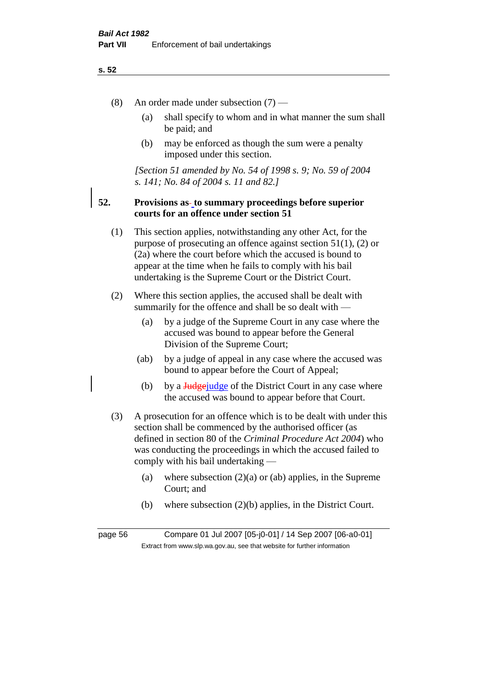#### **s. 52**

- (8) An order made under subsection (7)
	- (a) shall specify to whom and in what manner the sum shall be paid; and
	- (b) may be enforced as though the sum were a penalty imposed under this section.

*[Section 51 amended by No. 54 of 1998 s. 9; No. 59 of 2004 s. 141; No. 84 of 2004 s. 11 and 82.]*

### **52. Provisions as to summary proceedings before superior courts for an offence under section 51**

- (1) This section applies, notwithstanding any other Act, for the purpose of prosecuting an offence against section 51(1), (2) or (2a) where the court before which the accused is bound to appear at the time when he fails to comply with his bail undertaking is the Supreme Court or the District Court.
- (2) Where this section applies, the accused shall be dealt with summarily for the offence and shall be so dealt with —
	- (a) by a judge of the Supreme Court in any case where the accused was bound to appear before the General Division of the Supreme Court;
	- (ab) by a judge of appeal in any case where the accused was bound to appear before the Court of Appeal;
	- (b) by a  $\frac{Jud\pi}{Jud\pi}$  by a  $\frac{Jud\pi}{Jud\pi}$  by by a  $\frac{Jud\pi}{Jud\pi}$  of the District Court in any case where the accused was bound to appear before that Court.
- (3) A prosecution for an offence which is to be dealt with under this section shall be commenced by the authorised officer (as defined in section 80 of the *Criminal Procedure Act 2004*) who was conducting the proceedings in which the accused failed to comply with his bail undertaking —
	- (a) where subsection  $(2)(a)$  or  $(ab)$  applies, in the Supreme Court; and
	- (b) where subsection (2)(b) applies, in the District Court.

page 56 Compare 01 Jul 2007 [05-j0-01] / 14 Sep 2007 [06-a0-01] Extract from www.slp.wa.gov.au, see that website for further information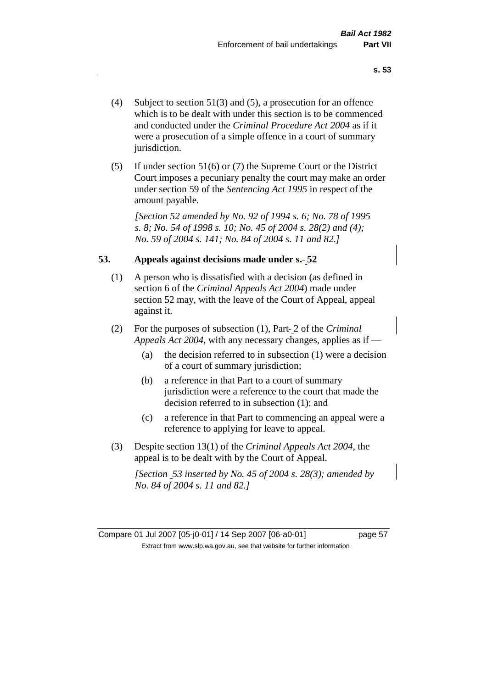- (4) Subject to section 51(3) and (5), a prosecution for an offence which is to be dealt with under this section is to be commenced and conducted under the *Criminal Procedure Act 2004* as if it were a prosecution of a simple offence in a court of summary jurisdiction.
- (5) If under section 51(6) or (7) the Supreme Court or the District Court imposes a pecuniary penalty the court may make an order under section 59 of the *Sentencing Act 1995* in respect of the amount payable.

*[Section 52 amended by No. 92 of 1994 s. 6; No. 78 of 1995 s. 8; No. 54 of 1998 s. 10; No. 45 of 2004 s. 28(2) and (4); No. 59 of 2004 s. 141; No. 84 of 2004 s. 11 and 82.]* 

### **53. Appeals against decisions made under s. 52**

- (1) A person who is dissatisfied with a decision (as defined in section 6 of the *Criminal Appeals Act 2004*) made under section 52 may, with the leave of the Court of Appeal, appeal against it.
- (2) For the purposes of subsection (1), Part 2 of the *Criminal Appeals Act 2004*, with any necessary changes, applies as if —
	- (a) the decision referred to in subsection (1) were a decision of a court of summary jurisdiction;
	- (b) a reference in that Part to a court of summary jurisdiction were a reference to the court that made the decision referred to in subsection (1); and
	- (c) a reference in that Part to commencing an appeal were a reference to applying for leave to appeal.
- (3) Despite section 13(1) of the *Criminal Appeals Act 2004*, the appeal is to be dealt with by the Court of Appeal.

*[Section 53 inserted by No. 45 of 2004 s. 28(3); amended by No. 84 of 2004 s. 11 and 82.]*

Compare 01 Jul 2007 [05-j0-01] / 14 Sep 2007 [06-a0-01] page 57 Extract from www.slp.wa.gov.au, see that website for further information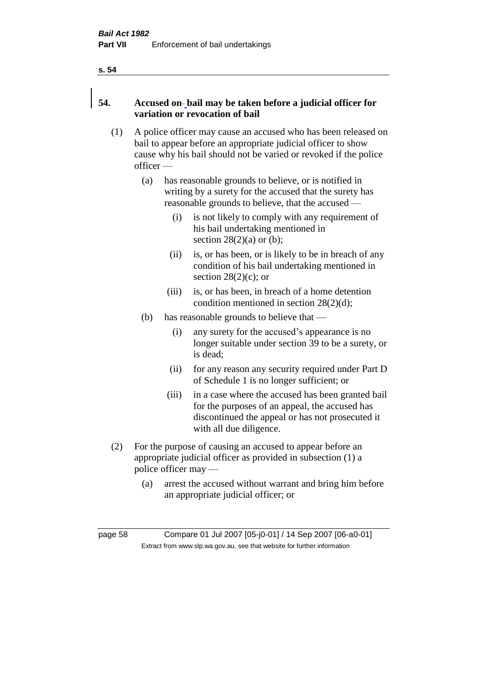#### **s. 54**

# **54. Accused on bail may be taken before a judicial officer for variation or revocation of bail**

- (1) A police officer may cause an accused who has been released on bail to appear before an appropriate judicial officer to show cause why his bail should not be varied or revoked if the police officer —
	- (a) has reasonable grounds to believe, or is notified in writing by a surety for the accused that the surety has reasonable grounds to believe, that the accused —
		- (i) is not likely to comply with any requirement of his bail undertaking mentioned in section  $28(2)(a)$  or (b);
		- (ii) is, or has been, or is likely to be in breach of any condition of his bail undertaking mentioned in section  $28(2)(c)$ ; or
		- (iii) is, or has been, in breach of a home detention condition mentioned in section 28(2)(d);
	- (b) has reasonable grounds to believe that
		- (i) any surety for the accused's appearance is no longer suitable under section 39 to be a surety, or is dead;
		- (ii) for any reason any security required under Part D of Schedule 1 is no longer sufficient; or
		- (iii) in a case where the accused has been granted bail for the purposes of an appeal, the accused has discontinued the appeal or has not prosecuted it with all due diligence.
- (2) For the purpose of causing an accused to appear before an appropriate judicial officer as provided in subsection (1) a police officer may —
	- (a) arrest the accused without warrant and bring him before an appropriate judicial officer; or

page 58 Compare 01 Jul 2007 [05-j0-01] / 14 Sep 2007 [06-a0-01] Extract from www.slp.wa.gov.au, see that website for further information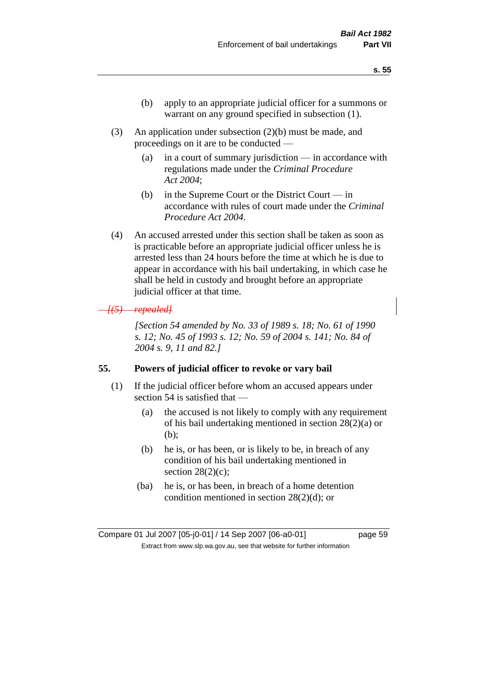- (b) apply to an appropriate judicial officer for a summons or warrant on any ground specified in subsection (1).
- (3) An application under subsection (2)(b) must be made, and proceedings on it are to be conducted —
	- (a) in a court of summary jurisdiction in accordance with regulations made under the *Criminal Procedure Act 2004*;
	- (b) in the Supreme Court or the District Court  $-\text{in}$ accordance with rules of court made under the *Criminal Procedure Act 2004*.
- (4) An accused arrested under this section shall be taken as soon as is practicable before an appropriate judicial officer unless he is arrested less than 24 hours before the time at which he is due to appear in accordance with his bail undertaking, in which case he shall be held in custody and brought before an appropriate judicial officer at that time.

### *[(5) repealed]*

*[Section 54 amended by No. 33 of 1989 s. 18; No. 61 of 1990 s. 12; No. 45 of 1993 s. 12; No. 59 of 2004 s. 141; No. 84 of 2004 s. 9, 11 and 82.]* 

#### **55. Powers of judicial officer to revoke or vary bail**

- (1) If the judicial officer before whom an accused appears under section 54 is satisfied that —
	- (a) the accused is not likely to comply with any requirement of his bail undertaking mentioned in section 28(2)(a) or (b);
	- (b) he is, or has been, or is likely to be, in breach of any condition of his bail undertaking mentioned in section  $28(2)(c)$ ;
	- (ba) he is, or has been, in breach of a home detention condition mentioned in section 28(2)(d); or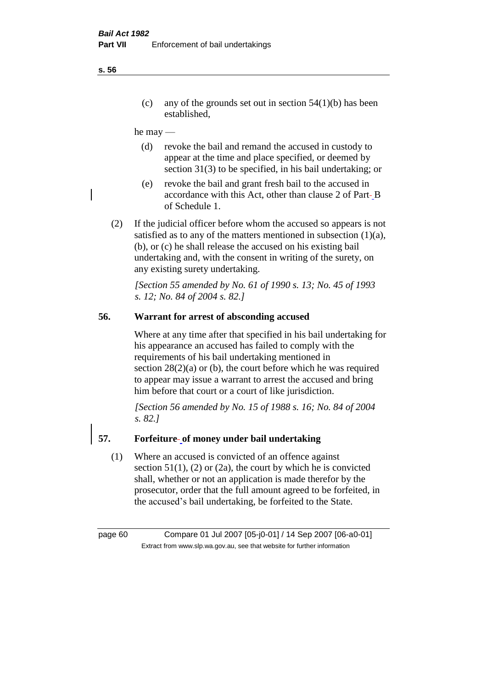(c) any of the grounds set out in section  $54(1)(b)$  has been established,

he may —

- (d) revoke the bail and remand the accused in custody to appear at the time and place specified, or deemed by section 31(3) to be specified, in his bail undertaking; or
- (e) revoke the bail and grant fresh bail to the accused in accordance with this Act, other than clause 2 of Part-B of Schedule 1.
- (2) If the judicial officer before whom the accused so appears is not satisfied as to any of the matters mentioned in subsection  $(1)(a)$ , (b), or (c) he shall release the accused on his existing bail undertaking and, with the consent in writing of the surety, on any existing surety undertaking.

*[Section 55 amended by No. 61 of 1990 s. 13; No. 45 of 1993 s. 12; No. 84 of 2004 s. 82.]* 

# **56. Warrant for arrest of absconding accused**

Where at any time after that specified in his bail undertaking for his appearance an accused has failed to comply with the requirements of his bail undertaking mentioned in section  $28(2)(a)$  or (b), the court before which he was required to appear may issue a warrant to arrest the accused and bring him before that court or a court of like jurisdiction.

*[Section 56 amended by No. 15 of 1988 s. 16; No. 84 of 2004 s. 82.]* 

## **57. Forfeiture of money under bail undertaking**

(1) Where an accused is convicted of an offence against section  $51(1)$ , (2) or (2a), the court by which he is convicted shall, whether or not an application is made therefor by the prosecutor, order that the full amount agreed to be forfeited, in the accused's bail undertaking, be forfeited to the State.

page 60 Compare 01 Jul 2007 [05-j0-01] / 14 Sep 2007 [06-a0-01] Extract from www.slp.wa.gov.au, see that website for further information

**s. 56**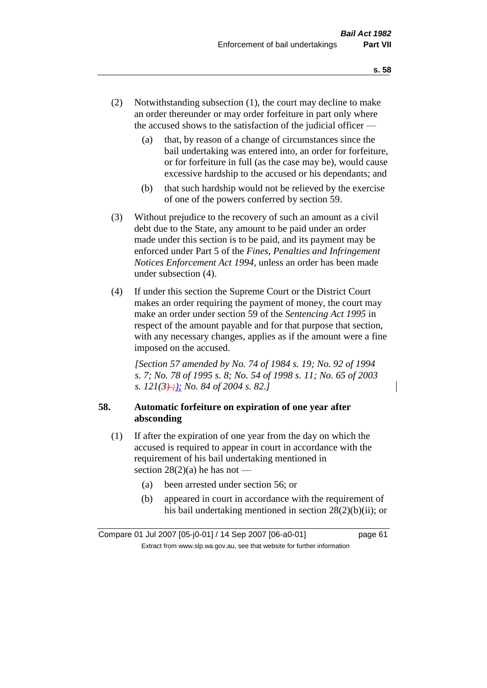- (2) Notwithstanding subsection (1), the court may decline to make an order thereunder or may order forfeiture in part only where the accused shows to the satisfaction of the judicial officer —
	- (a) that, by reason of a change of circumstances since the bail undertaking was entered into, an order for forfeiture, or for forfeiture in full (as the case may be), would cause excessive hardship to the accused or his dependants; and
	- (b) that such hardship would not be relieved by the exercise of one of the powers conferred by section 59.
- (3) Without prejudice to the recovery of such an amount as a civil debt due to the State, any amount to be paid under an order made under this section is to be paid, and its payment may be enforced under Part 5 of the *Fines, Penalties and Infringement Notices Enforcement Act 1994*, unless an order has been made under subsection (4).
- (4) If under this section the Supreme Court or the District Court makes an order requiring the payment of money, the court may make an order under section 59 of the *Sentencing Act 1995* in respect of the amount payable and for that purpose that section, with any necessary changes, applies as if the amount were a fine imposed on the accused.

*[Section 57 amended by No. 74 of 1984 s. 19; No. 92 of 1994 s. 7; No. 78 of 1995 s. 8; No. 54 of 1998 s. 11; No. 65 of 2003 s. 121(3) ;); No. 84 of 2004 s. 82.]* 

# **58. Automatic forfeiture on expiration of one year after absconding**

- (1) If after the expiration of one year from the day on which the accused is required to appear in court in accordance with the requirement of his bail undertaking mentioned in section  $28(2)(a)$  he has not —
	- (a) been arrested under section 56; or
	- (b) appeared in court in accordance with the requirement of his bail undertaking mentioned in section 28(2)(b)(ii); or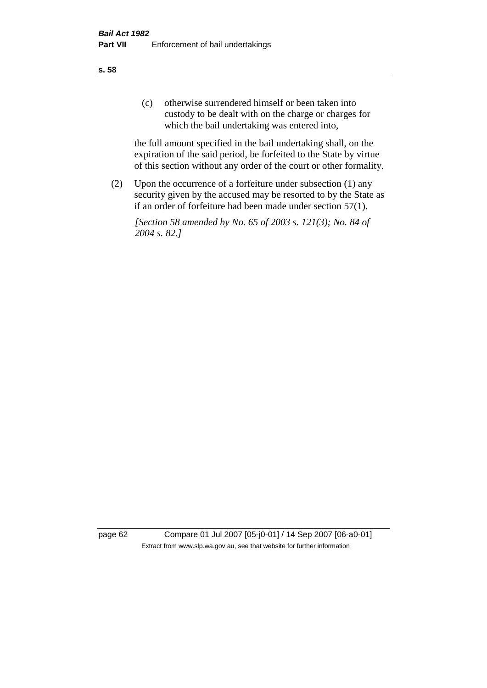(c) otherwise surrendered himself or been taken into custody to be dealt with on the charge or charges for which the bail undertaking was entered into,

the full amount specified in the bail undertaking shall, on the expiration of the said period, be forfeited to the State by virtue of this section without any order of the court or other formality.

(2) Upon the occurrence of a forfeiture under subsection (1) any security given by the accused may be resorted to by the State as if an order of forfeiture had been made under section 57(1).

*[Section 58 amended by No. 65 of 2003 s. 121(3); No. 84 of 2004 s. 82.]*

page 62 Compare 01 Jul 2007 [05-j0-01] / 14 Sep 2007 [06-a0-01] Extract from www.slp.wa.gov.au, see that website for further information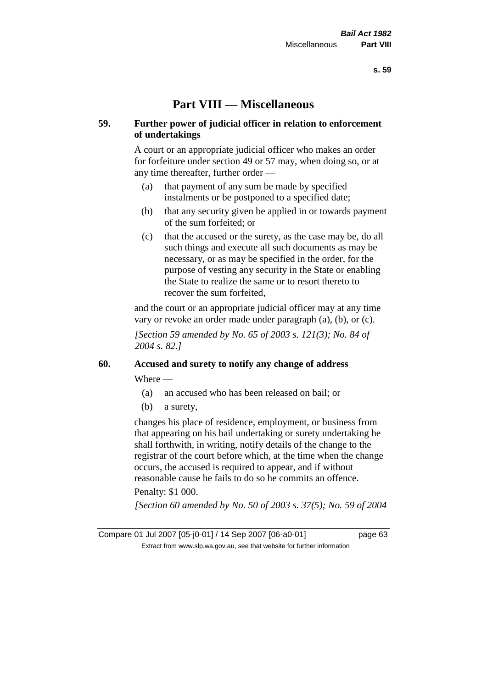# **Part VIII — Miscellaneous**

## **59. Further power of judicial officer in relation to enforcement of undertakings**

A court or an appropriate judicial officer who makes an order for forfeiture under section 49 or 57 may, when doing so, or at any time thereafter, further order —

- (a) that payment of any sum be made by specified instalments or be postponed to a specified date;
- (b) that any security given be applied in or towards payment of the sum forfeited; or
- (c) that the accused or the surety, as the case may be, do all such things and execute all such documents as may be necessary, or as may be specified in the order, for the purpose of vesting any security in the State or enabling the State to realize the same or to resort thereto to recover the sum forfeited,

and the court or an appropriate judicial officer may at any time vary or revoke an order made under paragraph (a), (b), or (c).

*[Section 59 amended by No. 65 of 2003 s. 121(3); No. 84 of 2004 s. 82.]*

# **60. Accused and surety to notify any change of address**

Where —

- (a) an accused who has been released on bail; or
- (b) a surety,

changes his place of residence, employment, or business from that appearing on his bail undertaking or surety undertaking he shall forthwith, in writing, notify details of the change to the registrar of the court before which, at the time when the change occurs, the accused is required to appear, and if without reasonable cause he fails to do so he commits an offence.

# Penalty: \$1 000.

*[Section 60 amended by No. 50 of 2003 s. 37(5); No. 59 of 2004* 

Compare 01 Jul 2007 [05-j0-01] / 14 Sep 2007 [06-a0-01] page 63 Extract from www.slp.wa.gov.au, see that website for further information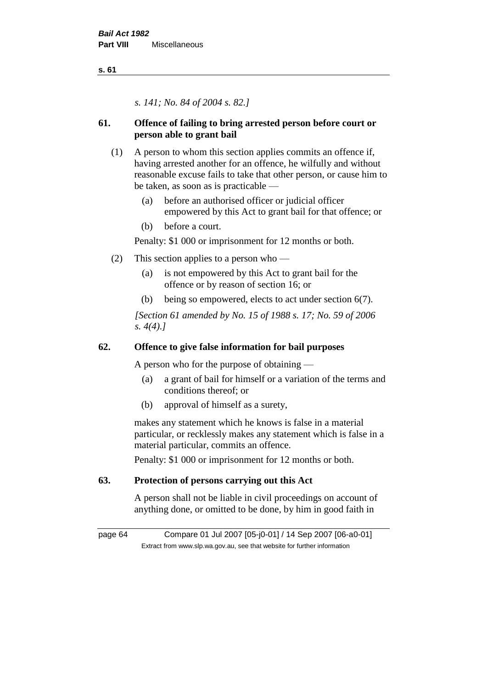**s. 61**

*s. 141; No. 84 of 2004 s. 82.]*

# **61. Offence of failing to bring arrested person before court or person able to grant bail**

- (1) A person to whom this section applies commits an offence if, having arrested another for an offence, he wilfully and without reasonable excuse fails to take that other person, or cause him to be taken, as soon as is practicable —
	- (a) before an authorised officer or judicial officer empowered by this Act to grant bail for that offence; or
	- (b) before a court.

Penalty: \$1 000 or imprisonment for 12 months or both.

- (2) This section applies to a person who
	- (a) is not empowered by this Act to grant bail for the offence or by reason of section 16; or
	- (b) being so empowered, elects to act under section 6(7).

*[Section 61 amended by No. 15 of 1988 s. 17; No. 59 of 2006 s. 4(4).]* 

# **62. Offence to give false information for bail purposes**

A person who for the purpose of obtaining —

- (a) a grant of bail for himself or a variation of the terms and conditions thereof; or
- (b) approval of himself as a surety,

makes any statement which he knows is false in a material particular, or recklessly makes any statement which is false in a material particular, commits an offence.

Penalty: \$1 000 or imprisonment for 12 months or both.

# **63. Protection of persons carrying out this Act**

A person shall not be liable in civil proceedings on account of anything done, or omitted to be done, by him in good faith in

page 64 Compare 01 Jul 2007 [05-j0-01] / 14 Sep 2007 [06-a0-01] Extract from www.slp.wa.gov.au, see that website for further information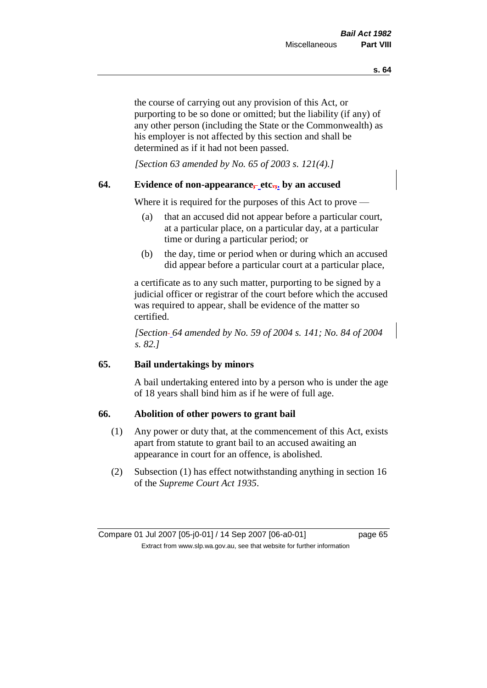the course of carrying out any provision of this Act, or purporting to be so done or omitted; but the liability (if any) of any other person (including the State or the Commonwealth) as his employer is not affected by this section and shall be determined as if it had not been passed.

*[Section 63 amended by No. 65 of 2003 s. 121(4).]*

# **64. Evidence of non-appearance, etc.,. by an accused**

Where it is required for the purposes of this Act to prove —

- (a) that an accused did not appear before a particular court, at a particular place, on a particular day, at a particular time or during a particular period; or
- (b) the day, time or period when or during which an accused did appear before a particular court at a particular place,

a certificate as to any such matter, purporting to be signed by a judicial officer or registrar of the court before which the accused was required to appear, shall be evidence of the matter so certified.

*[Section 64 amended by No. 59 of 2004 s. 141; No. 84 of 2004 s. 82.]* 

## **65. Bail undertakings by minors**

A bail undertaking entered into by a person who is under the age of 18 years shall bind him as if he were of full age.

### **66. Abolition of other powers to grant bail**

- (1) Any power or duty that, at the commencement of this Act, exists apart from statute to grant bail to an accused awaiting an appearance in court for an offence, is abolished.
- (2) Subsection (1) has effect notwithstanding anything in section 16 of the *Supreme Court Act 1935*.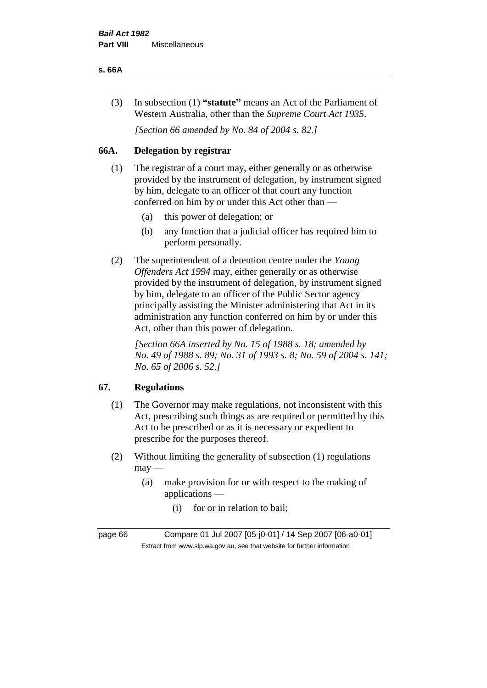#### **s. 66A**

(3) In subsection (1) **"statute"** means an Act of the Parliament of Western Australia, other than the *Supreme Court Act 1935*.

*[Section 66 amended by No. 84 of 2004 s. 82.]*

# **66A. Delegation by registrar**

- (1) The registrar of a court may, either generally or as otherwise provided by the instrument of delegation, by instrument signed by him, delegate to an officer of that court any function conferred on him by or under this Act other than —
	- (a) this power of delegation; or
	- (b) any function that a judicial officer has required him to perform personally.
- (2) The superintendent of a detention centre under the *Young Offenders Act 1994* may, either generally or as otherwise provided by the instrument of delegation, by instrument signed by him, delegate to an officer of the Public Sector agency principally assisting the Minister administering that Act in its administration any function conferred on him by or under this Act, other than this power of delegation.

*[Section 66A inserted by No. 15 of 1988 s. 18; amended by No. 49 of 1988 s. 89; No. 31 of 1993 s. 8; No. 59 of 2004 s. 141; No. 65 of 2006 s. 52.]* 

# **67. Regulations**

- (1) The Governor may make regulations, not inconsistent with this Act, prescribing such things as are required or permitted by this Act to be prescribed or as it is necessary or expedient to prescribe for the purposes thereof.
- (2) Without limiting the generality of subsection (1) regulations  $may$ —
	- (a) make provision for or with respect to the making of applications —
		- (i) for or in relation to bail;

page 66 Compare 01 Jul 2007 [05-j0-01] / 14 Sep 2007 [06-a0-01] Extract from www.slp.wa.gov.au, see that website for further information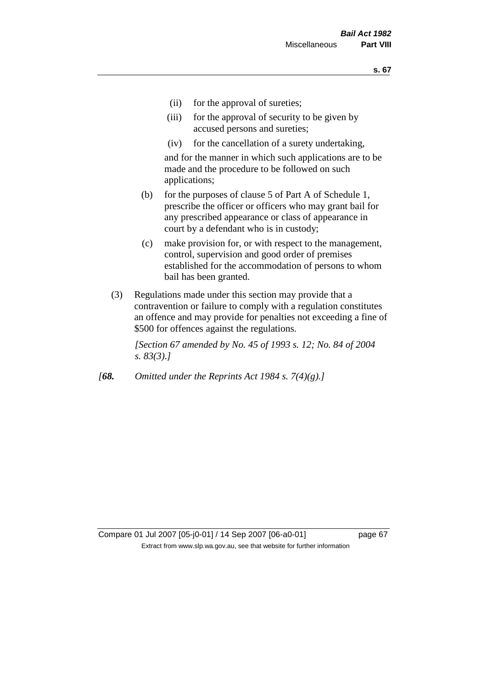- (ii) for the approval of sureties;
- (iii) for the approval of security to be given by accused persons and sureties;
- (iv) for the cancellation of a surety undertaking,

and for the manner in which such applications are to be made and the procedure to be followed on such applications;

- (b) for the purposes of clause 5 of Part A of Schedule 1, prescribe the officer or officers who may grant bail for any prescribed appearance or class of appearance in court by a defendant who is in custody;
- (c) make provision for, or with respect to the management, control, supervision and good order of premises established for the accommodation of persons to whom bail has been granted.
- (3) Regulations made under this section may provide that a contravention or failure to comply with a regulation constitutes an offence and may provide for penalties not exceeding a fine of \$500 for offences against the regulations.

*[Section 67 amended by No. 45 of 1993 s. 12; No. 84 of 2004 s. 83(3).]* 

*[68. Omitted under the Reprints Act 1984 s. 7(4)(g).]*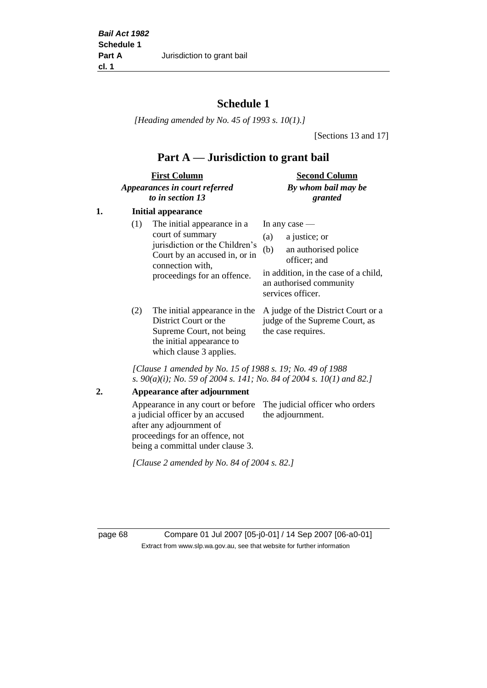# **Schedule 1**

*[Heading amended by No. 45 of 1993 s. 10(1).]*

[Sections 13 and 17]

# **Part A — Jurisdiction to grant bail**

| <b>First Column</b>           | <b>Second Column</b> |  |
|-------------------------------|----------------------|--|
| Appearances in court referred | By whom bail may be  |  |
| to in section 13              | granted              |  |

## **1. Initial appearance**

| (1)        | The initial appearance in a<br>court of summary<br>jurisdiction or the Children's<br>Court by an accused in, or in<br>connection with,<br>proceedings for an offence. | In any case $-$<br>a justice; or<br>(a)<br>an authorised police<br>(b)<br>officer; and<br>in addition, in the case of a child,<br>an authorised community<br>services officer. |
|------------|-----------------------------------------------------------------------------------------------------------------------------------------------------------------------|--------------------------------------------------------------------------------------------------------------------------------------------------------------------------------|
| $\sqrt{2}$ |                                                                                                                                                                       |                                                                                                                                                                                |

(2) The initial appearance in the A judge of the District Court or a District Court or the Supreme Court, not being the initial appearance to which clause 3 applies. judge of the Supreme Court, as the case requires.

*[Clause 1 amended by No. 15 of 1988 s. 19; No. 49 of 1988 s. 90(a)(i); No. 59 of 2004 s. 141; No. 84 of 2004 s. 10(1) and 82.]*

**2. Appearance after adjournment**

Appearance in any court or before The judicial officer who orders a judicial officer by an accused after any adjournment of proceedings for an offence, not being a committal under clause 3. the adjournment.

*[Clause 2 amended by No. 84 of 2004 s. 82.]*

page 68 Compare 01 Jul 2007 [05-j0-01] / 14 Sep 2007 [06-a0-01] Extract from www.slp.wa.gov.au, see that website for further information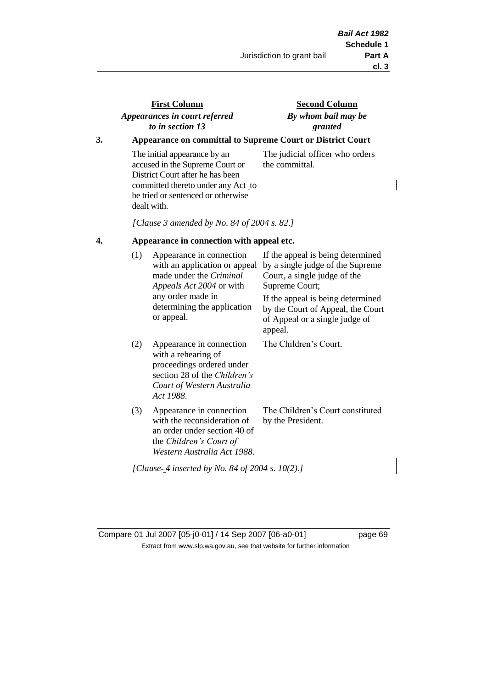| <b>First Column</b>           | Secon   |
|-------------------------------|---------|
| Appearances in court referred | By whon |
| to in section 13              | gι      |

# **d** Column *By whom bail may be granted*

## **3. Appearance on committal to Supreme Court or District Court**

The initial appearance by an accused in the Supreme Court or District Court after he has been committed thereto under any Act-to be tried or sentenced or otherwise dealt with.

The judicial officer who orders the committal.

*[Clause 3 amended by No. 84 of 2004 s. 82.]*

#### **4. Appearance in connection with appeal etc.**

| (1) | Appearance in connection<br>with an application or appeal<br>made under the <i>Criminal</i><br><i>Appeals Act 2004</i> or with<br>any order made in<br>determining the application<br>or appeal. | If the appeal is being determined<br>by a single judge of the Supreme<br>Court, a single judge of the<br>Supreme Court;<br>If the appeal is being determined<br>by the Court of Appeal, the Court<br>of Appeal or a single judge of<br>appeal. |
|-----|--------------------------------------------------------------------------------------------------------------------------------------------------------------------------------------------------|------------------------------------------------------------------------------------------------------------------------------------------------------------------------------------------------------------------------------------------------|
| (2) | Appearance in connection<br>with a rehearing of<br>proceedings ordered under<br>section 28 of the <i>Children's</i><br>Court of Western Australia<br>Act 1988.                                   | The Children's Court.                                                                                                                                                                                                                          |
| (3) | Appearance in connection<br>with the reconsideration of<br>an order under section 40 of<br>the <i>Children's Court of</i><br>Western Australia Act 1988.                                         | The Children's Court constituted<br>by the President.                                                                                                                                                                                          |

*[Clause 4 inserted by No. 84 of 2004 s. 10(2).]*

Compare 01 Jul 2007 [05-j0-01] / 14 Sep 2007 [06-a0-01] page 69 Extract from www.slp.wa.gov.au, see that website for further information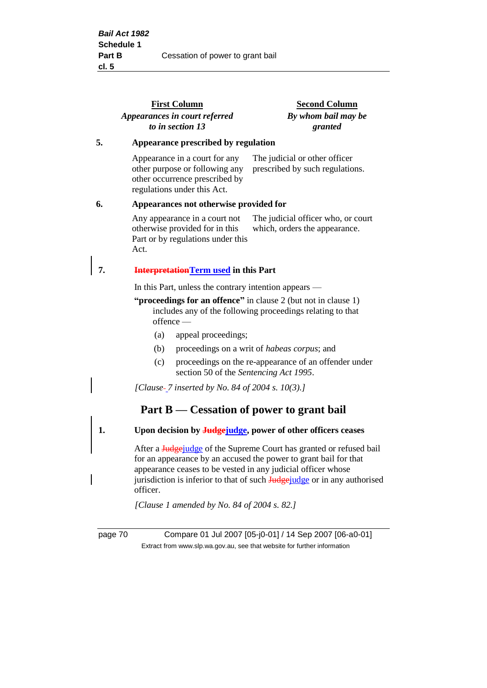|    | <b>First Column</b>                                                                                                              | <b>Second Column</b><br>By whom bail may be                         |  |  |
|----|----------------------------------------------------------------------------------------------------------------------------------|---------------------------------------------------------------------|--|--|
|    | Appearances in court referred                                                                                                    |                                                                     |  |  |
|    | to in section 13                                                                                                                 | granted                                                             |  |  |
| 5. | Appearance prescribed by regulation                                                                                              |                                                                     |  |  |
|    | Appearance in a court for any<br>other purpose or following any<br>other occurrence prescribed by<br>regulations under this Act. | The judicial or other officer<br>prescribed by such regulations.    |  |  |
| 6. | Appearances not otherwise provided for                                                                                           |                                                                     |  |  |
|    | Any appearance in a court not<br>otherwise provided for in this<br>Part or by regulations under this<br>Act.                     | The judicial officer who, or court<br>which, orders the appearance. |  |  |
| 7. | <b>InterpretationTerm used</b> in this Part                                                                                      |                                                                     |  |  |
|    | In this Part, unless the contrary intention appears —                                                                            |                                                                     |  |  |
|    | "proceedings for an offence" in clause 2 (but not in clause 1)<br>$of \text{fence}$ —                                            | includes any of the following proceedings relating to that          |  |  |
|    | appeal proceedings;<br>(a)                                                                                                       |                                                                     |  |  |
|    | (b)                                                                                                                              | proceedings on a writ of <i>habeas corpus</i> ; and                 |  |  |
|    | (c)<br>section 50 of the Sentencing Act 1995.                                                                                    | proceedings on the re-appearance of an offender under               |  |  |
|    | [Clause- $\frac{7}{ }$ inserted by No. 84 of 2004 s. 10(3).]                                                                     |                                                                     |  |  |
|    | Part $B$ — Cessation of power to grant bail                                                                                      |                                                                     |  |  |
| 1. |                                                                                                                                  | Upon decision by <b>Judge</b> judge, power of other officers ceases |  |  |

After a **Judgejudge** of the Supreme Court has granted or refused bail for an appearance by an accused the power to grant bail for that appearance ceases to be vested in any judicial officer whose jurisdiction is inferior to that of such Judgejudge or in any authorised officer.

*[Clause 1 amended by No. 84 of 2004 s. 82.]*

page 70 Compare 01 Jul 2007 [05-j0-01] / 14 Sep 2007 [06-a0-01] Extract from www.slp.wa.gov.au, see that website for further information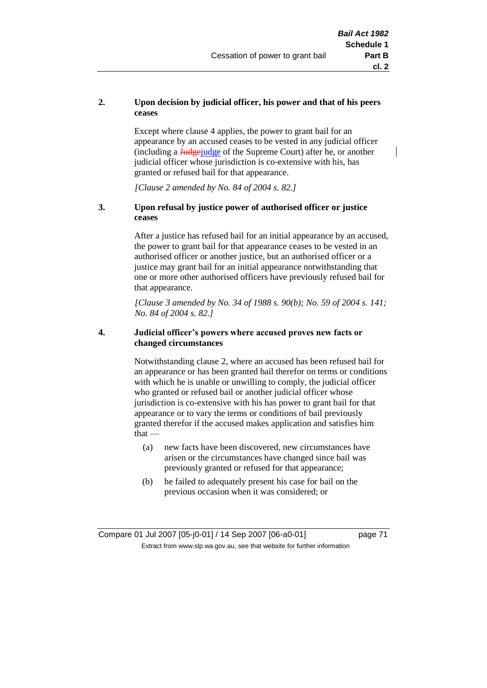## **2. Upon decision by judicial officer, his power and that of his peers ceases**

Except where clause 4 applies, the power to grant bail for an appearance by an accused ceases to be vested in any judicial officer (including a Judgejudge of the Supreme Court) after he, or another judicial officer whose jurisdiction is co-extensive with his, has granted or refused bail for that appearance.

*[Clause 2 amended by No. 84 of 2004 s. 82.]*

## **3. Upon refusal by justice power of authorised officer or justice ceases**

After a justice has refused bail for an initial appearance by an accused, the power to grant bail for that appearance ceases to be vested in an authorised officer or another justice, but an authorised officer or a justice may grant bail for an initial appearance notwithstanding that one or more other authorised officers have previously refused bail for that appearance.

*[Clause 3 amended by No. 34 of 1988 s. 90(b); No. 59 of 2004 s. 141; No. 84 of 2004 s. 82.]*

### **4. Judicial officer's powers where accused proves new facts or changed circumstances**

Notwithstanding clause 2, where an accused has been refused bail for an appearance or has been granted bail therefor on terms or conditions with which he is unable or unwilling to comply, the judicial officer who granted or refused bail or another judicial officer whose jurisdiction is co-extensive with his has power to grant bail for that appearance or to vary the terms or conditions of bail previously granted therefor if the accused makes application and satisfies him  $that -$ 

- (a) new facts have been discovered, new circumstances have arisen or the circumstances have changed since bail was previously granted or refused for that appearance;
- (b) he failed to adequately present his case for bail on the previous occasion when it was considered; or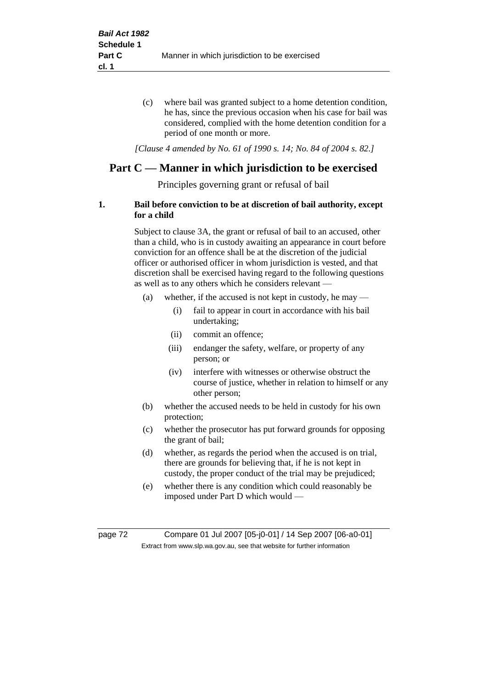(c) where bail was granted subject to a home detention condition, he has, since the previous occasion when his case for bail was considered, complied with the home detention condition for a period of one month or more.

*[Clause 4 amended by No. 61 of 1990 s. 14; No. 84 of 2004 s. 82.]*

## **Part C — Manner in which jurisdiction to be exercised**

Principles governing grant or refusal of bail

## **1. Bail before conviction to be at discretion of bail authority, except for a child**

Subject to clause 3A, the grant or refusal of bail to an accused, other than a child, who is in custody awaiting an appearance in court before conviction for an offence shall be at the discretion of the judicial officer or authorised officer in whom jurisdiction is vested, and that discretion shall be exercised having regard to the following questions as well as to any others which he considers relevant —

- (a) whether, if the accused is not kept in custody, he may
	- (i) fail to appear in court in accordance with his bail undertaking;
	- (ii) commit an offence;
	- (iii) endanger the safety, welfare, or property of any person; or
	- (iv) interfere with witnesses or otherwise obstruct the course of justice, whether in relation to himself or any other person;
- (b) whether the accused needs to be held in custody for his own protection;
- (c) whether the prosecutor has put forward grounds for opposing the grant of bail;
- (d) whether, as regards the period when the accused is on trial, there are grounds for believing that, if he is not kept in custody, the proper conduct of the trial may be prejudiced;
- (e) whether there is any condition which could reasonably be imposed under Part D which would —

page 72 Compare 01 Jul 2007 [05-j0-01] / 14 Sep 2007 [06-a0-01] Extract from www.slp.wa.gov.au, see that website for further information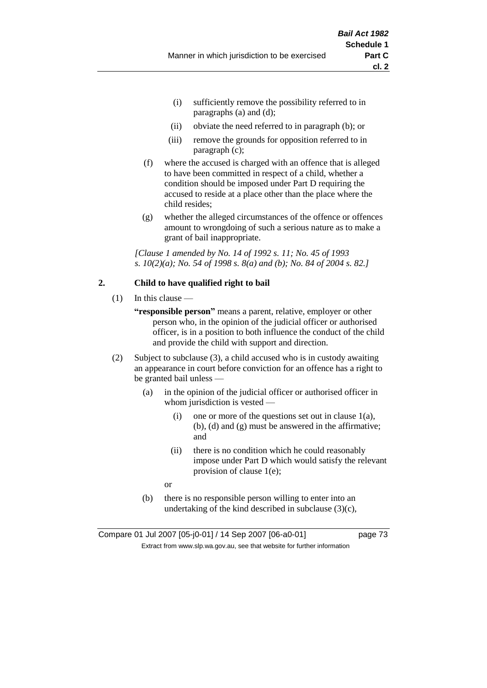- (i) sufficiently remove the possibility referred to in paragraphs (a) and (d);
- (ii) obviate the need referred to in paragraph (b); or
- (iii) remove the grounds for opposition referred to in paragraph (c);
- (f) where the accused is charged with an offence that is alleged to have been committed in respect of a child, whether a condition should be imposed under Part D requiring the accused to reside at a place other than the place where the child resides;
- (g) whether the alleged circumstances of the offence or offences amount to wrongdoing of such a serious nature as to make a grant of bail inappropriate.

*[Clause 1 amended by No. 14 of 1992 s. 11; No. 45 of 1993 s. 10(2)(a); No. 54 of 1998 s. 8(a) and (b); No. 84 of 2004 s. 82.]*

## **2. Child to have qualified right to bail**

- $(1)$  In this clause
	- **"responsible person"** means a parent, relative, employer or other person who, in the opinion of the judicial officer or authorised officer, is in a position to both influence the conduct of the child and provide the child with support and direction.
- (2) Subject to subclause (3), a child accused who is in custody awaiting an appearance in court before conviction for an offence has a right to be granted bail unless —
	- (a) in the opinion of the judicial officer or authorised officer in whom jurisdiction is vested —
		- (i) one or more of the questions set out in clause  $1(a)$ , (b), (d) and (g) must be answered in the affirmative; and
		- (ii) there is no condition which he could reasonably impose under Part D which would satisfy the relevant provision of clause 1(e);
		- or
	- (b) there is no responsible person willing to enter into an undertaking of the kind described in subclause  $(3)(c)$ ,

Compare 01 Jul 2007 [05-j0-01] / 14 Sep 2007 [06-a0-01] page 73 Extract from www.slp.wa.gov.au, see that website for further information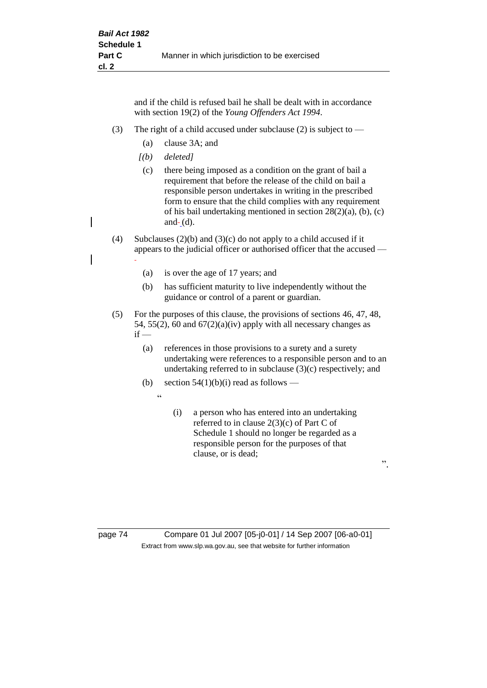and if the child is refused bail he shall be dealt with in accordance with section 19(2) of the *Young Offenders Act 1994*.

- (3) The right of a child accused under subclause (2) is subject to  $-$ 
	- (a) clause 3A; and
	- *[(b) deleted]*

 $\epsilon$ 

- (c) there being imposed as a condition on the grant of bail a requirement that before the release of the child on bail a responsible person undertakes in writing in the prescribed form to ensure that the child complies with any requirement of his bail undertaking mentioned in section 28(2)(a), (b), (c) and $(d)$ .
- (4) Subclauses (2)(b) and (3)(c) do not apply to a child accused if it appears to the judicial officer or authorised officer that the accused —
	- (a) is over the age of 17 years; and
	- (b) has sufficient maturity to live independently without the guidance or control of a parent or guardian.
- (5) For the purposes of this clause, the provisions of sections 46, 47, 48, 54, 55(2), 60 and  $67(2)(a)(iv)$  apply with all necessary changes as  $if -$ 
	- (a) references in those provisions to a surety and a surety undertaking were references to a responsible person and to an undertaking referred to in subclause (3)(c) respectively; and
	- (b) section  $54(1)(b)(i)$  read as follows
		- (i) a person who has entered into an undertaking referred to in clause 2(3)(c) of Part C of Schedule 1 should no longer be regarded as a responsible person for the purposes of that clause, or is dead;

".

page 74 Compare 01 Jul 2007 [05-j0-01] / 14 Sep 2007 [06-a0-01] Extract from www.slp.wa.gov.au, see that website for further information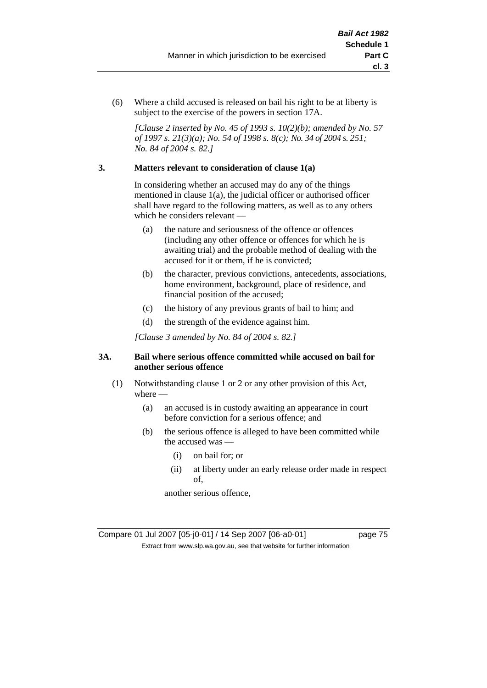(6) Where a child accused is released on bail his right to be at liberty is subject to the exercise of the powers in section 17A.

*[Clause 2 inserted by No. 45 of 1993 s. 10(2)(b); amended by No. 57 of 1997 s. 21(3)(a); No. 54 of 1998 s. 8(c); No. 34 of 2004 s. 251; No. 84 of 2004 s. 82.]*

## **3. Matters relevant to consideration of clause 1(a)**

In considering whether an accused may do any of the things mentioned in clause 1(a), the judicial officer or authorised officer shall have regard to the following matters, as well as to any others which he considers relevant —

- (a) the nature and seriousness of the offence or offences (including any other offence or offences for which he is awaiting trial) and the probable method of dealing with the accused for it or them, if he is convicted;
- (b) the character, previous convictions, antecedents, associations, home environment, background, place of residence, and financial position of the accused;
- (c) the history of any previous grants of bail to him; and
- (d) the strength of the evidence against him.

*[Clause 3 amended by No. 84 of 2004 s. 82.]*

## **3A. Bail where serious offence committed while accused on bail for another serious offence**

- (1) Notwithstanding clause 1 or 2 or any other provision of this Act, where —
	- (a) an accused is in custody awaiting an appearance in court before conviction for a serious offence; and
	- (b) the serious offence is alleged to have been committed while the accused was —
		- (i) on bail for; or
		- (ii) at liberty under an early release order made in respect of,

another serious offence,

Compare 01 Jul 2007 [05-j0-01] / 14 Sep 2007 [06-a0-01] page 75 Extract from www.slp.wa.gov.au, see that website for further information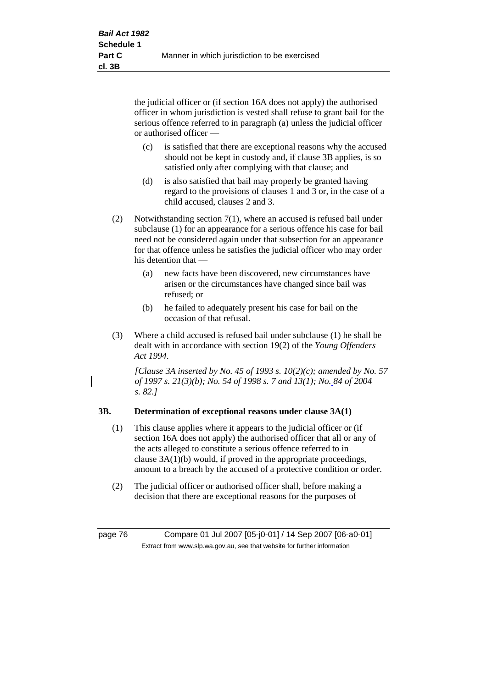the judicial officer or (if section 16A does not apply) the authorised officer in whom jurisdiction is vested shall refuse to grant bail for the serious offence referred to in paragraph (a) unless the judicial officer or authorised officer —

- (c) is satisfied that there are exceptional reasons why the accused should not be kept in custody and, if clause 3B applies, is so satisfied only after complying with that clause; and
- (d) is also satisfied that bail may properly be granted having regard to the provisions of clauses 1 and 3 or, in the case of a child accused, clauses 2 and 3.
- (2) Notwithstanding section 7(1), where an accused is refused bail under subclause (1) for an appearance for a serious offence his case for bail need not be considered again under that subsection for an appearance for that offence unless he satisfies the judicial officer who may order his detention that —
	- (a) new facts have been discovered, new circumstances have arisen or the circumstances have changed since bail was refused; or
	- (b) he failed to adequately present his case for bail on the occasion of that refusal.
- (3) Where a child accused is refused bail under subclause (1) he shall be dealt with in accordance with section 19(2) of the *Young Offenders Act 1994*.

*[Clause 3A inserted by No. 45 of 1993 s. 10(2)(c); amended by No. 57 of 1997 s. 21(3)(b); No. 54 of 1998 s. 7 and 13(1); No. 84 of 2004 s. 82.]*

## **3B. Determination of exceptional reasons under clause 3A(1)**

- (1) This clause applies where it appears to the judicial officer or (if section 16A does not apply) the authorised officer that all or any of the acts alleged to constitute a serious offence referred to in clause 3A(1)(b) would, if proved in the appropriate proceedings, amount to a breach by the accused of a protective condition or order.
- (2) The judicial officer or authorised officer shall, before making a decision that there are exceptional reasons for the purposes of

page 76 Compare 01 Jul 2007 [05-j0-01] / 14 Sep 2007 [06-a0-01] Extract from www.slp.wa.gov.au, see that website for further information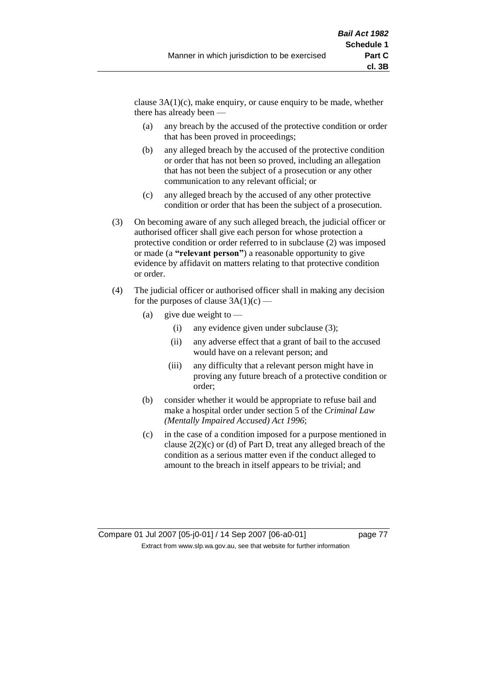clause  $3A(1)(c)$ , make enquiry, or cause enquiry to be made, whether there has already been —

- (a) any breach by the accused of the protective condition or order that has been proved in proceedings;
- (b) any alleged breach by the accused of the protective condition or order that has not been so proved, including an allegation that has not been the subject of a prosecution or any other communication to any relevant official; or
- (c) any alleged breach by the accused of any other protective condition or order that has been the subject of a prosecution.
- (3) On becoming aware of any such alleged breach, the judicial officer or authorised officer shall give each person for whose protection a protective condition or order referred to in subclause (2) was imposed or made (a **"relevant person"**) a reasonable opportunity to give evidence by affidavit on matters relating to that protective condition or order.
- (4) The judicial officer or authorised officer shall in making any decision for the purposes of clause  $3A(1)(c)$  —
	- (a) give due weight to  $-$ 
		- (i) any evidence given under subclause (3);
		- (ii) any adverse effect that a grant of bail to the accused would have on a relevant person; and
		- (iii) any difficulty that a relevant person might have in proving any future breach of a protective condition or order;
	- (b) consider whether it would be appropriate to refuse bail and make a hospital order under section 5 of the *Criminal Law (Mentally Impaired Accused) Act 1996*;
	- (c) in the case of a condition imposed for a purpose mentioned in clause 2(2)(c) or (d) of Part D, treat any alleged breach of the condition as a serious matter even if the conduct alleged to amount to the breach in itself appears to be trivial; and

Compare 01 Jul 2007 [05-j0-01] / 14 Sep 2007 [06-a0-01] page 77 Extract from www.slp.wa.gov.au, see that website for further information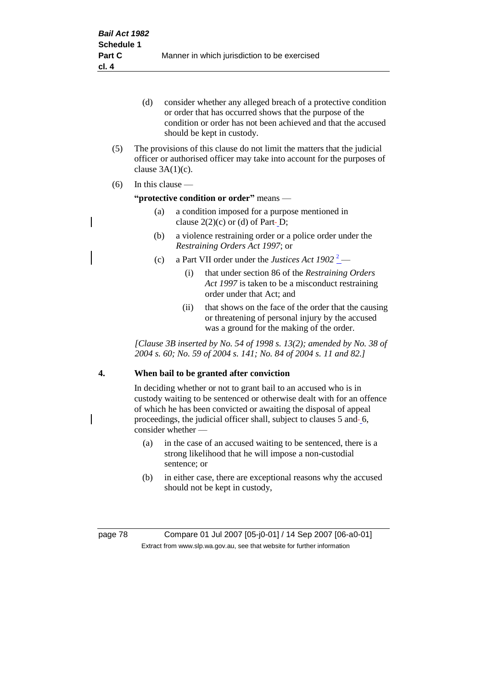- (d) consider whether any alleged breach of a protective condition or order that has occurred shows that the purpose of the condition or order has not been achieved and that the accused should be kept in custody.
- (5) The provisions of this clause do not limit the matters that the judicial officer or authorised officer may take into account for the purposes of clause  $3A(1)(c)$ .
- (6) In this clause —

#### **"protective condition or order"** means —

- (a) a condition imposed for a purpose mentioned in clause  $2(2)(c)$  or (d) of Part-D;
- (b) a violence restraining order or a police order under the *Restraining Orders Act 1997*; or
- (c) a Part VII order under the *Justices Act*  $1902^2$ 
	- (i) that under section 86 of the *Restraining Orders Act 1997* is taken to be a misconduct restraining order under that Act; and
	- (ii) that shows on the face of the order that the causing or threatening of personal injury by the accused was a ground for the making of the order.

*[Clause 3B inserted by No. 54 of 1998 s. 13(2); amended by No. 38 of 2004 s. 60; No. 59 of 2004 s. 141; No. 84 of 2004 s. 11 and 82.]*

## **4. When bail to be granted after conviction**

In deciding whether or not to grant bail to an accused who is in custody waiting to be sentenced or otherwise dealt with for an offence of which he has been convicted or awaiting the disposal of appeal proceedings, the judicial officer shall, subject to clauses 5 and 6, consider whether -

- (a) in the case of an accused waiting to be sentenced, there is a strong likelihood that he will impose a non-custodial sentence; or
- (b) in either case, there are exceptional reasons why the accused should not be kept in custody,

page 78 Compare 01 Jul 2007 [05-j0-01] / 14 Sep 2007 [06-a0-01] Extract from www.slp.wa.gov.au, see that website for further information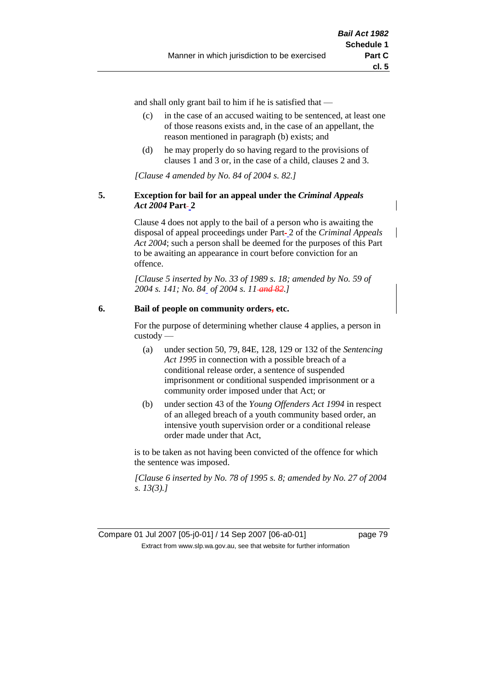and shall only grant bail to him if he is satisfied that —

- (c) in the case of an accused waiting to be sentenced, at least one of those reasons exists and, in the case of an appellant, the reason mentioned in paragraph (b) exists; and
- (d) he may properly do so having regard to the provisions of clauses 1 and 3 or, in the case of a child, clauses 2 and 3.

*[Clause 4 amended by No. 84 of 2004 s. 82.]*

## **5. Exception for bail for an appeal under the** *Criminal Appeals*  Act 2004 Part-2

Clause 4 does not apply to the bail of a person who is awaiting the disposal of appeal proceedings under Part 2 of the *Criminal Appeals Act 2004*; such a person shall be deemed for the purposes of this Part to be awaiting an appearance in court before conviction for an offence.

*[Clause 5 inserted by No. 33 of 1989 s. 18; amended by No. 59 of 2004 s. 141; No. 84 of 2004 s. 11 and 82.]*

## **6. Bail of people on community orders, etc.**

For the purpose of determining whether clause 4 applies, a person in custody —

- (a) under section 50, 79, 84E, 128, 129 or 132 of the *Sentencing Act 1995* in connection with a possible breach of a conditional release order, a sentence of suspended imprisonment or conditional suspended imprisonment or a community order imposed under that Act; or
- (b) under section 43 of the *Young Offenders Act 1994* in respect of an alleged breach of a youth community based order, an intensive youth supervision order or a conditional release order made under that Act,

is to be taken as not having been convicted of the offence for which the sentence was imposed.

*[Clause 6 inserted by No. 78 of 1995 s. 8; amended by No. 27 of 2004 s. 13(3).]*

Compare 01 Jul 2007 [05-j0-01] / 14 Sep 2007 [06-a0-01] page 79 Extract from www.slp.wa.gov.au, see that website for further information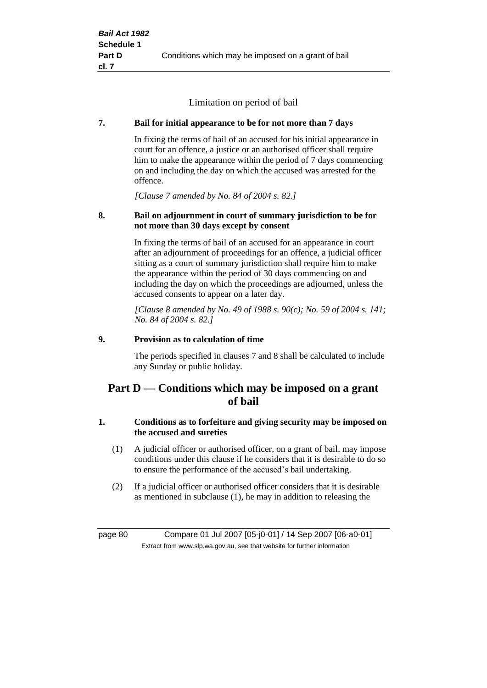Limitation on period of bail

## **7. Bail for initial appearance to be for not more than 7 days**

In fixing the terms of bail of an accused for his initial appearance in court for an offence, a justice or an authorised officer shall require him to make the appearance within the period of 7 days commencing on and including the day on which the accused was arrested for the offence.

*[Clause 7 amended by No. 84 of 2004 s. 82.]*

## **8. Bail on adjournment in court of summary jurisdiction to be for not more than 30 days except by consent**

In fixing the terms of bail of an accused for an appearance in court after an adjournment of proceedings for an offence, a judicial officer sitting as a court of summary jurisdiction shall require him to make the appearance within the period of 30 days commencing on and including the day on which the proceedings are adjourned, unless the accused consents to appear on a later day.

*[Clause 8 amended by No. 49 of 1988 s. 90(c); No. 59 of 2004 s. 141; No. 84 of 2004 s. 82.]*

## **9. Provision as to calculation of time**

The periods specified in clauses 7 and 8 shall be calculated to include any Sunday or public holiday.

## **Part D — Conditions which may be imposed on a grant of bail**

## **1. Conditions as to forfeiture and giving security may be imposed on the accused and sureties**

- (1) A judicial officer or authorised officer, on a grant of bail, may impose conditions under this clause if he considers that it is desirable to do so to ensure the performance of the accused's bail undertaking.
- (2) If a judicial officer or authorised officer considers that it is desirable as mentioned in subclause (1), he may in addition to releasing the

page 80 Compare 01 Jul 2007 [05-j0-01] / 14 Sep 2007 [06-a0-01] Extract from www.slp.wa.gov.au, see that website for further information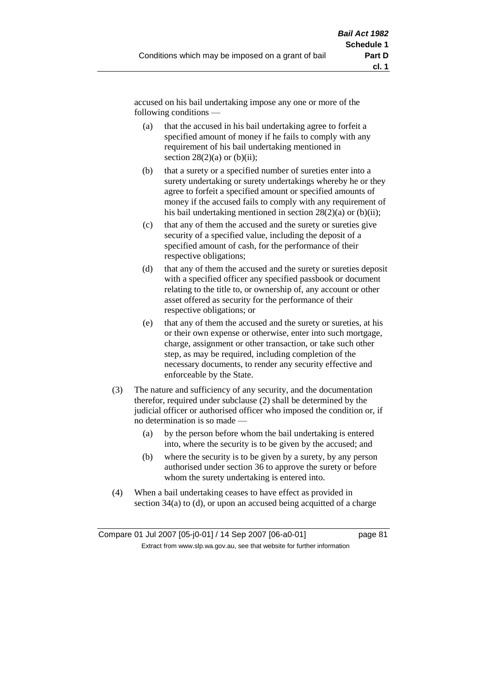accused on his bail undertaking impose any one or more of the following conditions —

- (a) that the accused in his bail undertaking agree to forfeit a specified amount of money if he fails to comply with any requirement of his bail undertaking mentioned in section  $28(2)(a)$  or  $(b)(ii)$ ;
- (b) that a surety or a specified number of sureties enter into a surety undertaking or surety undertakings whereby he or they agree to forfeit a specified amount or specified amounts of money if the accused fails to comply with any requirement of his bail undertaking mentioned in section  $28(2)(a)$  or (b)(ii);
- (c) that any of them the accused and the surety or sureties give security of a specified value, including the deposit of a specified amount of cash, for the performance of their respective obligations;
- (d) that any of them the accused and the surety or sureties deposit with a specified officer any specified passbook or document relating to the title to, or ownership of, any account or other asset offered as security for the performance of their respective obligations; or
- (e) that any of them the accused and the surety or sureties, at his or their own expense or otherwise, enter into such mortgage, charge, assignment or other transaction, or take such other step, as may be required, including completion of the necessary documents, to render any security effective and enforceable by the State.
- (3) The nature and sufficiency of any security, and the documentation therefor, required under subclause (2) shall be determined by the judicial officer or authorised officer who imposed the condition or, if no determination is so made —
	- (a) by the person before whom the bail undertaking is entered into, where the security is to be given by the accused; and
	- (b) where the security is to be given by a surety, by any person authorised under section 36 to approve the surety or before whom the surety undertaking is entered into.
- (4) When a bail undertaking ceases to have effect as provided in section 34(a) to (d), or upon an accused being acquitted of a charge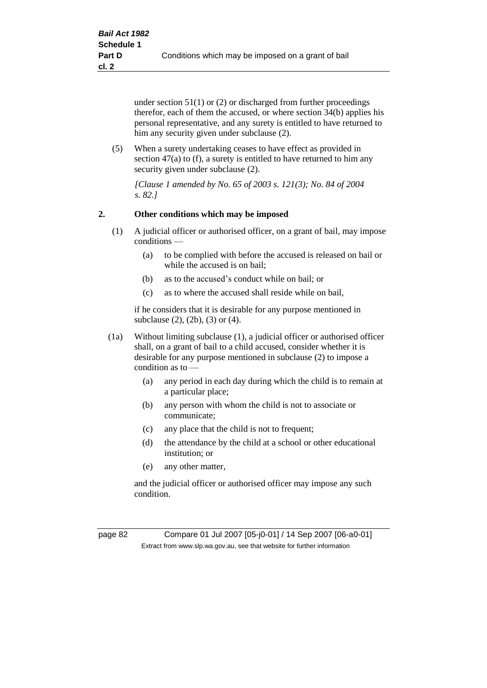under section 51(1) or (2) or discharged from further proceedings therefor, each of them the accused, or where section 34(b) applies his personal representative, and any surety is entitled to have returned to him any security given under subclause (2).

(5) When a surety undertaking ceases to have effect as provided in section 47(a) to (f), a surety is entitled to have returned to him any security given under subclause (2).

*[Clause 1 amended by No. 65 of 2003 s. 121(3); No. 84 of 2004 s. 82.]*

## **2. Other conditions which may be imposed**

- (1) A judicial officer or authorised officer, on a grant of bail, may impose conditions —
	- (a) to be complied with before the accused is released on bail or while the accused is on bail;
	- (b) as to the accused's conduct while on bail; or
	- (c) as to where the accused shall reside while on bail,

if he considers that it is desirable for any purpose mentioned in subclause (2), (2b), (3) or (4).

- (1a) Without limiting subclause (1), a judicial officer or authorised officer shall, on a grant of bail to a child accused, consider whether it is desirable for any purpose mentioned in subclause (2) to impose a condition as to —
	- (a) any period in each day during which the child is to remain at a particular place;
	- (b) any person with whom the child is not to associate or communicate;
	- (c) any place that the child is not to frequent;
	- (d) the attendance by the child at a school or other educational institution; or
	- (e) any other matter,

and the judicial officer or authorised officer may impose any such condition.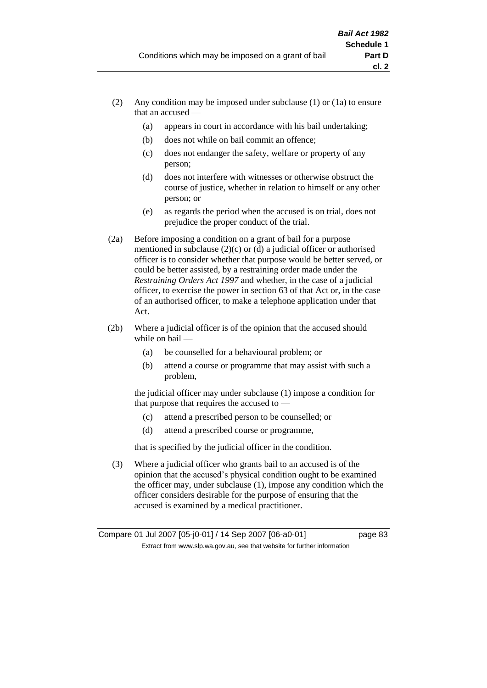- (2) Any condition may be imposed under subclause (1) or (1a) to ensure that an accused —
	- (a) appears in court in accordance with his bail undertaking;
	- (b) does not while on bail commit an offence;
	- (c) does not endanger the safety, welfare or property of any person;
	- (d) does not interfere with witnesses or otherwise obstruct the course of justice, whether in relation to himself or any other person; or
	- (e) as regards the period when the accused is on trial, does not prejudice the proper conduct of the trial.
- (2a) Before imposing a condition on a grant of bail for a purpose mentioned in subclause (2)(c) or (d) a judicial officer or authorised officer is to consider whether that purpose would be better served, or could be better assisted, by a restraining order made under the *Restraining Orders Act 1997* and whether, in the case of a judicial officer, to exercise the power in section 63 of that Act or, in the case of an authorised officer, to make a telephone application under that Act.
- (2b) Where a judicial officer is of the opinion that the accused should while on bail -
	- (a) be counselled for a behavioural problem; or
	- (b) attend a course or programme that may assist with such a problem,

the judicial officer may under subclause (1) impose a condition for that purpose that requires the accused to —

- (c) attend a prescribed person to be counselled; or
- (d) attend a prescribed course or programme,

that is specified by the judicial officer in the condition.

(3) Where a judicial officer who grants bail to an accused is of the opinion that the accused's physical condition ought to be examined the officer may, under subclause (1), impose any condition which the officer considers desirable for the purpose of ensuring that the accused is examined by a medical practitioner.

Compare 01 Jul 2007 [05-j0-01] / 14 Sep 2007 [06-a0-01] page 83 Extract from www.slp.wa.gov.au, see that website for further information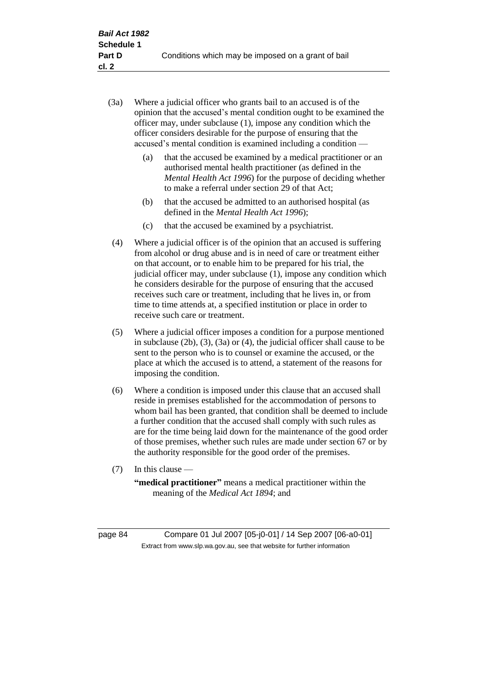- (3a) Where a judicial officer who grants bail to an accused is of the opinion that the accused's mental condition ought to be examined the officer may, under subclause (1), impose any condition which the officer considers desirable for the purpose of ensuring that the accused's mental condition is examined including a condition —
	- (a) that the accused be examined by a medical practitioner or an authorised mental health practitioner (as defined in the *Mental Health Act 1996*) for the purpose of deciding whether to make a referral under section 29 of that Act;
	- (b) that the accused be admitted to an authorised hospital (as defined in the *Mental Health Act 1996*);
	- (c) that the accused be examined by a psychiatrist.
- (4) Where a judicial officer is of the opinion that an accused is suffering from alcohol or drug abuse and is in need of care or treatment either on that account, or to enable him to be prepared for his trial, the judicial officer may, under subclause (1), impose any condition which he considers desirable for the purpose of ensuring that the accused receives such care or treatment, including that he lives in, or from time to time attends at, a specified institution or place in order to receive such care or treatment.
- (5) Where a judicial officer imposes a condition for a purpose mentioned in subclause (2b), (3), (3a) or (4), the judicial officer shall cause to be sent to the person who is to counsel or examine the accused, or the place at which the accused is to attend, a statement of the reasons for imposing the condition.
- (6) Where a condition is imposed under this clause that an accused shall reside in premises established for the accommodation of persons to whom bail has been granted, that condition shall be deemed to include a further condition that the accused shall comply with such rules as are for the time being laid down for the maintenance of the good order of those premises, whether such rules are made under section 67 or by the authority responsible for the good order of the premises.
- (7) In this clause —

**"medical practitioner"** means a medical practitioner within the meaning of the *Medical Act 1894*; and

page 84 Compare 01 Jul 2007 [05-j0-01] / 14 Sep 2007 [06-a0-01] Extract from www.slp.wa.gov.au, see that website for further information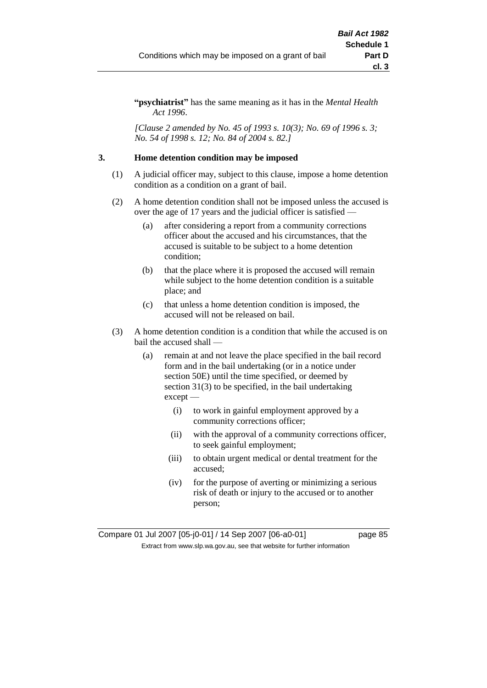**"psychiatrist"** has the same meaning as it has in the *Mental Health Act 1996*.

*[Clause 2 amended by No. 45 of 1993 s. 10(3); No. 69 of 1996 s. 3; No. 54 of 1998 s. 12; No. 84 of 2004 s. 82.]*

## **3. Home detention condition may be imposed**

- (1) A judicial officer may, subject to this clause, impose a home detention condition as a condition on a grant of bail.
- (2) A home detention condition shall not be imposed unless the accused is over the age of 17 years and the judicial officer is satisfied —
	- (a) after considering a report from a community corrections officer about the accused and his circumstances, that the accused is suitable to be subject to a home detention condition;
	- (b) that the place where it is proposed the accused will remain while subject to the home detention condition is a suitable place; and
	- (c) that unless a home detention condition is imposed, the accused will not be released on bail.
- (3) A home detention condition is a condition that while the accused is on bail the accused shall —
	- (a) remain at and not leave the place specified in the bail record form and in the bail undertaking (or in a notice under section 50E) until the time specified, or deemed by section 31(3) to be specified, in the bail undertaking except —
		- (i) to work in gainful employment approved by a community corrections officer;
		- (ii) with the approval of a community corrections officer, to seek gainful employment;
		- (iii) to obtain urgent medical or dental treatment for the accused;
		- (iv) for the purpose of averting or minimizing a serious risk of death or injury to the accused or to another person;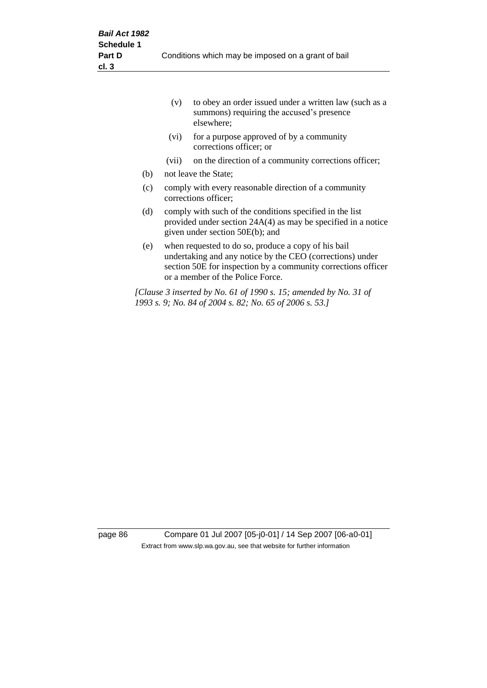|     | to obey an order issued under a written law (such as a<br>(v)<br>summons) requiring the accused's presence<br>elsewhere;                                       |                                                                                                                                                                                                                       |  |  |
|-----|----------------------------------------------------------------------------------------------------------------------------------------------------------------|-----------------------------------------------------------------------------------------------------------------------------------------------------------------------------------------------------------------------|--|--|
|     | (vi)                                                                                                                                                           | for a purpose approved of by a community<br>corrections officer; or                                                                                                                                                   |  |  |
|     | (vii)                                                                                                                                                          | on the direction of a community corrections officer;                                                                                                                                                                  |  |  |
| (b) |                                                                                                                                                                | not leave the State;                                                                                                                                                                                                  |  |  |
| (c) | comply with every reasonable direction of a community<br>corrections officer;                                                                                  |                                                                                                                                                                                                                       |  |  |
| (d) | comply with such of the conditions specified in the list<br>provided under section $24A(4)$ as may be specified in a notice<br>given under section 50E(b); and |                                                                                                                                                                                                                       |  |  |
| (e) |                                                                                                                                                                | when requested to do so, produce a copy of his bail<br>undertaking and any notice by the CEO (corrections) under<br>section 50E for inspection by a community corrections officer<br>or a member of the Police Force. |  |  |
|     |                                                                                                                                                                | [Clause 3 inserted by No. 61 of 1990 s. 15; amended by No. 31 of<br>1993 s. 9; No. 84 of 2004 s. 82; No. 65 of 2006 s. 53.]                                                                                           |  |  |

page 86 Compare 01 Jul 2007 [05-j0-01] / 14 Sep 2007 [06-a0-01] Extract from www.slp.wa.gov.au, see that website for further information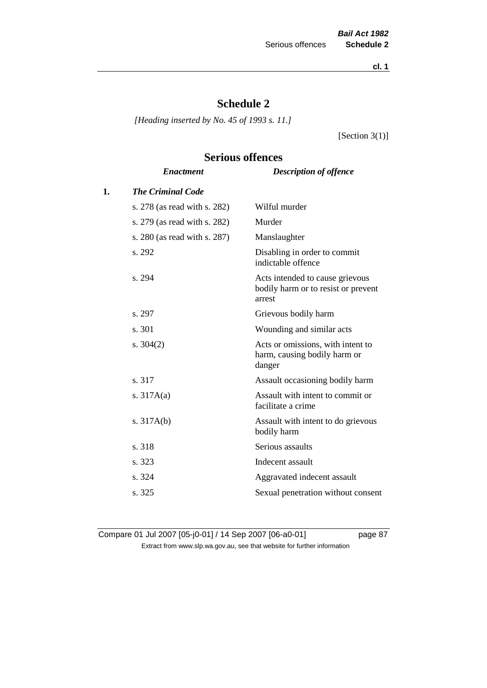**cl. 1**

# **Schedule 2**

*[Heading inserted by No. 45 of 1993 s. 11.]*

[Section 3(1)]

# **Serious offences**

|    | <b>Enactment</b>             | <b>Description of offence</b>                                                    |
|----|------------------------------|----------------------------------------------------------------------------------|
| 1. | <b>The Criminal Code</b>     |                                                                                  |
|    | s. 278 (as read with s. 282) | Wilful murder                                                                    |
|    | s. 279 (as read with s. 282) | Murder                                                                           |
|    | s. 280 (as read with s. 287) | Manslaughter                                                                     |
|    | s. 292                       | Disabling in order to commit<br>indictable offence                               |
|    | s. 294                       | Acts intended to cause grievous<br>bodily harm or to resist or prevent<br>arrest |
|    | s. 297                       | Grievous bodily harm                                                             |
|    | s. 301                       | Wounding and similar acts                                                        |
|    | s. $304(2)$                  | Acts or omissions, with intent to<br>harm, causing bodily harm or<br>danger      |
|    | s. 317                       | Assault occasioning bodily harm                                                  |
|    | s. $317A(a)$                 | Assault with intent to commit or<br>facilitate a crime                           |
|    | s. $317A(b)$                 | Assault with intent to do grievous<br>bodily harm                                |
|    | s. 318                       | Serious assaults                                                                 |
|    | s. 323                       | Indecent assault                                                                 |
|    | s. 324                       | Aggravated indecent assault                                                      |
|    | s. 325                       | Sexual penetration without consent                                               |
|    |                              |                                                                                  |

Compare 01 Jul 2007 [05-j0-01] / 14 Sep 2007 [06-a0-01] page 87 Extract from www.slp.wa.gov.au, see that website for further information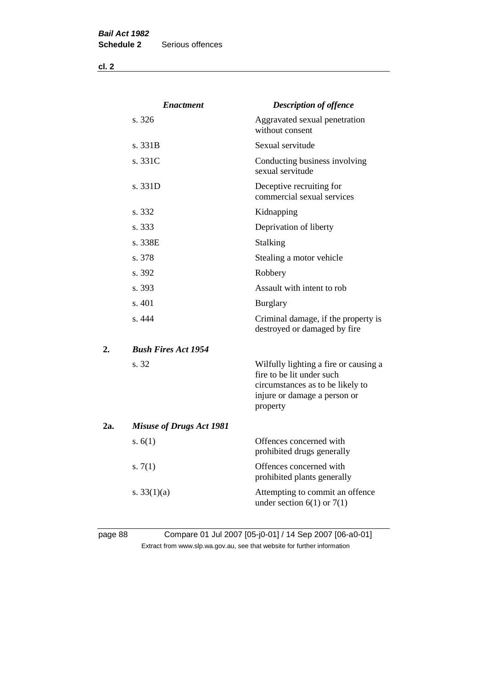**cl. 2**

|     | <b>Enactment</b>                | <b>Description of offence</b>                                                                                                                      |
|-----|---------------------------------|----------------------------------------------------------------------------------------------------------------------------------------------------|
|     | s. 326                          | Aggravated sexual penetration<br>without consent                                                                                                   |
|     | s. 331B                         | Sexual servitude                                                                                                                                   |
|     | s. 331C                         | Conducting business involving<br>sexual servitude                                                                                                  |
|     | s. 331D                         | Deceptive recruiting for<br>commercial sexual services                                                                                             |
|     | s. 332                          | Kidnapping                                                                                                                                         |
|     | s. 333                          | Deprivation of liberty                                                                                                                             |
|     | s. 338E                         | Stalking                                                                                                                                           |
|     | s. 378                          | Stealing a motor vehicle                                                                                                                           |
|     | s. 392                          | Robbery                                                                                                                                            |
|     | s. 393                          | Assault with intent to rob                                                                                                                         |
|     | s. 401                          | <b>Burglary</b>                                                                                                                                    |
|     | s.444                           | Criminal damage, if the property is<br>destroyed or damaged by fire                                                                                |
| 2.  | <b>Bush Fires Act 1954</b>      |                                                                                                                                                    |
|     | s. 32                           | Wilfully lighting a fire or causing a<br>fire to be lit under such<br>circumstances as to be likely to<br>injure or damage a person or<br>property |
| 2a. | <b>Misuse of Drugs Act 1981</b> |                                                                                                                                                    |
|     | s. $6(1)$                       | Offences concerned with<br>prohibited drugs generally                                                                                              |
|     | s. $7(1)$                       | Offences concerned with<br>prohibited plants generally                                                                                             |
|     | s. $33(1)(a)$                   | Attempting to commit an offence<br>under section $6(1)$ or $7(1)$                                                                                  |
|     |                                 |                                                                                                                                                    |

## page 88 Compare 01 Jul 2007 [05-j0-01] / 14 Sep 2007 [06-a0-01] Extract from www.slp.wa.gov.au, see that website for further information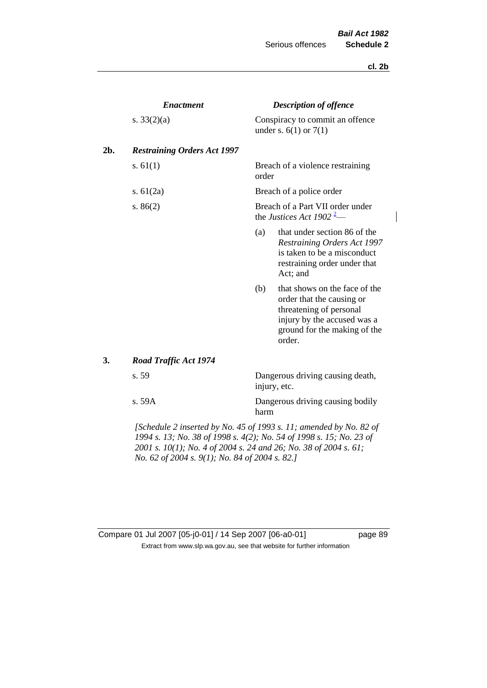#### **cl. 2b**

 $\overline{\phantom{a}}$ 

|     | <b>Enactment</b>                                                      | <b>Description of offence</b>                                            |                                                                                                                                                                |  |
|-----|-----------------------------------------------------------------------|--------------------------------------------------------------------------|----------------------------------------------------------------------------------------------------------------------------------------------------------------|--|
|     | s. $33(2)(a)$                                                         |                                                                          | Conspiracy to commit an offence<br>under s. $6(1)$ or $7(1)$                                                                                                   |  |
| 2b. | <b>Restraining Orders Act 1997</b>                                    |                                                                          |                                                                                                                                                                |  |
|     | s. $61(1)$                                                            | order                                                                    | Breach of a violence restraining                                                                                                                               |  |
|     | s. $61(2a)$                                                           | Breach of a police order                                                 |                                                                                                                                                                |  |
|     | s. $86(2)$                                                            | Breach of a Part VII order under<br>the Justices Act 1902 <sup>2</sup> — |                                                                                                                                                                |  |
|     |                                                                       | (a)                                                                      | that under section 86 of the<br><b>Restraining Orders Act 1997</b><br>is taken to be a misconduct<br>restraining order under that<br>Act; and                  |  |
|     |                                                                       | (b)                                                                      | that shows on the face of the<br>order that the causing or<br>threatening of personal<br>injury by the accused was a<br>ground for the making of the<br>order. |  |
| 3.  | <b>Road Traffic Act 1974</b>                                          |                                                                          |                                                                                                                                                                |  |
|     | s. 59                                                                 | Dangerous driving causing death,<br>injury, etc.                         |                                                                                                                                                                |  |
|     | s. 59A                                                                | harm                                                                     | Dangerous driving causing bodily                                                                                                                               |  |
|     | $I$ Schodule 2 inserted by No. 45 of 1002 s. 11; amended by No. 82 of |                                                                          |                                                                                                                                                                |  |

*[Schedule 2 inserted by No. 45 of 1993 s. 11; amended by No. 82 of 1994 s. 13; No. 38 of 1998 s. 4(2); No. 54 of 1998 s. 15; No. 23 of 2001 s. 10(1); No. 4 of 2004 s. 24 and 26; No. 38 of 2004 s. 61; No. 62 of 2004 s. 9(1); No. 84 of 2004 s. 82.]* 

| Compare 01 Jul 2007 [05-j0-01] / 14 Sep 2007 [06-a0-01]                  |
|--------------------------------------------------------------------------|
| Extract from www.slp.wa.gov.au, see that website for further information |

page 89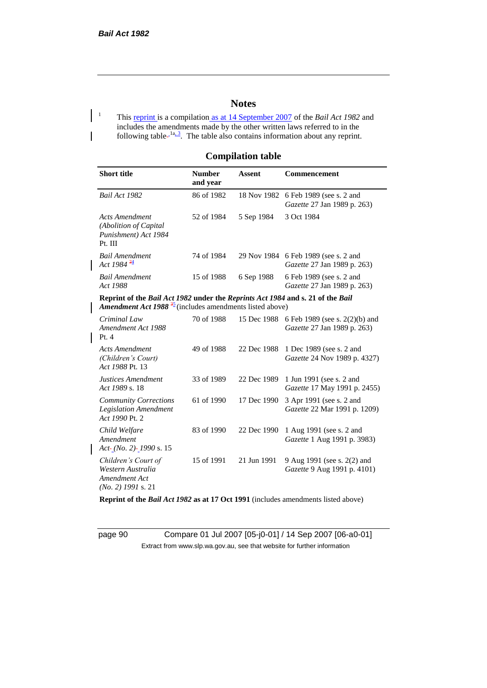## **Notes**

<sup>1</sup> This reprint is a compilation <u>as at 14 September 2007</u> of the *Bail Act 1982* and includes the amendments made by the other written laws referred to in the following table- $1a, 3$ . The table also contains information about any reprint.

## **Compilation table**

| <b>Short title</b>                                                                                                                                    | <b>Number</b><br>and year | <b>Assent</b> | Commencement                                                  |
|-------------------------------------------------------------------------------------------------------------------------------------------------------|---------------------------|---------------|---------------------------------------------------------------|
| Bail Act 1982                                                                                                                                         | 86 of 1982                | 18 Nov 1982   | 6 Feb 1989 (see s. 2 and<br>Gazette 27 Jan 1989 p. 263)       |
| <b>Acts Amendment</b><br>(Abolition of Capital<br>Punishment) Act 1984<br>Pt. III                                                                     | 52 of 1984                | 5 Sep 1984    | 3 Oct 1984                                                    |
| <b>Bail Amendment</b><br>Act 1984 $\frac{24}{5}$                                                                                                      | 74 of 1984                | 29 Nov 1984   | 6 Feb 1989 (see s. 2 and<br>Gazette 27 Jan 1989 p. 263)       |
| <b>Bail Amendment</b><br>Act 1988                                                                                                                     | 15 of 1988                | 6 Sep 1988    | 6 Feb 1989 (see s. 2 and<br>Gazette 27 Jan 1989 p. 263)       |
| Reprint of the Bail Act 1982 under the Reprints Act 1984 and s. 21 of the Bail<br>Amendment Act 1988 <sup>35</sup> (includes amendments listed above) |                           |               |                                                               |
| Criminal Law<br>Amendment Act 1988<br>Pt.4                                                                                                            | 70 of 1988                | 15 Dec 1988   | 6 Feb 1989 (see s. 2(2)(b) and<br>Gazette 27 Jan 1989 p. 263) |
| <b>Acts Amendment</b><br>(Children's Court)<br>Act 1988 Pt. 13                                                                                        | 49 of 1988                | 22 Dec 1988   | 1 Dec 1989 (see s. 2 and<br>Gazette 24 Nov 1989 p. 4327)      |
| <b>Justices Amendment</b><br>Act 1989 s. 18                                                                                                           | 33 of 1989                | 22 Dec 1989   | 1 Jun 1991 (see s. 2 and<br>Gazette 17 May 1991 p. 2455)      |
| <b>Community Corrections</b><br><b>Legislation Amendment</b><br>Act 1990 Pt. 2                                                                        | 61 of 1990                | 17 Dec 1990   | 3 Apr 1991 (see s. 2 and<br>Gazette 22 Mar 1991 p. 1209)      |
| Child Welfare<br>Amendment<br>$Act-(No. 2)$ -1990 s. 15                                                                                               | 83 of 1990                | 22 Dec 1990   | 1 Aug 1991 (see s. 2 and<br>Gazette 1 Aug 1991 p. 3983)       |
| Children's Court of<br>Western Australia<br>Amendment Act<br>$(No. 2)$ 1991 s. 21                                                                     | 15 of 1991                | 21 Jun 1991   | 9 Aug 1991 (see s. 2(2) and<br>Gazette 9 Aug 1991 p. 4101)    |

**Reprint of the** *Bail Act 1982* **as at 17 Oct 1991** (includes amendments listed above)

page 90 Compare 01 Jul 2007 [05-j0-01] / 14 Sep 2007 [06-a0-01] Extract from www.slp.wa.gov.au, see that website for further information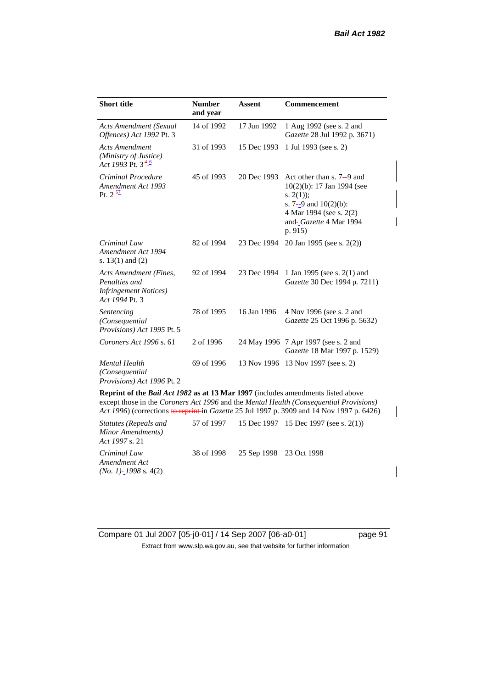| <b>Short title</b>                                                                         | <b>Number</b><br>and year | <b>Assent</b> | <b>Commencement</b>                                                                                                                                                    |
|--------------------------------------------------------------------------------------------|---------------------------|---------------|------------------------------------------------------------------------------------------------------------------------------------------------------------------------|
| <b>Acts Amendment (Sexual</b><br>Offences) Act 1992 Pt. 3                                  | 14 of 1992                | 17 Jun 1992   | 1 Aug 1992 (see s. 2 and<br>Gazette 28 Jul 1992 p. 3671)                                                                                                               |
| <b>Acts Amendment</b><br>(Ministry of Justice)<br>Act 1993 Pt. $3\frac{4}{5}$              | 31 of 1993                | 15 Dec 1993   | 1 Jul 1993 (see s. 2)                                                                                                                                                  |
| Criminal Procedure<br>Amendment Act 1993<br>Pt. $2^{\frac{57}{}}$                          | 45 of 1993                | 20 Dec 1993   | Act other than s. 7–9 and<br>$10(2)(b)$ : 17 Jan 1994 (see<br>s. $2(1)$ :<br>s. $7-9$ and $10(2)(b)$ :<br>4 Mar 1994 (see s. 2(2)<br>and-Gazette 4 Mar 1994<br>p. 915) |
| Criminal Law<br>Amendment Act 1994<br>s. $13(1)$ and $(2)$                                 | 82 of 1994                | 23 Dec 1994   | 20 Jan 1995 (see s. 2(2))                                                                                                                                              |
| Acts Amendment (Fines,<br>Penalties and<br><i>Infringement Notices</i> )<br>Act 1994 Pt. 3 | 92 of 1994                | 23 Dec 1994   | 1 Jan 1995 (see s. 2(1) and<br>Gazette 30 Dec 1994 p. 7211)                                                                                                            |
| Sentencing<br>(Consequential<br>Provisions) Act 1995 Pt. 5                                 | 78 of 1995                | 16 Jan 1996   | 4 Nov 1996 (see s. 2 and<br>Gazette 25 Oct 1996 p. 5632)                                                                                                               |
| Coroners Act 1996 s. 61                                                                    | 2 of 1996                 |               | 24 May 1996 7 Apr 1997 (see s. 2 and<br>Gazette 18 Mar 1997 p. 1529)                                                                                                   |
| <b>Mental Health</b><br>(Consequential<br>Provisions) Act 1996 Pt. 2                       | 69 of 1996                | 13 Nov 1996   | 13 Nov 1997 (see s. 2)                                                                                                                                                 |

**Reprint of the** *Bail Act 1982* **as at 13 Mar 1997** (includes amendments listed above except those in the *Coroners Act 1996* and the *Mental Health (Consequential Provisions) Act 1996*) (corrections to reprint in *Gazette* 25 Jul 1997 p. 3909 and 14 Nov 1997 p. 6426)

| Statutes (Repeals and<br>Minor Amendments)<br>Act 1997 s. 21 |                                    | 57 of 1997 15 Dec 1997 15 Dec 1997 (see s. 2(1)) |
|--------------------------------------------------------------|------------------------------------|--------------------------------------------------|
| Criminal Law<br>Amendment Act<br>$(No. 1)$ - 1998 s. 4(2)    | 38 of 1998 25 Sep 1998 23 Oct 1998 |                                                  |

Compare 01 Jul 2007 [05-j0-01] / 14 Sep 2007 [06-a0-01] page 91 Extract from www.slp.wa.gov.au, see that website for further information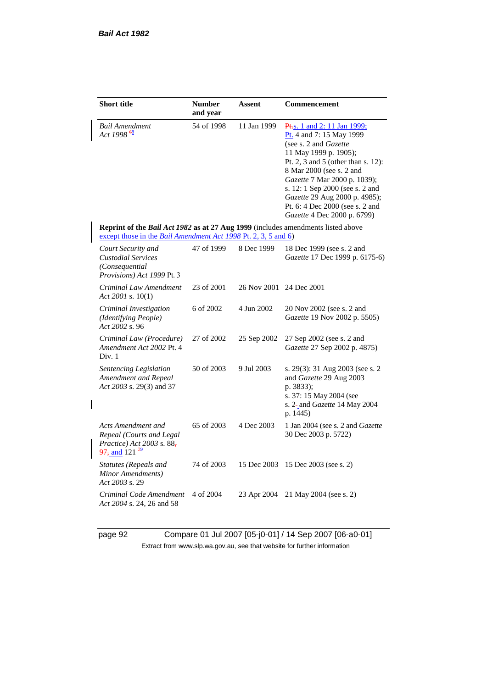| <b>Short title</b>                                                                                                                                        | <b>Number</b><br>and year | <b>Assent</b> | Commencement                                                                                                                                                                                                                                                                                                                                                  |
|-----------------------------------------------------------------------------------------------------------------------------------------------------------|---------------------------|---------------|---------------------------------------------------------------------------------------------------------------------------------------------------------------------------------------------------------------------------------------------------------------------------------------------------------------------------------------------------------------|
| Bail Amendment<br>Act 1998 $\frac{68}{5}$                                                                                                                 | 54 of 1998                | 11 Jan 1999   | Pt. <sub>S.</sub> 1 and 2: 11 Jan 1999;<br>Pt. 4 and 7: 15 May 1999<br>(see s. 2 and Gazette<br>11 May 1999 p. 1905);<br>Pt. 2, 3 and 5 (other than s. 12):<br>8 Mar 2000 (see s. 2 and<br>Gazette 7 Mar 2000 p. 1039);<br>s. 12: 1 Sep 2000 (see s. 2 and<br>Gazette 29 Aug 2000 p. 4985);<br>Pt. 6: 4 Dec 2000 (see s. 2 and<br>Gazette 4 Dec 2000 p. 6799) |
| <b>Reprint of the Bail Act 1982 as at 27 Aug 1999</b> (includes amendments listed above<br>except those in the Bail Amendment Act 1998 Pt. 2, 3, 5 and 6) |                           |               |                                                                                                                                                                                                                                                                                                                                                               |
| Court Security and<br><b>Custodial Services</b><br>(Consequential<br>Provisions) Act 1999 Pt. 3                                                           | 47 of 1999                | 8 Dec 1999    | 18 Dec 1999 (see s. 2 and<br>Gazette 17 Dec 1999 p. 6175-6)                                                                                                                                                                                                                                                                                                   |
| Criminal Law Amendment<br>Act 2001 s. 10(1)                                                                                                               | 23 of 2001                | 26 Nov 2001   | 24 Dec 2001                                                                                                                                                                                                                                                                                                                                                   |
| Criminal Investigation<br>(Identifying People)<br>Act 2002 s. 96                                                                                          | 6 of 2002                 | 4 Jun 2002    | 20 Nov 2002 (see s. 2 and<br>Gazette 19 Nov 2002 p. 5505)                                                                                                                                                                                                                                                                                                     |
| Criminal Law (Procedure)<br>Amendment Act 2002 Pt. 4<br>Div. 1                                                                                            | 27 of 2002                | 25 Sep 2002   | 27 Sep 2002 (see s. 2 and<br>Gazette 27 Sep 2002 p. 4875)                                                                                                                                                                                                                                                                                                     |
| Sentencing Legislation<br>Amendment and Repeal<br>Act 2003 s. 29(3) and 37                                                                                | 50 of 2003                | 9 Jul 2003    | s. 29(3): 31 Aug 2003 (see s. 2<br>and Gazette 29 Aug 2003<br>p. 3833);<br>s. 37: 15 May 2004 (see<br>s. 2-and Gazette 14 May 2004<br>p. 1445)                                                                                                                                                                                                                |
| Acts Amendment and<br>Repeal (Courts and Legal<br>Practice) Act 2003 s. 88,<br>$\frac{97}{21}$ and 121 <sup>72</sup>                                      | 65 of 2003                | 4 Dec 2003    | 1 Jan 2004 (see s. 2 and Gazette<br>30 Dec 2003 p. 5722)                                                                                                                                                                                                                                                                                                      |
| Statutes (Repeals and<br>Minor Amendments)<br>Act 2003 s. 29                                                                                              | 74 of 2003                | 15 Dec 2003   | 15 Dec 2003 (see s. 2)                                                                                                                                                                                                                                                                                                                                        |
| Criminal Code Amendment<br>Act 2004 s. 24, 26 and 58                                                                                                      | 4 of 2004                 | 23 Apr 2004   | 21 May 2004 (see s. 2)                                                                                                                                                                                                                                                                                                                                        |

 $\overline{\phantom{a}}$ 

page 92 Compare 01 Jul 2007 [05-j0-01] / 14 Sep 2007 [06-a0-01] Extract from www.slp.wa.gov.au, see that website for further information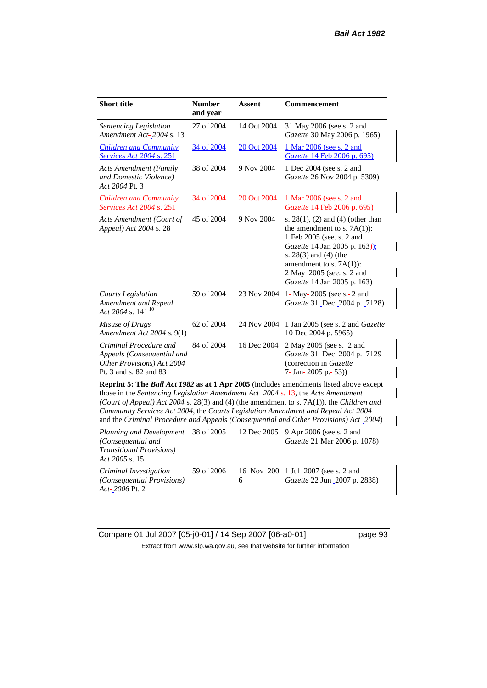| <b>Short title</b>                                                                                                                                                                | <b>Number</b><br>and year | <b>Assent</b> | <b>Commencement</b>                                                                                                                                                                                                                                      |  |  |  |
|-----------------------------------------------------------------------------------------------------------------------------------------------------------------------------------|---------------------------|---------------|----------------------------------------------------------------------------------------------------------------------------------------------------------------------------------------------------------------------------------------------------------|--|--|--|
| <b>Sentencing Legislation</b><br>Amendment Act-2004 s. 13                                                                                                                         | 27 of 2004                | 14 Oct 2004   | 31 May 2006 (see s. 2 and<br>Gazette 30 May 2006 p. 1965)                                                                                                                                                                                                |  |  |  |
| <b>Children and Community</b><br>Services Act 2004 s. 251                                                                                                                         | 34 of 2004                | 20 Oct 2004   | 1 Mar 2006 (see s. 2 and<br>Gazette 14 Feb 2006 p. 695)                                                                                                                                                                                                  |  |  |  |
| <b>Acts Amendment (Family</b><br>and Domestic Violence)<br>Act 2004 Pt. 3                                                                                                         | 38 of 2004                | 9 Nov 2004    | 1 Dec 2004 (see s. 2 and<br>Gazette 26 Nov 2004 p. 5309)                                                                                                                                                                                                 |  |  |  |
| Children and Community<br><i>Services Act 2004 s. 251</i>                                                                                                                         | 34 of 2004                | 20 Oct 2004   | 1 Mar 2006 (see s. 2 and<br>Gazette 14 Feb 2006 p. 695)                                                                                                                                                                                                  |  |  |  |
| Acts Amendment (Court of<br>Appeal) Act 2004 s. 28                                                                                                                                | 45 of 2004                | 9 Nov 2004    | s. $28(1)$ , (2) and (4) (other than<br>the amendment to s. $7A(1)$ :<br>1 Feb 2005 (see. s. 2 and<br>Gazette 14 Jan 2005 p. 163):<br>s. $28(3)$ and $(4)$ (the<br>amendment to s. $7A(1)$ :<br>2 May-2005 (see. s. 2 and<br>Gazette 14 Jan 2005 p. 163) |  |  |  |
| <b>Courts Legislation</b><br>Amendment and Repeal<br>Act 2004 s. 141 <sup>10</sup>                                                                                                | 59 of 2004                | 23 Nov 2004   | 1-May-2005 (see s.-2 and<br>Gazette 31-Dec-2004 p.-7128)                                                                                                                                                                                                 |  |  |  |
| Misuse of Drugs<br>Amendment Act 2004 s. 9(1)                                                                                                                                     | 62 of 2004                | 24 Nov 2004   | 1 Jan 2005 (see s. 2 and Gazette<br>10 Dec 2004 p. 5965)                                                                                                                                                                                                 |  |  |  |
| Criminal Procedure and<br>Appeals (Consequential and<br>Other Provisions) Act 2004<br>Pt. 3 and s. 82 and 83                                                                      | 84 of 2004                | 16 Dec 2004   | 2 May 2005 (see s.-2 and<br>Gazette 31-Dec-2004 p.-7129<br>(correction in Gazette<br>7-Jan-2005 p.-53))                                                                                                                                                  |  |  |  |
| <b>Reprint 5: The Bail Act 1982 as at 1 Apr 2005</b> (includes amendments listed above except<br>those in the Sentencing Legislation Amendment Act-2004 s. 13, the Acts Amendment |                           |               |                                                                                                                                                                                                                                                          |  |  |  |

*(Court of Appeal) Act 2004* s. 28(3) and (4) (the amendment to s. 7A(1)), the *Children and Community Services Act 2004*, the *Courts Legislation Amendment and Repeal Act 2004* and the *Criminal Procedure and Appeals (Consequential and Other Provisions) Act 2004*)

*Planning and Development (Consequential and Transitional Provisions) Act 2005* s. 15 12 Dec 2005 9 Apr 2006 (see s. 2 and *Gazette* 21 Mar 2006 p. 1078) *Criminal Investigation (Consequential Provisions) Act 2006* Pt. 2 59 of 2006 16-Nov-200 1 Jul-2007 (see s. 2 and 6 *Gazette* 22 Jun-2007 p. 2838)

Compare 01 Jul 2007 [05-j0-01] / 14 Sep 2007 [06-a0-01] page 93 Extract from www.slp.wa.gov.au, see that website for further information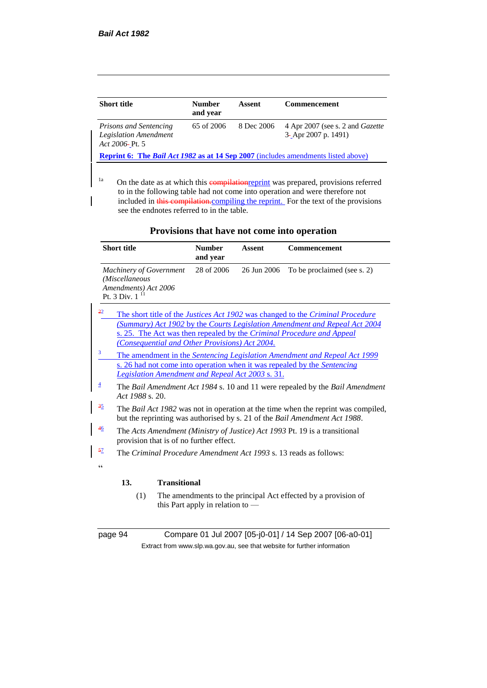| <b>Short title</b>                                                                              | <b>Number</b><br>and year | Assent     | <b>Commencement</b>                                               |  |  |
|-------------------------------------------------------------------------------------------------|---------------------------|------------|-------------------------------------------------------------------|--|--|
| <b>Prisons and Sentencing</b><br><b>Legislation Amendment</b><br>Act 2006- Pt. 5                | $65 \text{ of } 2006$     | 8 Dec 2006 | 4 Apr 2007 (see s. 2 and <i>Gazette</i><br>$3-$ Apr 2007 p. 1491) |  |  |
| <b>Reprint 6:</b> The <i>Bail Act 1982</i> as at 14 Sep 2007 (includes amendments listed above) |                           |            |                                                                   |  |  |

<sup>1a</sup> On the date as at which this **compilation**reprint was prepared, provisions referred to in the following table had not come into operation and were therefore not included in this compilation.compiling the reprint. For the text of the provisions see the endnotes referred to in the table.

|                | <b>Short title</b>                                                                                                    |                     | <b>Number</b><br>and year                      | <b>Assent</b>                                    | <b>Commencement</b>                                                                                                                                             |
|----------------|-----------------------------------------------------------------------------------------------------------------------|---------------------|------------------------------------------------|--------------------------------------------------|-----------------------------------------------------------------------------------------------------------------------------------------------------------------|
|                | <b>Machinery of Government</b><br>(Miscellaneous<br>Amendments) Act 2006<br>Pt. 3 Div. $111$                          |                     | 28 of 2006                                     | 26 Jun 2006                                      | To be proclaimed (see s. 2)                                                                                                                                     |
| 22             |                                                                                                                       |                     |                                                |                                                  | The short title of the <i>Justices Act 1902</i> was changed to the <i>Criminal Procedure</i>                                                                    |
|                |                                                                                                                       |                     |                                                |                                                  | (Summary) Act 1902 by the Courts Legislation Amendment and Repeal Act 2004                                                                                      |
|                |                                                                                                                       |                     |                                                |                                                  | s. 25. The Act was then repealed by the Criminal Procedure and Appeal                                                                                           |
|                |                                                                                                                       |                     | (Consequential and Other Provisions) Act 2004. |                                                  |                                                                                                                                                                 |
| 3              |                                                                                                                       |                     |                                                |                                                  | The amendment in the Sentencing Legislation Amendment and Repeal Act 1999                                                                                       |
|                |                                                                                                                       |                     |                                                |                                                  | s. 26 had not come into operation when it was repealed by the Sentencing                                                                                        |
|                |                                                                                                                       |                     |                                                | Legislation Amendment and Repeal Act 2003 s. 31. |                                                                                                                                                                 |
| $\overline{4}$ | Act 1988 s. 20.                                                                                                       |                     |                                                |                                                  | The Bail Amendment Act 1984 s. 10 and 11 were repealed by the Bail Amendment                                                                                    |
| 35             |                                                                                                                       |                     |                                                |                                                  | The Bail Act 1982 was not in operation at the time when the reprint was compiled,<br>but the reprinting was authorised by s. 21 of the Bail Amendment Act 1988. |
| 46             | The Acts Amendment (Ministry of Justice) Act 1993 Pt. 19 is a transitional<br>provision that is of no further effect. |                     |                                                |                                                  |                                                                                                                                                                 |
| 57             | The Criminal Procedure Amendment Act 1993 s. 13 reads as follows:                                                     |                     |                                                |                                                  |                                                                                                                                                                 |
| C C            |                                                                                                                       |                     |                                                |                                                  |                                                                                                                                                                 |
|                | 13.                                                                                                                   | <b>Transitional</b> |                                                |                                                  |                                                                                                                                                                 |
|                | (1)                                                                                                                   |                     | this Part apply in relation to $-$             |                                                  | The amendments to the principal Act effected by a provision of                                                                                                  |

### **Provisions that have not come into operation**

page 94 Compare 01 Jul 2007 [05-j0-01] / 14 Sep 2007 [06-a0-01] Extract from www.slp.wa.gov.au, see that website for further information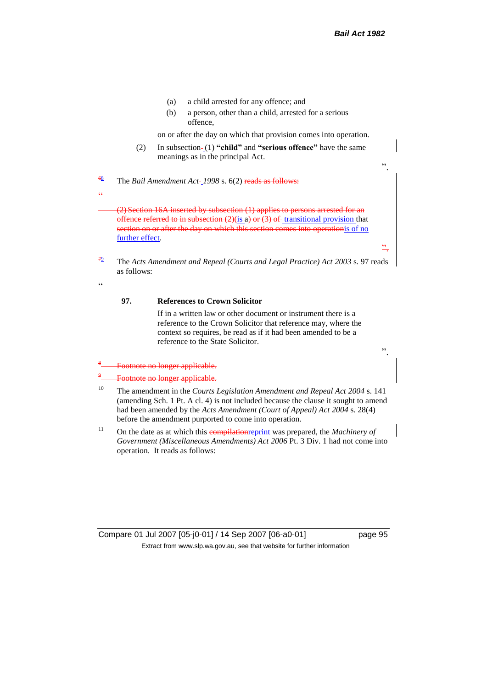".

".

".

- (a) a child arrested for any offence; and
- (b) a person, other than a child, arrested for a serious offence,

on or after the day on which that provision comes into operation.

(2) In subsection-(1) "child" and "serious offence" have the same meanings as in the principal Act.

<sup>68</sup> The *Bail Amendment Act 1998* s. 6(2) reads as follows:

(2) Section 16A inserted by subsection (1) applies to persons arrested for an offence referred to in subsection  $(2)$ (is a) or  $(3)$  of transitional provision that section on or after the day on which this section comes into operationis of no further effect.

<sup>79</sup> The *Acts Amendment and Repeal (Courts and Legal Practice) Act 2003* s. 97 reads as follows:

 $\alpha$ 

 $\overline{\mathcal{C}}$ 

#### **97. References to Crown Solicitor**

If in a written law or other document or instrument there is a reference to the Crown Solicitor that reference may, where the context so requires, be read as if it had been amended to be a reference to the State Solicitor.

#### 8 Footnote no longer applicable.

#### 9 Footnote no longer applicable.

- <sup>10</sup> The amendment in the *Courts Legislation Amendment and Repeal Act 2004* s. 141 (amending Sch. 1 Pt. A cl. 4) is not included because the clause it sought to amend had been amended by the *Acts Amendment (Court of Appeal) Act 2004* s. 28(4) before the amendment purported to come into operation.
- <sup>11</sup> On the date as at which this **compilation** reprint was prepared, the *Machinery of Government (Miscellaneous Amendments) Act 2006* Pt. 3 Div. 1 had not come into operation. It reads as follows: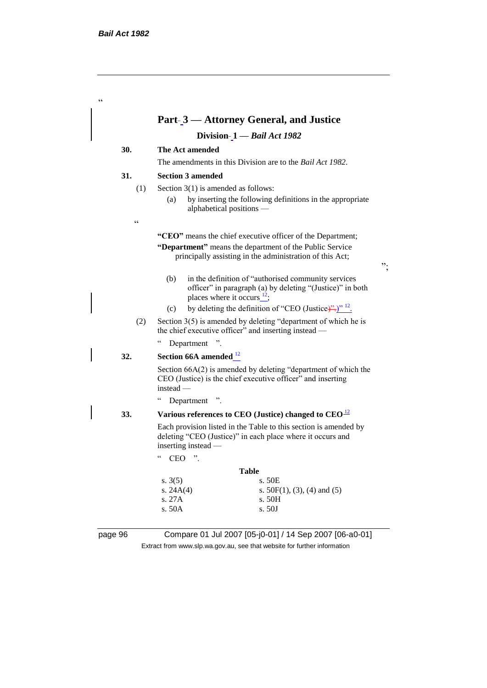|                 |                                                                                                                                                       | Division-1 - Bail Act 1982                                                                                                      |
|-----------------|-------------------------------------------------------------------------------------------------------------------------------------------------------|---------------------------------------------------------------------------------------------------------------------------------|
| 30.             | The Act amended                                                                                                                                       |                                                                                                                                 |
|                 | The amendments in this Division are to the <i>Bail Act 1982</i> .                                                                                     |                                                                                                                                 |
| 31.             | <b>Section 3 amended</b>                                                                                                                              |                                                                                                                                 |
| (1)             | Section $3(1)$ is amended as follows:                                                                                                                 |                                                                                                                                 |
|                 | (a)<br>alphabetical positions —                                                                                                                       | by inserting the following definitions in the appropriate                                                                       |
| $\zeta$ $\zeta$ |                                                                                                                                                       |                                                                                                                                 |
|                 |                                                                                                                                                       | "CEO" means the chief executive officer of the Department;                                                                      |
|                 |                                                                                                                                                       | "Department" means the department of the Public Service<br>principally assisting in the administration of this Act;             |
|                 | (b)<br>places where it occurs $^{12}$ ;                                                                                                               | in the definition of "authorised community services"<br>officer" in paragraph (a) by deleting "(Justice)" in both               |
|                 | (c)                                                                                                                                                   | by deleting the definition of "CEO (Justice)".)" $^{12}$ .                                                                      |
| (2)             |                                                                                                                                                       | Section $3(5)$ is amended by deleting "department of which he is<br>the chief executive officer" and inserting instead —        |
|                 | $\epsilon$<br>Department                                                                                                                              |                                                                                                                                 |
| 32.             | Section 66A amended $12$                                                                                                                              |                                                                                                                                 |
|                 | instead -                                                                                                                                             | Section $66A(2)$ is amended by deleting "department of which the<br>CEO (Justice) is the chief executive officer" and inserting |
|                 | $\epsilon$<br>Department ".                                                                                                                           |                                                                                                                                 |
| 33.             | Various references to CEO (Justice) changed to $CEO12$                                                                                                |                                                                                                                                 |
|                 | Each provision listed in the Table to this section is amended by<br>deleting "CEO (Justice)" in each place where it occurs and<br>inserting instead — |                                                                                                                                 |
|                 | $\mathsf{c}\,\mathsf{c}$<br>"<br><b>CEO</b>                                                                                                           |                                                                                                                                 |
|                 |                                                                                                                                                       | <b>Table</b>                                                                                                                    |
|                 | s. $3(5)$                                                                                                                                             | s. 50E                                                                                                                          |
|                 | s. $24A(4)$<br>s. 27A                                                                                                                                 | s. $50F(1)$ , (3), (4) and (5)<br>s. 50H                                                                                        |
|                 | s.50A                                                                                                                                                 | s. 50J                                                                                                                          |

Extract from www.slp.wa.gov.au, see that website for further information